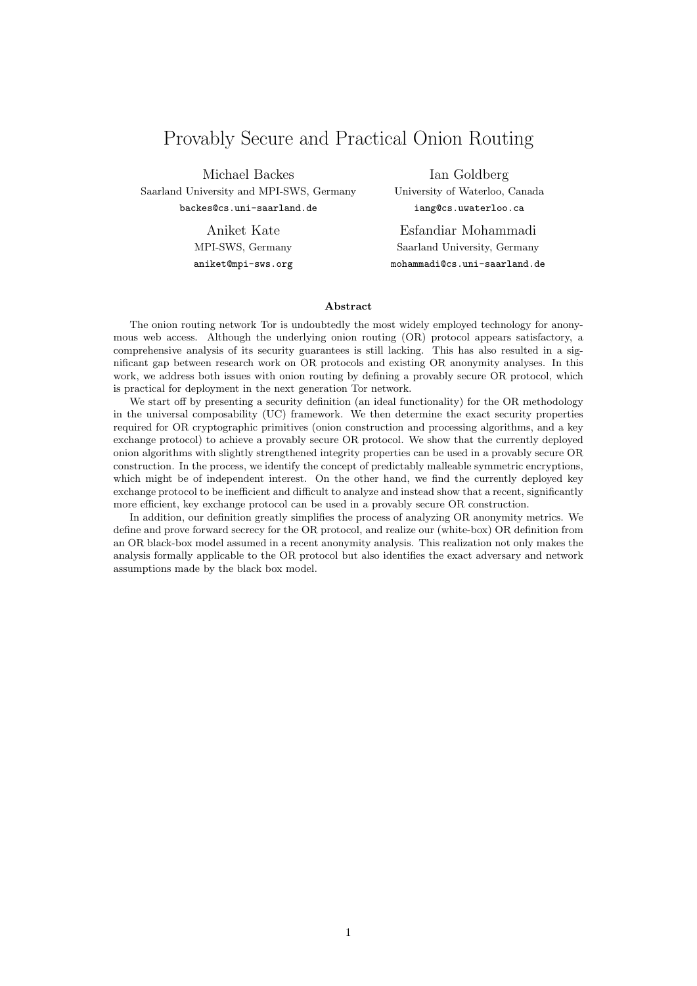# Provably Secure and Practical Onion Routing

Michael Backes Saarland University and MPI-SWS, Germany backes@cs.uni-saarland.de

> Aniket Kate MPI-SWS, Germany aniket@mpi-sws.org

Ian Goldberg University of Waterloo, Canada iang@cs.uwaterloo.ca

Esfandiar Mohammadi Saarland University, Germany mohammadi@cs.uni-saarland.de

### Abstract

The onion routing network Tor is undoubtedly the most widely employed technology for anonymous web access. Although the underlying onion routing (OR) protocol appears satisfactory, a comprehensive analysis of its security guarantees is still lacking. This has also resulted in a significant gap between research work on OR protocols and existing OR anonymity analyses. In this work, we address both issues with onion routing by defining a provably secure OR protocol, which is practical for deployment in the next generation Tor network.

We start off by presenting a security definition (an ideal functionality) for the OR methodology in the universal composability (UC) framework. We then determine the exact security properties required for OR cryptographic primitives (onion construction and processing algorithms, and a key exchange protocol) to achieve a provably secure OR protocol. We show that the currently deployed onion algorithms with slightly strengthened integrity properties can be used in a provably secure OR construction. In the process, we identify the concept of predictably malleable symmetric encryptions, which might be of independent interest. On the other hand, we find the currently deployed key exchange protocol to be inefficient and difficult to analyze and instead show that a recent, significantly more efficient, key exchange protocol can be used in a provably secure OR construction.

In addition, our definition greatly simplifies the process of analyzing OR anonymity metrics. We define and prove forward secrecy for the OR protocol, and realize our (white-box) OR definition from an OR black-box model assumed in a recent anonymity analysis. This realization not only makes the analysis formally applicable to the OR protocol but also identifies the exact adversary and network assumptions made by the black box model.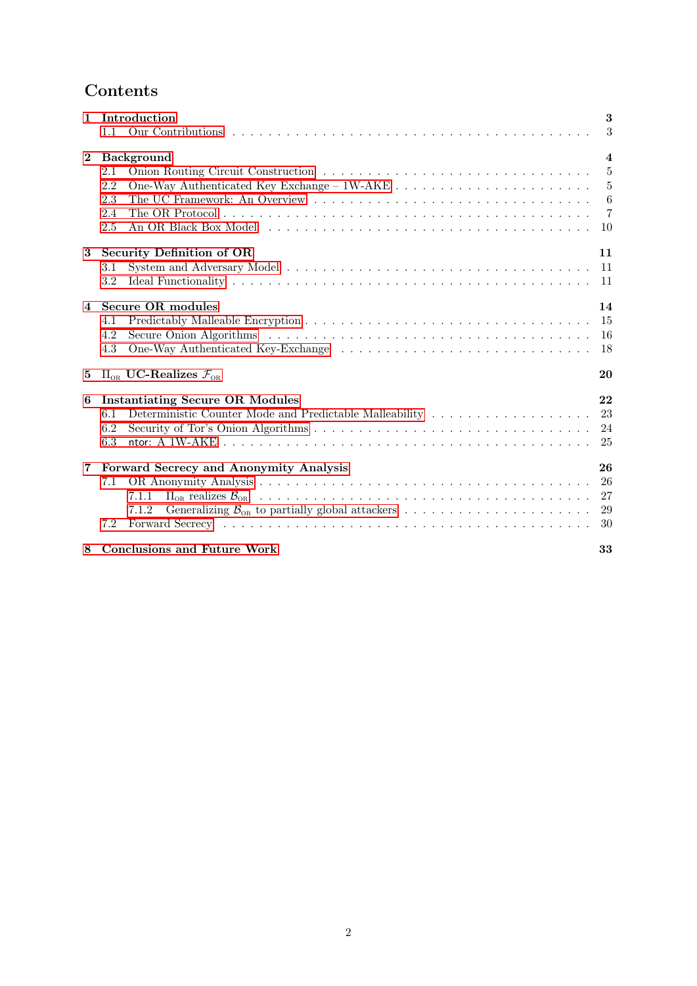# Contents

| $\mathbf{1}$   | Introduction                                                                                                                                                                                                                                                                    | 3                                           |
|----------------|---------------------------------------------------------------------------------------------------------------------------------------------------------------------------------------------------------------------------------------------------------------------------------|---------------------------------------------|
|                | 1.1                                                                                                                                                                                                                                                                             | 3                                           |
| $\mathbf{2}$   | <b>Background</b><br>2.1<br>2.2<br>2.3<br>2.4<br>2.5                                                                                                                                                                                                                            | $\boldsymbol{4}$<br>5<br>5<br>6<br>-7<br>10 |
| 3              | <b>Security Definition of OR</b><br>3.1<br>3.2                                                                                                                                                                                                                                  | 11<br>11<br>11                              |
| $\overline{4}$ | <b>Secure OR modules</b><br>4.1<br>Secure Onion Algorithms (a) and a contract the contract of the contract of the contract of the contract of the contract of the contract of the contract of the contract of the contract of the contract of the contract of the<br>4.2<br>4.3 | 14<br>15<br><b>16</b><br>18                 |
| 5              | $\Pi_{OR}$ UC-Realizes $\mathcal{F}_{OR}$                                                                                                                                                                                                                                       | 20                                          |
| 6              | <b>Instantiating Secure OR Modules</b><br>Deterministic Counter Mode and Predictable Malleability $\dots \dots \dots \dots \dots \dots \dots$<br>6.1<br>6.2<br>6.3                                                                                                              | 22<br>23<br>24<br>25                        |
| 7              | Forward Secrecy and Anonymity Analysis<br>7.1<br>7.1.1<br>7.1.2<br>7.2                                                                                                                                                                                                          | 26<br>26<br>27<br>29<br>30                  |
| 8              | <b>Conclusions and Future Work</b>                                                                                                                                                                                                                                              | 33                                          |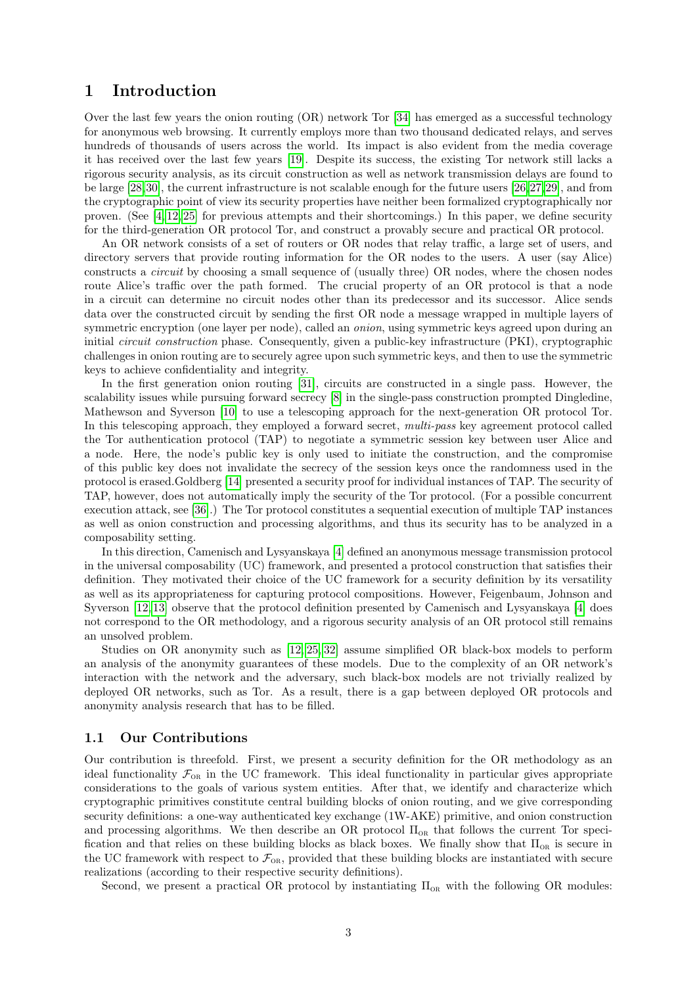# <span id="page-2-0"></span>1 Introduction

Over the last few years the onion routing (OR) network Tor [\[34\]](#page-35-0) has emerged as a successful technology for anonymous web browsing. It currently employs more than two thousand dedicated relays, and serves hundreds of thousands of users across the world. Its impact is also evident from the media coverage it has received over the last few years [\[19\]](#page-34-0). Despite its success, the existing Tor network still lacks a rigorous security analysis, as its circuit construction as well as network transmission delays are found to be large [\[28,](#page-35-1)[30\]](#page-35-2), the current infrastructure is not scalable enough for the future users [\[26,](#page-35-3)[27,](#page-35-4)[29\]](#page-35-5), and from the cryptographic point of view its security properties have neither been formalized cryptographically nor proven. (See [\[4,](#page-34-1) [12,](#page-34-2) [25\]](#page-35-6) for previous attempts and their shortcomings.) In this paper, we define security for the third-generation OR protocol Tor, and construct a provably secure and practical OR protocol.

An OR network consists of a set of routers or OR nodes that relay traffic, a large set of users, and directory servers that provide routing information for the OR nodes to the users. A user (say Alice) constructs a circuit by choosing a small sequence of (usually three) OR nodes, where the chosen nodes route Alice's traffic over the path formed. The crucial property of an OR protocol is that a node in a circuit can determine no circuit nodes other than its predecessor and its successor. Alice sends data over the constructed circuit by sending the first OR node a message wrapped in multiple layers of symmetric encryption (one layer per node), called an onion, using symmetric keys agreed upon during an initial circuit construction phase. Consequently, given a public-key infrastructure (PKI), cryptographic challenges in onion routing are to securely agree upon such symmetric keys, and then to use the symmetric keys to achieve confidentiality and integrity.

In the first generation onion routing [\[31\]](#page-35-7), circuits are constructed in a single pass. However, the scalability issues while pursuing forward secrecy [\[8\]](#page-34-3) in the single-pass construction prompted Dingledine, Mathewson and Syverson [\[10\]](#page-34-4) to use a telescoping approach for the next-generation OR protocol Tor. In this telescoping approach, they employed a forward secret, *multi-pass* key agreement protocol called the Tor authentication protocol (TAP) to negotiate a symmetric session key between user Alice and a node. Here, the node's public key is only used to initiate the construction, and the compromise of this public key does not invalidate the secrecy of the session keys once the randomness used in the protocol is erased.Goldberg [\[14\]](#page-34-5) presented a security proof for individual instances of TAP. The security of TAP, however, does not automatically imply the security of the Tor protocol. (For a possible concurrent execution attack, see [\[36\]](#page-35-8).) The Tor protocol constitutes a sequential execution of multiple TAP instances as well as onion construction and processing algorithms, and thus its security has to be analyzed in a composability setting.

In this direction, Camenisch and Lysyanskaya [\[4\]](#page-34-1) defined an anonymous message transmission protocol in the universal composability (UC) framework, and presented a protocol construction that satisfies their definition. They motivated their choice of the UC framework for a security definition by its versatility as well as its appropriateness for capturing protocol compositions. However, Feigenbaum, Johnson and Syverson [\[12,](#page-34-2) [13\]](#page-34-6) observe that the protocol definition presented by Camenisch and Lysyanskaya [\[4\]](#page-34-1) does not correspond to the OR methodology, and a rigorous security analysis of an OR protocol still remains an unsolved problem.

Studies on OR anonymity such as [\[12,](#page-34-2) [25,](#page-35-6) [32\]](#page-35-9) assume simplified OR black-box models to perform an analysis of the anonymity guarantees of these models. Due to the complexity of an OR network's interaction with the network and the adversary, such black-box models are not trivially realized by deployed OR networks, such as Tor. As a result, there is a gap between deployed OR protocols and anonymity analysis research that has to be filled.

# <span id="page-2-1"></span>1.1 Our Contributions

Our contribution is threefold. First, we present a security definition for the OR methodology as an ideal functionality  $\mathcal{F}_{OR}$  in the UC framework. This ideal functionality in particular gives appropriate considerations to the goals of various system entities. After that, we identify and characterize which cryptographic primitives constitute central building blocks of onion routing, and we give corresponding security definitions: a one-way authenticated key exchange (1W-AKE) primitive, and onion construction and processing algorithms. We then describe an OR protocol  $\Pi_{OR}$  that follows the current Tor specification and that relies on these building blocks as black boxes. We finally show that  $\Pi_{OR}$  is secure in the UC framework with respect to  $\mathcal{F}_{OR}$ , provided that these building blocks are instantiated with secure realizations (according to their respective security definitions).

Second, we present a practical OR protocol by instantiating  $\Pi_{OR}$  with the following OR modules: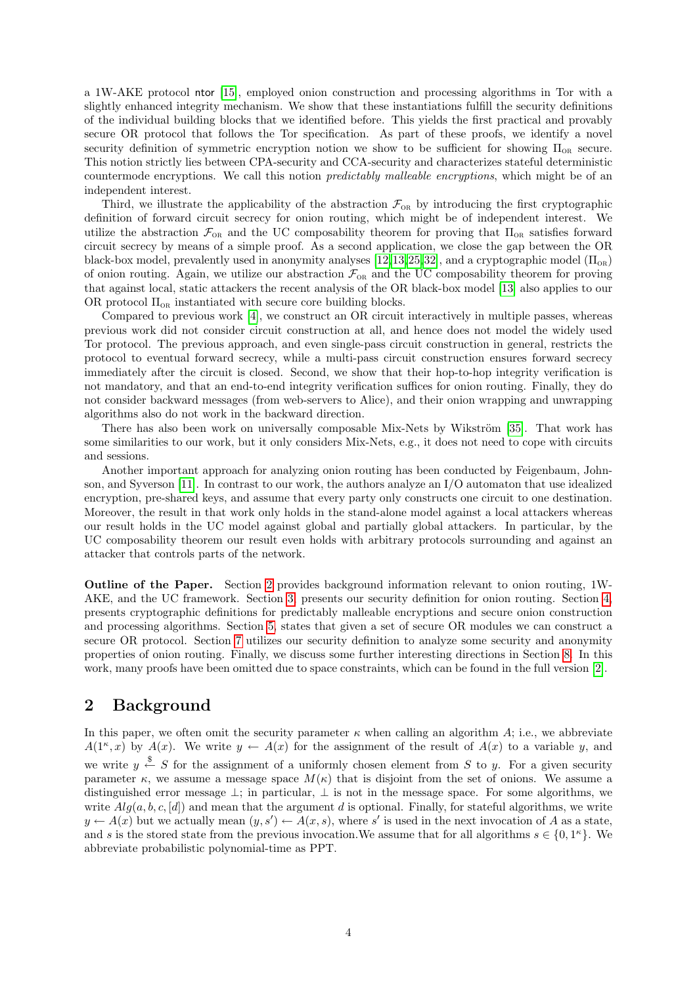a 1W-AKE protocol ntor [\[15\]](#page-34-7), employed onion construction and processing algorithms in Tor with a slightly enhanced integrity mechanism. We show that these instantiations fulfill the security definitions of the individual building blocks that we identified before. This yields the first practical and provably secure OR protocol that follows the Tor specification. As part of these proofs, we identify a novel security definition of symmetric encryption notion we show to be sufficient for showing  $\Pi_{OR}$  secure. This notion strictly lies between CPA-security and CCA-security and characterizes stateful deterministic countermode encryptions. We call this notion predictably malleable encryptions, which might be of an independent interest.

Third, we illustrate the applicability of the abstraction  $\mathcal{F}_{OR}$  by introducing the first cryptographic definition of forward circuit secrecy for onion routing, which might be of independent interest. We utilize the abstraction  $\mathcal{F}_{OR}$  and the UC composability theorem for proving that  $\Pi_{OR}$  satisfies forward circuit secrecy by means of a simple proof. As a second application, we close the gap between the OR black-box model, prevalently used in anonymity analyses [\[12,](#page-34-2)[13,](#page-34-6)[25,](#page-35-6)[32\]](#page-35-9), and a cryptographic model  $(\Pi_{OR})$ of onion routing. Again, we utilize our abstraction  $\mathcal{F}_{OR}$  and the UC composability theorem for proving that against local, static attackers the recent analysis of the OR black-box model [\[13\]](#page-34-6) also applies to our OR protocol  $\Pi_{OR}$  instantiated with secure core building blocks.

Compared to previous work [\[4\]](#page-34-1), we construct an OR circuit interactively in multiple passes, whereas previous work did not consider circuit construction at all, and hence does not model the widely used Tor protocol. The previous approach, and even single-pass circuit construction in general, restricts the protocol to eventual forward secrecy, while a multi-pass circuit construction ensures forward secrecy immediately after the circuit is closed. Second, we show that their hop-to-hop integrity verification is not mandatory, and that an end-to-end integrity verification suffices for onion routing. Finally, they do not consider backward messages (from web-servers to Alice), and their onion wrapping and unwrapping algorithms also do not work in the backward direction.

There has also been work on universally composable Mix-Nets by Wikström [\[35\]](#page-35-10). That work has some similarities to our work, but it only considers Mix-Nets, e.g., it does not need to cope with circuits and sessions.

Another important approach for analyzing onion routing has been conducted by Feigenbaum, Johnson, and Syverson [\[11\]](#page-34-8). In contrast to our work, the authors analyze an I/O automaton that use idealized encryption, pre-shared keys, and assume that every party only constructs one circuit to one destination. Moreover, the result in that work only holds in the stand-alone model against a local attackers whereas our result holds in the UC model against global and partially global attackers. In particular, by the UC composability theorem our result even holds with arbitrary protocols surrounding and against an attacker that controls parts of the network.

Outline of the Paper. Section [2](#page-3-0) provides background information relevant to onion routing, 1W-AKE, and the UC framework. Section [3,](#page-10-0) presents our security definition for onion routing. Section [4,](#page-13-0) presents cryptographic definitions for predictably malleable encryptions and secure onion construction and processing algorithms. Section [5,](#page-19-0) states that given a set of secure OR modules we can construct a secure OR protocol. Section [7](#page-25-0) utilizes our security definition to analyze some security and anonymity properties of onion routing. Finally, we discuss some further interesting directions in Section [8.](#page-32-0) In this work, many proofs have been omitted due to space constraints, which can be found in the full version [\[2\]](#page-34-9).

# <span id="page-3-0"></span>2 Background

In this paper, we often omit the security parameter  $\kappa$  when calling an algorithm A; i.e., we abbreviate  $A(1^{\kappa},x)$  by  $A(x)$ . We write  $y \leftarrow A(x)$  for the assignment of the result of  $A(x)$  to a variable y, and we write  $y \stackrel{\$}{\leftarrow} S$  for the assignment of a uniformly chosen element from S to y. For a given security parameter  $\kappa$ , we assume a message space  $M(\kappa)$  that is disjoint from the set of onions. We assume a distinguished error message  $\perp$ ; in particular,  $\perp$  is not in the message space. For some algorithms, we write  $Alg(a, b, c, [d])$  and mean that the argument d is optional. Finally, for stateful algorithms, we write  $y \leftarrow A(x)$  but we actually mean  $(y, s') \leftarrow A(x, s)$ , where s' is used in the next invocation of A as a state, and s is the stored state from the previous invocation. We assume that for all algorithms  $s \in \{0, 1<sup>\kappa</sup>\}$ . We abbreviate probabilistic polynomial-time as PPT.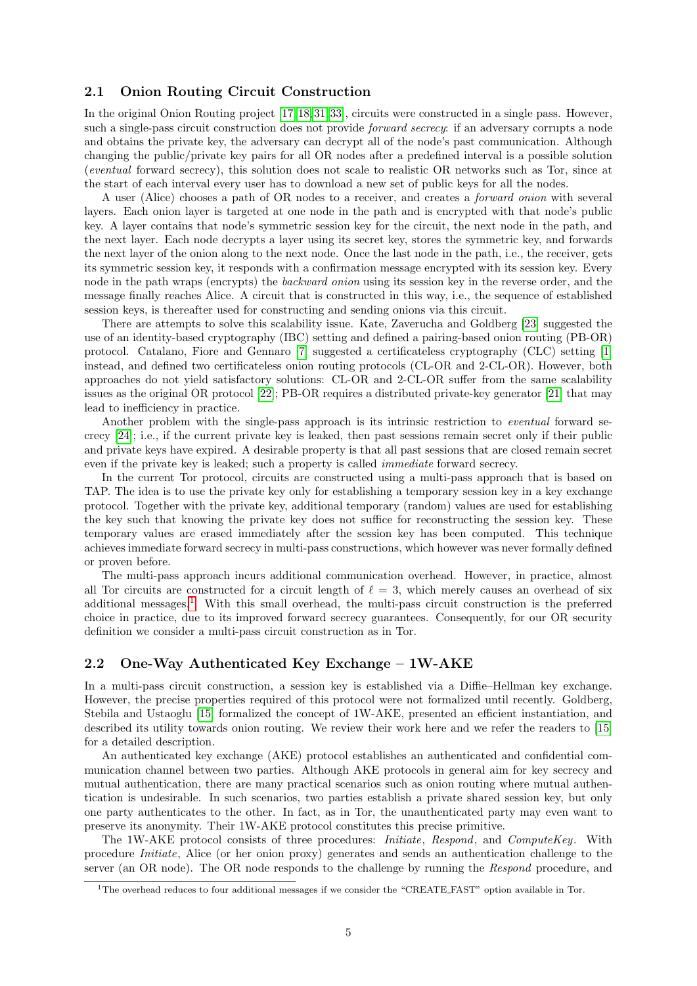# <span id="page-4-0"></span>2.1 Onion Routing Circuit Construction

In the original Onion Routing project [\[17,](#page-34-10) [18,](#page-34-11) [31,](#page-35-7) [33\]](#page-35-11), circuits were constructed in a single pass. However, such a single-pass circuit construction does not provide *forward secrecy*: if an adversary corrupts a node and obtains the private key, the adversary can decrypt all of the node's past communication. Although changing the public/private key pairs for all OR nodes after a predefined interval is a possible solution (eventual forward secrecy), this solution does not scale to realistic OR networks such as Tor, since at the start of each interval every user has to download a new set of public keys for all the nodes.

A user (Alice) chooses a path of OR nodes to a receiver, and creates a forward onion with several layers. Each onion layer is targeted at one node in the path and is encrypted with that node's public key. A layer contains that node's symmetric session key for the circuit, the next node in the path, and the next layer. Each node decrypts a layer using its secret key, stores the symmetric key, and forwards the next layer of the onion along to the next node. Once the last node in the path, i.e., the receiver, gets its symmetric session key, it responds with a confirmation message encrypted with its session key. Every node in the path wraps (encrypts) the backward onion using its session key in the reverse order, and the message finally reaches Alice. A circuit that is constructed in this way, i.e., the sequence of established session keys, is thereafter used for constructing and sending onions via this circuit.

There are attempts to solve this scalability issue. Kate, Zaverucha and Goldberg [\[23\]](#page-35-12) suggested the use of an identity-based cryptography (IBC) setting and defined a pairing-based onion routing (PB-OR) protocol. Catalano, Fiore and Gennaro [\[7\]](#page-34-12) suggested a certificateless cryptography (CLC) setting [\[1\]](#page-34-13) instead, and defined two certificateless onion routing protocols (CL-OR and 2-CL-OR). However, both approaches do not yield satisfactory solutions: CL-OR and 2-CL-OR suffer from the same scalability issues as the original OR protocol [\[22\]](#page-35-13); PB-OR requires a distributed private-key generator [\[21\]](#page-35-14) that may lead to inefficiency in practice.

Another problem with the single-pass approach is its intrinsic restriction to eventual forward secrecy [\[24\]](#page-35-15); i.e., if the current private key is leaked, then past sessions remain secret only if their public and private keys have expired. A desirable property is that all past sessions that are closed remain secret even if the private key is leaked; such a property is called immediate forward secrecy.

In the current Tor protocol, circuits are constructed using a multi-pass approach that is based on TAP. The idea is to use the private key only for establishing a temporary session key in a key exchange protocol. Together with the private key, additional temporary (random) values are used for establishing the key such that knowing the private key does not suffice for reconstructing the session key. These temporary values are erased immediately after the session key has been computed. This technique achieves immediate forward secrecy in multi-pass constructions, which however was never formally defined or proven before.

The multi-pass approach incurs additional communication overhead. However, in practice, almost all Tor circuits are constructed for a circuit length of  $\ell = 3$ , which merely causes an overhead of six additional messages.<sup>[1](#page-4-2)</sup> With this small overhead, the multi-pass circuit construction is the preferred choice in practice, due to its improved forward secrecy guarantees. Consequently, for our OR security definition we consider a multi-pass circuit construction as in Tor.

# <span id="page-4-1"></span>2.2 One-Way Authenticated Key Exchange – 1W-AKE

In a multi-pass circuit construction, a session key is established via a Diffie–Hellman key exchange. However, the precise properties required of this protocol were not formalized until recently. Goldberg, Stebila and Ustaoglu [\[15\]](#page-34-7) formalized the concept of 1W-AKE, presented an efficient instantiation, and described its utility towards onion routing. We review their work here and we refer the readers to [\[15\]](#page-34-7) for a detailed description.

An authenticated key exchange (AKE) protocol establishes an authenticated and confidential communication channel between two parties. Although AKE protocols in general aim for key secrecy and mutual authentication, there are many practical scenarios such as onion routing where mutual authentication is undesirable. In such scenarios, two parties establish a private shared session key, but only one party authenticates to the other. In fact, as in Tor, the unauthenticated party may even want to preserve its anonymity. Their 1W-AKE protocol constitutes this precise primitive.

The 1W-AKE protocol consists of three procedures: *Initiate, Respond*, and *ComputeKey.* With procedure Initiate, Alice (or her onion proxy) generates and sends an authentication challenge to the server (an OR node). The OR node responds to the challenge by running the Respond procedure, and

<span id="page-4-2"></span><sup>1</sup>The overhead reduces to four additional messages if we consider the "CREATE FAST" option available in Tor.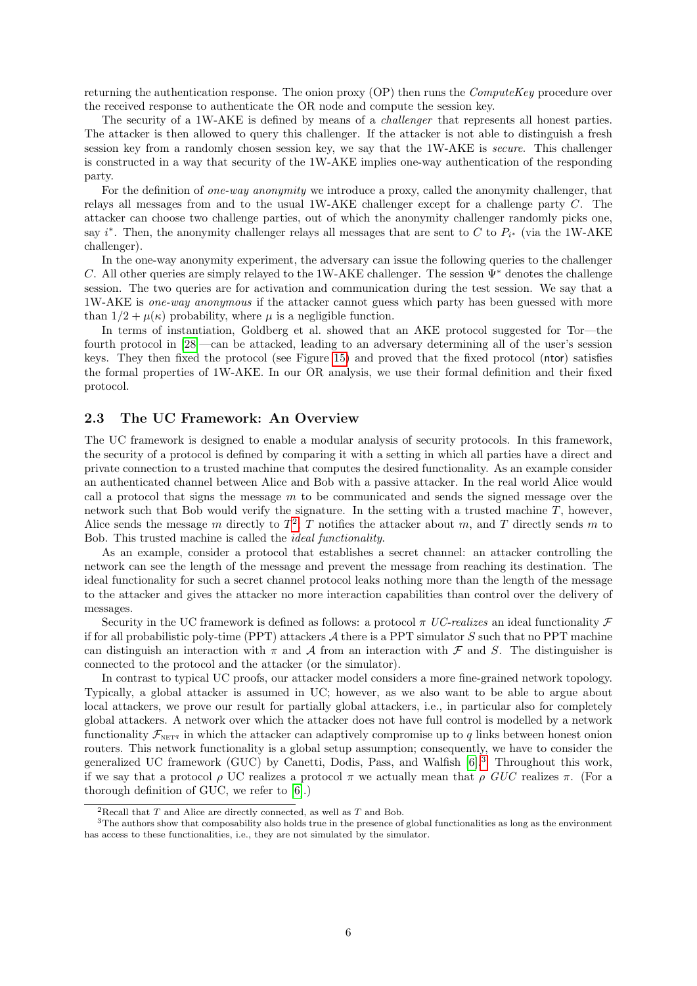returning the authentication response. The onion proxy  $(OP)$  then runs the *ComputeKey* procedure over the received response to authenticate the OR node and compute the session key.

The security of a 1W-AKE is defined by means of a *challenger* that represents all honest parties. The attacker is then allowed to query this challenger. If the attacker is not able to distinguish a fresh session key from a randomly chosen session key, we say that the 1W-AKE is *secure*. This challenger is constructed in a way that security of the 1W-AKE implies one-way authentication of the responding party.

For the definition of one-way anonymity we introduce a proxy, called the anonymity challenger, that relays all messages from and to the usual 1W-AKE challenger except for a challenge party C. The attacker can choose two challenge parties, out of which the anonymity challenger randomly picks one, say i<sup>\*</sup>. Then, the anonymity challenger relays all messages that are sent to C to  $P_{i^*}$  (via the 1W-AKE challenger).

In the one-way anonymity experiment, the adversary can issue the following queries to the challenger C. All other queries are simply relayed to the 1W-AKE challenger. The session  $\Psi^*$  denotes the challenge session. The two queries are for activation and communication during the test session. We say that a 1W-AKE is one-way anonymous if the attacker cannot guess which party has been guessed with more than  $1/2 + \mu(\kappa)$  probability, where  $\mu$  is a negligible function.

In terms of instantiation, Goldberg et al. showed that an AKE protocol suggested for Tor—the fourth protocol in [\[28\]](#page-35-1)—can be attacked, leading to an adversary determining all of the user's session keys. They then fixed the protocol (see Figure [15\)](#page-25-2) and proved that the fixed protocol (ntor) satisfies the formal properties of 1W-AKE. In our OR analysis, we use their formal definition and their fixed protocol.

## <span id="page-5-0"></span>2.3 The UC Framework: An Overview

The UC framework is designed to enable a modular analysis of security protocols. In this framework, the security of a protocol is defined by comparing it with a setting in which all parties have a direct and private connection to a trusted machine that computes the desired functionality. As an example consider an authenticated channel between Alice and Bob with a passive attacker. In the real world Alice would call a protocol that signs the message  $m$  to be communicated and sends the signed message over the network such that Bob would verify the signature. In the setting with a trusted machine  $T$ , however, Alice sends the message m directly to  $T^2$  $T^2$ ; T notifies the attacker about m, and T directly sends m to Bob. This trusted machine is called the ideal functionality.

As an example, consider a protocol that establishes a secret channel: an attacker controlling the network can see the length of the message and prevent the message from reaching its destination. The ideal functionality for such a secret channel protocol leaks nothing more than the length of the message to the attacker and gives the attacker no more interaction capabilities than control over the delivery of messages.

Security in the UC framework is defined as follows: a protocol  $\pi$  UC-realizes an ideal functionality  $\mathcal F$ if for all probabilistic poly-time (PPT) attackers  $A$  there is a PPT simulator  $S$  such that no PPT machine can distinguish an interaction with  $\pi$  and A from an interaction with F and S. The distinguisher is connected to the protocol and the attacker (or the simulator).

In contrast to typical UC proofs, our attacker model considers a more fine-grained network topology. Typically, a global attacker is assumed in UC; however, as we also want to be able to argue about local attackers, we prove our result for partially global attackers, i.e., in particular also for completely global attackers. A network over which the attacker does not have full control is modelled by a network functionality  $\mathcal{F}_{\text{NET}^q}$  in which the attacker can adaptively compromise up to q links between honest onion routers. This network functionality is a global setup assumption; consequently, we have to consider the generalized UC framework (GUC) by Canetti, Dodis, Pass, and Walfish [\[6\]](#page-34-14).[3](#page-5-2) Throughout this work, if we say that a protocol  $\rho$  UC realizes a protocol  $\pi$  we actually mean that  $\rho$  GUC realizes  $\pi$ . (For a thorough definition of GUC, we refer to [\[6\]](#page-34-14).)

<span id="page-5-2"></span><span id="page-5-1"></span><sup>&</sup>lt;sup>2</sup>Recall that  $T$  and Alice are directly connected, as well as  $T$  and Bob.

<sup>&</sup>lt;sup>3</sup>The authors show that composability also holds true in the presence of global functionalities as long as the environment has access to these functionalities, i.e., they are not simulated by the simulator.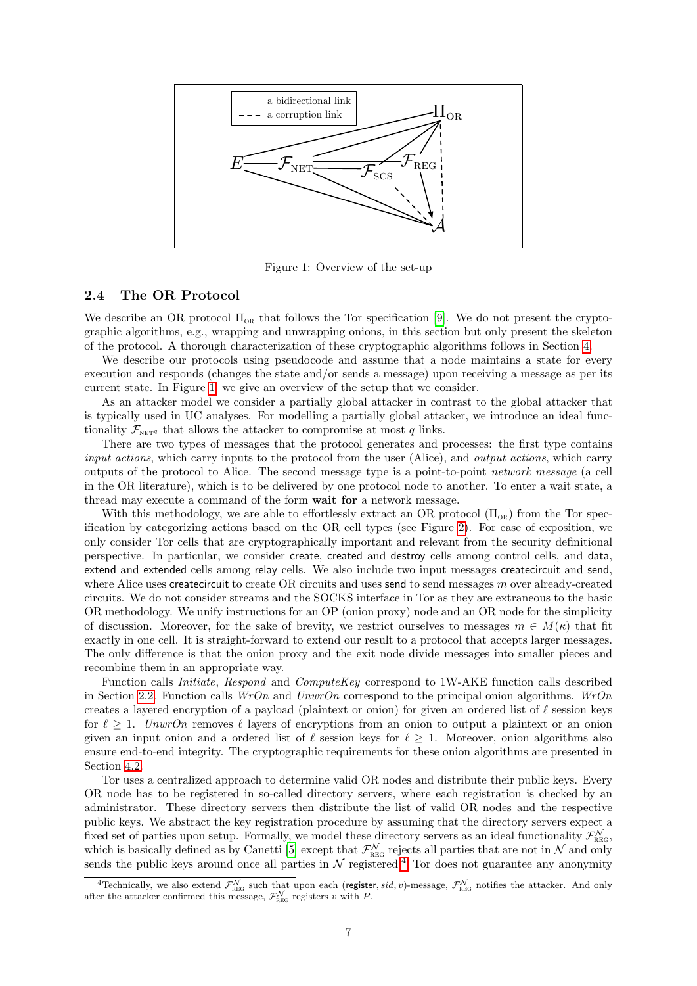

<span id="page-6-1"></span>Figure 1: Overview of the set-up

# <span id="page-6-0"></span>2.4 The OR Protocol

We describe an OR protocol  $\Pi_{OR}$  that follows the Tor specification [\[9\]](#page-34-15). We do not present the cryptographic algorithms, e.g., wrapping and unwrapping onions, in this section but only present the skeleton of the protocol. A thorough characterization of these cryptographic algorithms follows in Section [4.](#page-13-0)

We describe our protocols using pseudocode and assume that a node maintains a state for every execution and responds (changes the state and/or sends a message) upon receiving a message as per its current state. In Figure [1,](#page-6-1) we give an overview of the setup that we consider.

As an attacker model we consider a partially global attacker in contrast to the global attacker that is typically used in UC analyses. For modelling a partially global attacker, we introduce an ideal functionality  $\mathcal{F}_{\text{NET}q}$  that allows the attacker to compromise at most q links.

There are two types of messages that the protocol generates and processes: the first type contains input actions, which carry inputs to the protocol from the user (Alice), and *output actions*, which carry outputs of the protocol to Alice. The second message type is a point-to-point network message (a cell in the OR literature), which is to be delivered by one protocol node to another. To enter a wait state, a thread may execute a command of the form wait for a network message.

With this methodology, we are able to effortlessly extract an OR protocol  $(\Pi_{OR})$  from the Tor specification by categorizing actions based on the OR cell types (see Figure [2\)](#page-7-0). For ease of exposition, we only consider Tor cells that are cryptographically important and relevant from the security definitional perspective. In particular, we consider create, created and destroy cells among control cells, and data, extend and extended cells among relay cells. We also include two input messages createcircuit and send, where Alice uses createcircuit to create OR circuits and uses send to send messages m over already-created circuits. We do not consider streams and the SOCKS interface in Tor as they are extraneous to the basic OR methodology. We unify instructions for an OP (onion proxy) node and an OR node for the simplicity of discussion. Moreover, for the sake of brevity, we restrict ourselves to messages  $m \in M(\kappa)$  that fit exactly in one cell. It is straight-forward to extend our result to a protocol that accepts larger messages. The only difference is that the onion proxy and the exit node divide messages into smaller pieces and recombine them in an appropriate way.

Function calls *Initiate, Respond* and *ComputeKey* correspond to 1W-AKE function calls described in Section [2.2.](#page-4-1) Function calls  $WrOn$  and  $UnwrOn$  correspond to the principal onion algorithms.  $WrOn$ creates a layered encryption of a payload (plaintext or onion) for given an ordered list of  $\ell$  session keys for  $\ell \geq 1$ . UnwrOn removes  $\ell$  layers of encryptions from an onion to output a plaintext or an onion given an input onion and a ordered list of  $\ell$  session keys for  $\ell \geq 1$ . Moreover, onion algorithms also ensure end-to-end integrity. The cryptographic requirements for these onion algorithms are presented in Section [4.2.](#page-15-0)

Tor uses a centralized approach to determine valid OR nodes and distribute their public keys. Every OR node has to be registered in so-called directory servers, where each registration is checked by an administrator. These directory servers then distribute the list of valid OR nodes and the respective public keys. We abstract the key registration procedure by assuming that the directory servers expect a fixed set of parties upon setup. Formally, we model these directory servers as an ideal functionality  $\mathcal{F}_{\text{REG}}^{\mathcal{N}}$ , which is basically defined as by Canetti [\[5\]](#page-34-16) except that  $\mathcal{F}_{\text{REG}}^{\mathcal{N}}$  rejects all parties that are not in  $\mathcal{N}$  and only sends the public keys around once all parties in  $N$  registered.<sup>[4](#page-6-2)</sup> Tor does not guarantee any anonymity

<span id="page-6-2"></span><sup>&</sup>lt;sup>4</sup>Technically, we also extend  $\mathcal{F}_{\text{REG}}^{\mathcal{N}}$  such that upon each (register, sid, v)-message,  $\mathcal{F}_{\text{REG}}^{\mathcal{N}}$  notifies the attacker. And only after the attacker confirmed this message,  $\mathcal{F}_{\text{REG}}^{\mathcal{N}}$  registers v with P.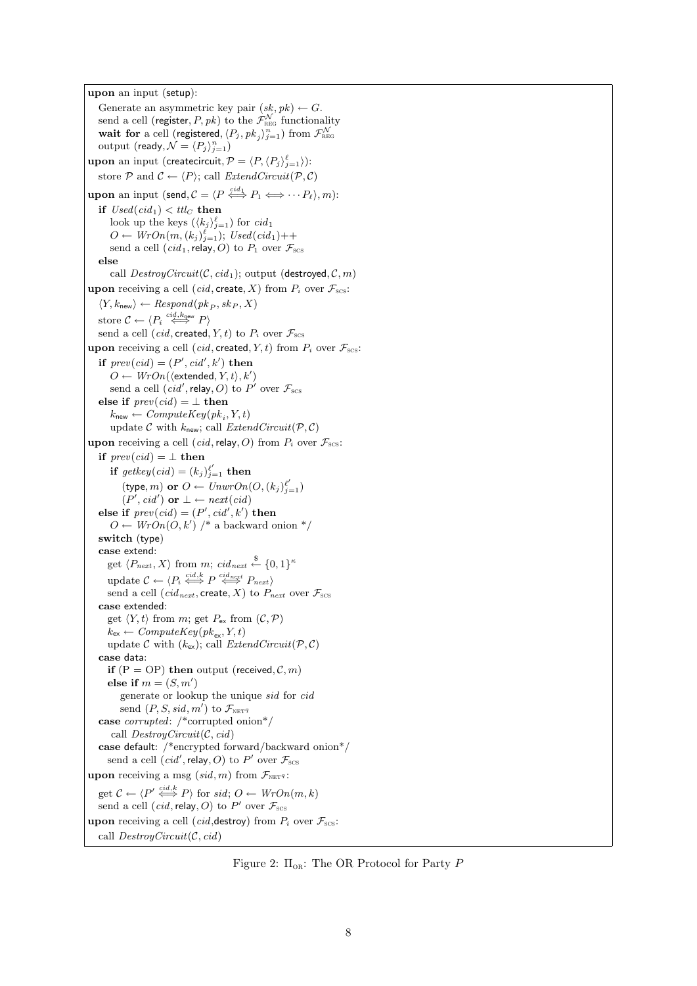upon an input (setup): Generate an asymmetric key pair  $(sk, pk) \leftarrow G$ . send a cell (register,  $P, pk)$  to the  $\mathcal{F}^{\mathcal{N}}_{\text{\tiny REG}}$  functionality wait for a cell (registered,  $\langle P_j , \mathit{pk}_j \rangle_{j=1}^n$ ) from  $\mathcal{F}^{\mathcal{N}}_{\text{\tiny REG}}$ output (ready,  $\mathcal{N} = \langle P_j \rangle_{j=1}^n$ ) upon an input (createcircuit,  $\mathcal{P} = \langle P,\langle P_j\rangle_{j=1}^{\ell}\rangle)$ : store P and  $C \leftarrow \langle P \rangle$ ; call *ExtendCircuit*(P, C) **upon** an input (send,  $\mathcal{C} = \langle P \stackrel{cid_1}{\iff} P_1 \Longleftrightarrow \cdots P_\ell \rangle, m$ ): if  $Used(cid_1) < ttlc$  then look up the keys  $(\langle k_j \rangle_{j=1}^{\ell})$  for  $cid_1$  $O \leftarrow WrOn(m, (k_j)_{j=1}^{\ell}); Used(cid_1)+\cdots$ send a cell  $(cid_1,$ relay, O) to  $P_1$  over  $\mathcal{F}_{\text{scs}}$ else call  $DestroyCircuit(C, cid_1);$  output (destroyed,  $C, m$ ) upon receiving a cell (cid, create, X) from  $P_i$  over  $\mathcal{F}_{\text{scs}}$ :  $\langle Y, k_{\text{new}} \rangle \leftarrow Respond(pk_P, sk_P, X)$ store  $C \leftarrow \langle P_i \stackrel{cid, k_{\text{new}}}{\iff} P \rangle$ send a cell  $(cid, \text{created}, Y, t)$  to  $P_i$  over  $\mathcal{F}_{\text{scs}}$ upon receiving a cell (cid, created, Y, t) from  $P_i$  over  $\mathcal{F}_{\text{scs}}$ : if  $prev(cid) = (P', cid', k')$  then  $O \leftarrow WrOn(\langle \text{extended}, Y, t \rangle, k')$ send a cell  $(\text{cid}', \text{relay}, O)$  to  $P'$  over  $\mathcal{F}_{\text{scs}}$ else if  $prev(cid) = \perp$  then  $k_{\text{new}} \leftarrow ComputeKey(pk_i, Y, t)$ update C with  $k_{\text{new}}$ ; call  $ExtendCircuit(\mathcal{P}, \mathcal{C})$ upon receiving a cell (cid, relay, O) from  $P_i$  over  $\mathcal{F}_{\text{scs}}$ : if  $prev(cid) = \perp$  then if  $\text{getkey}(\text{cid}) = (k_j)_{j=1}^{\ell'}$  then (type, *m*) or  $O \leftarrow UnwrOn(O, (k_j)_{j=1}^{\ell'})$  $(P', cid')$  or  $\bot \leftarrow next(cid)$ else if  $prev(cid) = (P', cid', k')$  then  $O \leftarrow WrOn(O, k')$  /\* a backward onion \*/ switch (type) case extend: get  $\langle P_{next}, X \rangle$  from m;  $cid_{next} \stackrel{\$}{\leftarrow} \{0, 1\}^{\kappa}$ update  $C \leftarrow \langle P_i \stackrel{cid, k}{\iff} P \stackrel{cid_{next}}{\iff} P_{next} \rangle$ send a cell (cid<sub>next</sub>, create, X) to  $P_{next}$  over  $\mathcal{F}_{scs}$ case extended: get  $\langle Y, t \rangle$  from m; get  $P_{\text{ex}}$  from  $(C, \mathcal{P})$  $k_{\text{ex}} \leftarrow ComputeKey(pk_{\text{ex}}, Y, t)$ update C with  $(k_{ex})$ ; call *ExtendCircuit*( $P, C$ ) case data: if  $(P = OP)$  then output (received,  $C, m$ ) else if  $m = (S, m')$ generate or lookup the unique sid for cid send  $(P, S, sid, m')$  to  $\mathcal{F}_{\text{NET}}q$ case corrupted: /\*corrupted onion\*/ call  $DestroyCircuit(C, cid)$ case default: /\*encrypted forward/backward onion\*/ send a cell  $(cid', \text{relay}, O)$  to  $P'$  over  $\mathcal{F}_{\text{scs}}$ upon receiving a msg  $(sid, m)$  from  $\mathcal{F}_{\text{NET}^q}$ : get  $\mathcal{C} \leftarrow \langle P' \stackrel{cid, k}{\iff} P \rangle$  for sid;  $O \leftarrow WrOn(m, k)$ send a cell  $(cid,$ relay, O) to  $P'$  over  $\mathcal{F}_{\text{sc}}$ upon receiving a cell (*cid*, destroy) from  $P_i$  over  $\mathcal{F}_{\text{scs}}$ : call  $DestrouCircuit(C, cid)$ 

<span id="page-7-0"></span>Figure 2:  $\Pi_{OR}$ : The OR Protocol for Party P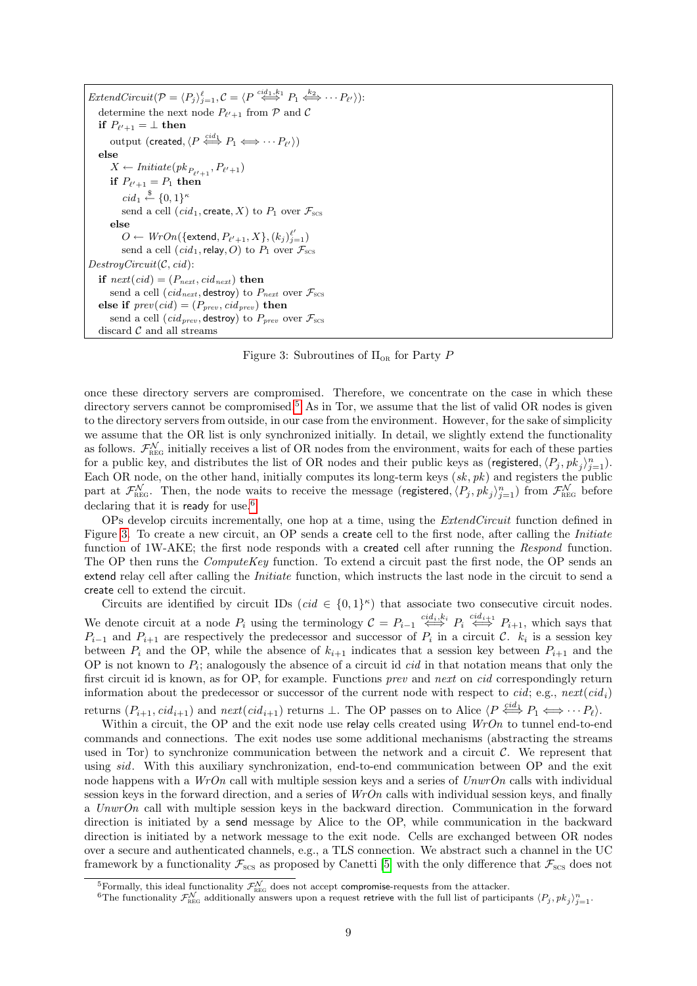| <i>ExtendCircuit</i> $(\mathcal{P} = \langle P_j \rangle_{i=1}^{\ell}, \mathcal{C} = \langle P \stackrel{cid_1, k_1}{\iff} P_1 \stackrel{k_2}{\iff} \cdots P_{\ell'} \rangle)$ : |  |  |  |  |
|----------------------------------------------------------------------------------------------------------------------------------------------------------------------------------|--|--|--|--|
| determine the next node $P_{\ell'+1}$ from P and C                                                                                                                               |  |  |  |  |
| if $P_{\ell'+1} = \perp$ then                                                                                                                                                    |  |  |  |  |
| output (created, $\langle P \stackrel{cid_1}{\iff} P_1 \iff \cdots P_{\ell'} \rangle$ )                                                                                          |  |  |  |  |
| else                                                                                                                                                                             |  |  |  |  |
| $X \leftarrow \text{Initiate}(pk_{P_{\ell'+1}}, P_{\ell'+1})$                                                                                                                    |  |  |  |  |
| if $P_{\ell'+1} = P_1$ then                                                                                                                                                      |  |  |  |  |
| $cid_1 \stackrel{\$}{\leftarrow} \{0,1\}^{\kappa}$                                                                                                                               |  |  |  |  |
| send a cell $(cid_1, \text{create}, X)$ to $P_1$ over $\mathcal{F}_{\text{scs}}$                                                                                                 |  |  |  |  |
| else                                                                                                                                                                             |  |  |  |  |
| $O \leftarrow WrOn(\{\text{extend}, P_{\ell'+1}, X\}, (k_i)_{i=1}^{\ell'})$                                                                                                      |  |  |  |  |
| send a cell $(cid_1,$ relay, O to $P_1$ over $\mathcal{F}_{\text{sc}}$                                                                                                           |  |  |  |  |
| DestroyCircuit(C, cid):                                                                                                                                                          |  |  |  |  |
| if $next(cid) = (P_{next}, cid_{next})$ then                                                                                                                                     |  |  |  |  |
| send a cell ( <i>cid<sub>next</sub></i> , destroy) to $P_{next}$ over $\mathcal{F}_{scs}$                                                                                        |  |  |  |  |
| else if $prev(cid) = (P_{prev}, cd_{prev})$ then                                                                                                                                 |  |  |  |  |
| send a cell ( <i>cid<sub>prev</sub></i> , destroy) to $P_{prev}$ over $\mathcal{F}_{scs}$                                                                                        |  |  |  |  |
| discard $\mathcal C$ and all streams                                                                                                                                             |  |  |  |  |

<span id="page-8-2"></span>Figure 3: Subroutines of  $\Pi_{OR}$  for Party P

once these directory servers are compromised. Therefore, we concentrate on the case in which these directory servers cannot be compromised.<sup>[5](#page-8-0)</sup> As in Tor, we assume that the list of valid OR nodes is given to the directory servers from outside, in our case from the environment. However, for the sake of simplicity we assume that the OR list is only synchronized initially. In detail, we slightly extend the functionality as follows.  $\mathcal{F}_{\text{REG}}^{\mathcal{N}}$  initially receives a list of OR nodes from the environment, waits for each of these parties for a public key, and distributes the list of OR nodes and their public keys as (registered,  $\langle P_j, pk_j \rangle_{j=1}^n$ ). Each OR node, on the other hand, initially computes its long-term keys  $(sk, pk)$  and registers the public part at  $\mathcal{F}_{\text{REG}}^{\mathcal{N}}$ . Then, the node waits to receive the message (registered,  $\langle P_j, pk_j \rangle_{j=1}^n$ ) from  $\mathcal{F}_{\text{REG}}^{\mathcal{N}}$  before declaring that it is ready for use.<sup>[6](#page-8-1)</sup>

OPs develop circuits incrementally, one hop at a time, using the *ExtendCircuit* function defined in Figure [3.](#page-8-2) To create a new circuit, an OP sends a create cell to the first node, after calling the *Initiate* function of 1W-AKE; the first node responds with a **created** cell after running the *Respond* function. The OP then runs the  $ComputeKey$  function. To extend a circuit past the first node, the OP sends an extend relay cell after calling the *Initiate* function, which instructs the last node in the circuit to send a create cell to extend the circuit.

Circuits are identified by circuit IDs  $(cid \in \{0,1\}^{\kappa})$  that associate two consecutive circuit nodes.

We denote circuit at a node  $P_i$  using the terminology  $C = P_{i-1} \stackrel{cid_i, k_i}{\iff} P_i \stackrel{cid_{i+1}}{\iff} P_{i+1}$ , which says that  $P_{i-1}$  and  $P_{i+1}$  are respectively the predecessor and successor of  $P_i$  in a circuit  $\mathcal{C}$ .  $k_i$  is a session key between  $P_i$  and the OP, while the absence of  $k_{i+1}$  indicates that a session key between  $P_{i+1}$  and the OP is not known to  $P_i$ ; analogously the absence of a circuit id *cid* in that notation means that only the first circuit id is known, as for OP, for example. Functions prev and next on cid correspondingly return information about the predecessor or successor of the current node with respect to cid; e.g.,  $next(cid_i)$ returns  $(P_{i+1}, cid_{i+1})$  and  $next(cid_{i+1})$  returns  $\perp$ . The OP passes on to Alice  $\langle P \stackrel{cid_1}{\iff} P_1 \Longleftrightarrow \cdots P_\ell \rangle$ .

Within a circuit, the OP and the exit node use relay cells created using  $WrOn$  to tunnel end-to-end commands and connections. The exit nodes use some additional mechanisms (abstracting the streams used in Tor) to synchronize communication between the network and a circuit  $\mathcal{C}$ . We represent that using sid. With this auxiliary synchronization, end-to-end communication between OP and the exit node happens with a  $WrOn$  call with multiple session keys and a series of  $Unwron$  calls with individual session keys in the forward direction, and a series of  $WrOn$  calls with individual session keys, and finally a UnwrOn call with multiple session keys in the backward direction. Communication in the forward direction is initiated by a send message by Alice to the OP, while communication in the backward direction is initiated by a network message to the exit node. Cells are exchanged between OR nodes over a secure and authenticated channels, e.g., a TLS connection. We abstract such a channel in the UC framework by a functionality  $\mathcal{F}_{\text{SCS}}$  as proposed by Canetti [\[5\]](#page-34-16) with the only difference that  $\mathcal{F}_{\text{SCS}}$  does not

<span id="page-8-1"></span><span id="page-8-0"></span>

<sup>&</sup>lt;sup>5</sup>Formally, this ideal functionality  $\mathcal{F}_{\text{REG}}^{\mathcal{N}}$  does not accept **compromise**-requests from the attacker.<br><sup>6</sup>The functionality  $\mathcal{F}_{\text{REG}}^{\mathcal{N}}$  additionally answers upon a request retrieve with the full list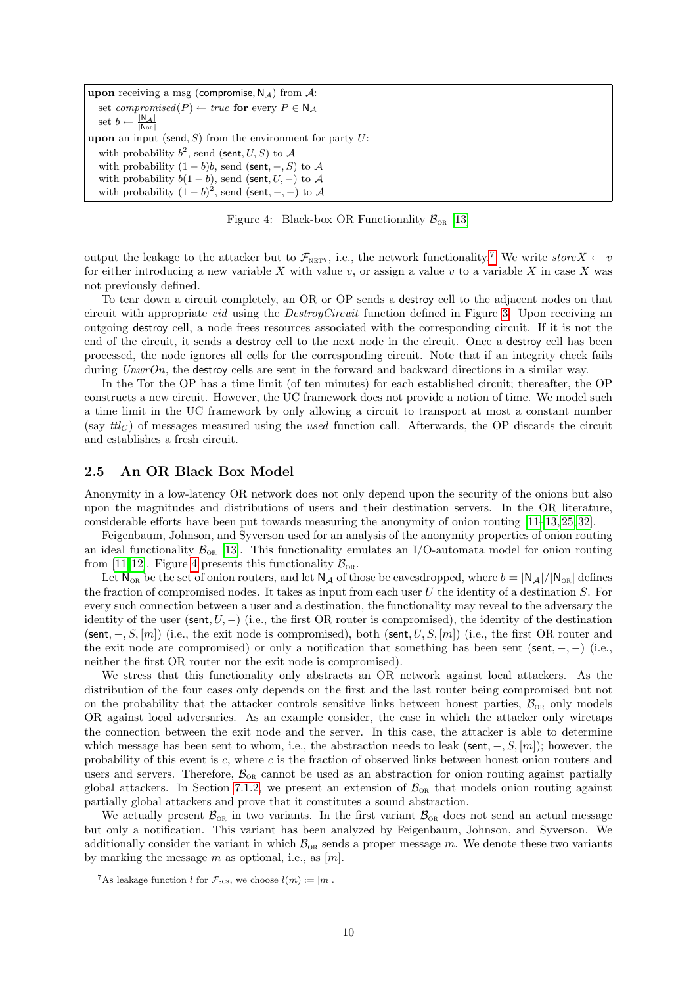upon receiving a msg (compromise,  $N_A$ ) from A: set *compromised*( $P$ ) ← *true* for every  $P \in N_A$ set  $b \leftarrow \frac{|\mathsf{N}_{\mathcal{A}}|}{|\mathsf{N}_{\text{OR}}|}$ upon an input (send, S) from the environment for party  $U$ : with probability  $b^2$ , send (sent,  $U, S$ ) to  $A$ with probability  $(1 - b)b$ , send (sent,  $-, S$ ) to A with probability  $b(1 - b)$ , send (sent,  $U, -$ ) to A with probability  $(1-b)^2$ , send (sent, -, -) to A

<span id="page-9-2"></span>Figure 4: Black-box OR Functionality  $\mathcal{B}_{OR}$  [\[13\]](#page-34-6)

output the leakage to the attacker but to  $\mathcal{F}_{\text{NET}^q}$ , i.e., the network functionality.<sup>[7](#page-9-1)</sup> We write store  $X \leftarrow v$ for either introducing a new variable X with value  $v$ , or assign a value  $v$  to a variable X in case X was not previously defined.

To tear down a circuit completely, an OR or OP sends a destroy cell to the adjacent nodes on that circuit with appropriate *cid* using the *DestroyCircuit* function defined in Figure [3.](#page-8-2) Upon receiving an outgoing destroy cell, a node frees resources associated with the corresponding circuit. If it is not the end of the circuit, it sends a destroy cell to the next node in the circuit. Once a destroy cell has been processed, the node ignores all cells for the corresponding circuit. Note that if an integrity check fails during UnwrOn, the destroy cells are sent in the forward and backward directions in a similar way.

In the Tor the OP has a time limit (of ten minutes) for each established circuit; thereafter, the OP constructs a new circuit. However, the UC framework does not provide a notion of time. We model such a time limit in the UC framework by only allowing a circuit to transport at most a constant number (say  $ttl_C$ ) of messages measured using the used function call. Afterwards, the OP discards the circuit and establishes a fresh circuit.

## <span id="page-9-0"></span>2.5 An OR Black Box Model

Anonymity in a low-latency OR network does not only depend upon the security of the onions but also upon the magnitudes and distributions of users and their destination servers. In the OR literature, considerable efforts have been put towards measuring the anonymity of onion routing [\[11–](#page-34-8)[13,](#page-34-6) [25,](#page-35-6) [32\]](#page-35-9).

Feigenbaum, Johnson, and Syverson used for an analysis of the anonymity properties of onion routing an ideal functionality  $\mathcal{B}_{OR}$  [\[13\]](#page-34-6). This functionality emulates an I/O-automata model for onion routing from [\[11,](#page-34-8) [12\]](#page-34-2). Figure [4](#page-9-2) presents this functionality  $\mathcal{B}_{OR}$ .

Let  $N_{OR}$  be the set of onion routers, and let  $N_A$  of those be eavesdropped, where  $b = |N_A|/|N_{OR}|$  defines the fraction of compromised nodes. It takes as input from each user  $U$  the identity of a destination  $S$ . For every such connection between a user and a destination, the functionality may reveal to the adversary the identity of the user (sent,  $U$ ,  $-$ ) (i.e., the first OR router is compromised), the identity of the destination (sent,  $-, S, [m]$ ) (i.e., the exit node is compromised), both (sent,  $U, S, [m]$ ) (i.e., the first OR router and the exit node are compromised) or only a notification that something has been sent (sent,  $-$ ,  $-$ ) (i.e., neither the first OR router nor the exit node is compromised).

We stress that this functionality only abstracts an OR network against local attackers. As the distribution of the four cases only depends on the first and the last router being compromised but not on the probability that the attacker controls sensitive links between honest parties,  $\mathcal{B}_{OR}$  only models OR against local adversaries. As an example consider, the case in which the attacker only wiretaps the connection between the exit node and the server. In this case, the attacker is able to determine which message has been sent to whom, i.e., the abstraction needs to leak (sent,  $-, S, [m]$ ); however, the probability of this event is c, where c is the fraction of observed links between honest onion routers and users and servers. Therefore,  $\mathcal{B}_{OR}$  cannot be used as an abstraction for onion routing against partially global attackers. In Section [7.1.2,](#page-28-0) we present an extension of  $\mathcal{B}_{OR}$  that models onion routing against partially global attackers and prove that it constitutes a sound abstraction.

We actually present  $\mathcal{B}_{OR}$  in two variants. In the first variant  $\mathcal{B}_{OR}$  does not send an actual message but only a notification. This variant has been analyzed by Feigenbaum, Johnson, and Syverson. We additionally consider the variant in which  $\mathcal{B}_{OR}$  sends a proper message m. We denote these two variants by marking the message m as optional, i.e., as  $[m]$ .

<span id="page-9-1"></span><sup>&</sup>lt;sup>7</sup>As leakage function *l* for  $\mathcal{F}_{SCS}$ , we choose  $l(m) := |m|$ .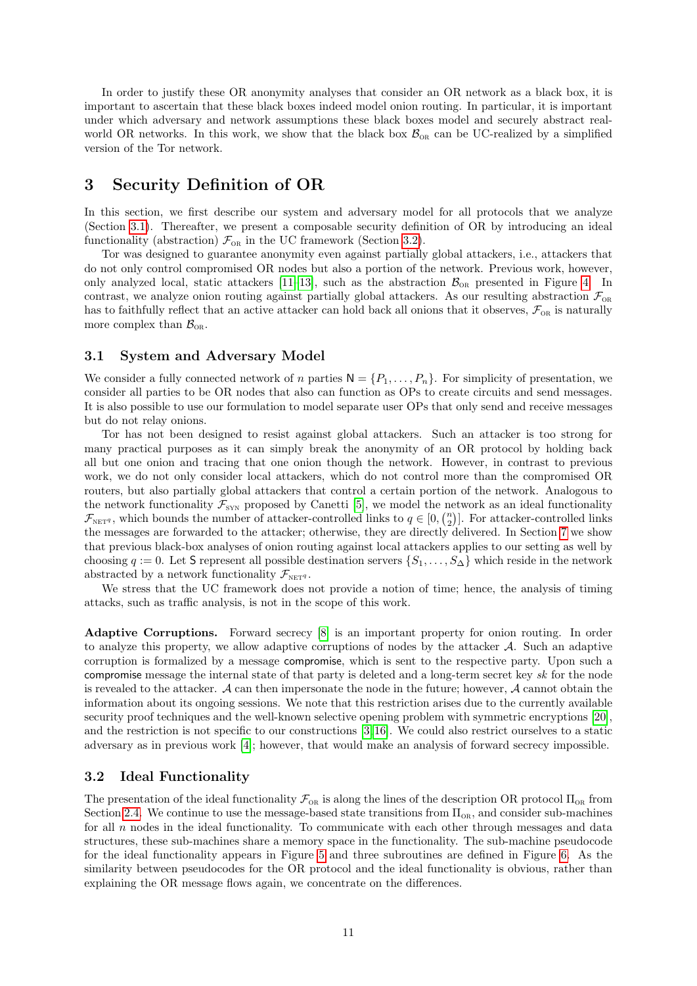In order to justify these OR anonymity analyses that consider an OR network as a black box, it is important to ascertain that these black boxes indeed model onion routing. In particular, it is important under which adversary and network assumptions these black boxes model and securely abstract realworld OR networks. In this work, we show that the black box  $\mathcal{B}_{OR}$  can be UC-realized by a simplified version of the Tor network.

# <span id="page-10-0"></span>3 Security Definition of OR

In this section, we first describe our system and adversary model for all protocols that we analyze (Section [3.1\)](#page-10-1). Thereafter, we present a composable security definition of OR by introducing an ideal functionality (abstraction)  $\mathcal{F}_{OR}$  in the UC framework (Section [3.2\)](#page-10-2).

Tor was designed to guarantee anonymity even against partially global attackers, i.e., attackers that do not only control compromised OR nodes but also a portion of the network. Previous work, however, only analyzed local, static attackers [\[11–](#page-34-8)[13\]](#page-34-6), such as the abstraction  $B_{OR}$  presented in Figure [4.](#page-9-2) In contrast, we analyze onion routing against partially global attackers. As our resulting abstraction  $\mathcal{F}_{OR}$ has to faithfully reflect that an active attacker can hold back all onions that it observes,  $\mathcal{F}_{OR}$  is naturally more complex than  $\mathcal{B}_{OR}$ .

# <span id="page-10-1"></span>3.1 System and Adversary Model

We consider a fully connected network of n parties  $N = \{P_1, \ldots, P_n\}$ . For simplicity of presentation, we consider all parties to be OR nodes that also can function as OPs to create circuits and send messages. It is also possible to use our formulation to model separate user OPs that only send and receive messages but do not relay onions.

Tor has not been designed to resist against global attackers. Such an attacker is too strong for many practical purposes as it can simply break the anonymity of an OR protocol by holding back all but one onion and tracing that one onion though the network. However, in contrast to previous work, we do not only consider local attackers, which do not control more than the compromised OR routers, but also partially global attackers that control a certain portion of the network. Analogous to the network functionality  $\mathcal{F}_{SYN}$  proposed by Canetti [\[5\]](#page-34-16), we model the network as an ideal functionality  $\mathcal{F}_{\text{NET}^q}$ , which bounds the number of attacker-controlled links to  $q \in [0, \binom{n}{2}]$ . For attacker-controlled links the messages are forwarded to the attacker; otherwise, they are directly delivered. In Section [7](#page-25-0) we show that previous black-box analyses of onion routing against local attackers applies to our setting as well by choosing  $q := 0$ . Let S represent all possible destination servers  $\{S_1, \ldots, S_{\Delta}\}\$  which reside in the network abstracted by a network functionality  $\mathcal{F}_{\text{NET}^q}$ .

We stress that the UC framework does not provide a notion of time; hence, the analysis of timing attacks, such as traffic analysis, is not in the scope of this work.

Adaptive Corruptions. Forward secrecy [\[8\]](#page-34-3) is an important property for onion routing. In order to analyze this property, we allow adaptive corruptions of nodes by the attacker  $\mathcal{A}$ . Such an adaptive corruption is formalized by a message compromise, which is sent to the respective party. Upon such a compromise message the internal state of that party is deleted and a long-term secret key sk for the node is revealed to the attacker. A can then impersonate the node in the future; however, A cannot obtain the information about its ongoing sessions. We note that this restriction arises due to the currently available security proof techniques and the well-known selective opening problem with symmetric encryptions [\[20\]](#page-34-17), and the restriction is not specific to our constructions [\[3,](#page-34-18) [16\]](#page-34-19). We could also restrict ourselves to a static adversary as in previous work [\[4\]](#page-34-1); however, that would make an analysis of forward secrecy impossible.

# <span id="page-10-2"></span>3.2 Ideal Functionality

The presentation of the ideal functionality  $\mathcal{F}_{OR}$  is along the lines of the description OR protocol  $\Pi_{OR}$  from Section [2.4.](#page-6-0) We continue to use the message-based state transitions from  $\Pi_{OR}$ , and consider sub-machines for all  $n$  nodes in the ideal functionality. To communicate with each other through messages and data structures, these sub-machines share a memory space in the functionality. The sub-machine pseudocode for the ideal functionality appears in Figure [5](#page-11-0) and three subroutines are defined in Figure [6.](#page-12-0) As the similarity between pseudocodes for the OR protocol and the ideal functionality is obvious, rather than explaining the OR message flows again, we concentrate on the differences.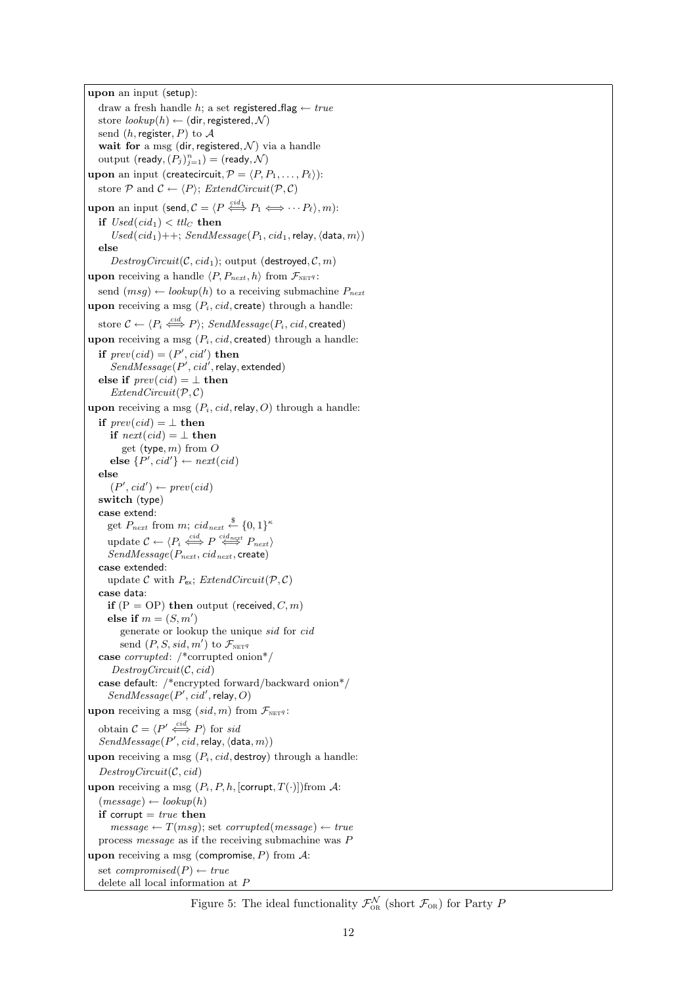upon an input (setup): draw a fresh handle  $h$ ; a set registered\_flag  $\leftarrow true$ store  $\{lookup(h) \leftarrow (dir, registered, \mathcal{N})$ send  $(h, \text{register}, P)$  to  $\mathcal{A}$ wait for a msg (dir, registered,  $\mathcal N$ ) via a handle output  $(\mathsf{ready}, (P_j)_{j=1}^n) = (\mathsf{ready}, \mathcal{N})$ upon an input (createcircuit,  $P = \langle P, P_1, \ldots, P_\ell \rangle$ ): store  $P$  and  $C \leftarrow \langle P \rangle$ ; *ExtendCircuit*( $P, C$ ) **upon** an input (send,  $\mathcal{C} = \langle P \stackrel{cid_1}{\iff} P_1 \Longleftrightarrow \cdots P_\ell \rangle, m$ ): if  $Used(cid_1) < ttlc$  then  $\label{eq:used} Used(cid_1)++; \: SendMessage(P_1,\,cid_1,\text{relay},\langle\texttt{data}, m\rangle)$ else  $DestroyCircuit(C, cid<sub>1</sub>);$  output (destroyed,  $C, m$ ) upon receiving a handle  $\langle P, P_{next}, h \rangle$  from  $\mathcal{F}_{\text{NET}^q}$ : send  $(msg) \leftarrow lookup(h)$  to a receiving submachine  $P_{next}$ upon receiving a msg  $(P_i, cid, \text{create})$  through a handle: store  $\mathcal{C} \leftarrow \langle P_i \stackrel{cid}{\iff} P \rangle; \mathit{SendMessage}(P_i,\mathit{cid},\mathsf{created})$ upon receiving a msg  $(P_i, cid, \text{created})$  through a handle: if  $prev(cid) = (P', cid')$  then  $SendMessage(P', cid', \text{relay}, \text{extended})$ else if  $prev(cid) = \perp$  then  $ExtendCircuit(\mathcal{P}, \mathcal{C})$ upon receiving a msg  $(P_i, cid,$ relay, O) through a handle: if  $prev(cid) = \perp$  then if  $next(cid) = \perp$  then get (type,  $m$ ) from  $O$ else  $\{P', cid'\} \leftarrow next(cid)$ else  $(P', cid') \leftarrow prev(cid)$ switch (type) case extend: get  $P_{next}$  from m; cid<sub>next</sub>  $\overset{\$}{\leftarrow}$  {0, 1}<sup> $\kappa$ </sup> update  $C \leftarrow \langle P_i \stackrel{cid}{\iff} P \stackrel{cid_{next}}{\iff} P_{next} \rangle$  $SendMessage(P_{next}, cid_{next}, \text{create})$ case extended: update C with  $P_{\text{ex}}$ ; ExtendCircuit( $P, C$ ) case data: if  $(P = OP)$  then output (received,  $C, m$ ) else if  $m = (S, m')$ generate or lookup the unique sid for cid send  $(P, S, sid, m')$  to  $\mathcal{F}_{\texttt{NET}q}$ case corrupted: /\*corrupted onion\*/  $DestroyCircuit(C, cid)$ case default: /\*encrypted forward/backward onion\*/  $SendMessage(P',cid',relay, O)$ upon receiving a msg  $(sid, m)$  from  $\mathcal{F}_{\text{NET}^q}$ : obtain  $\mathcal{C} = \langle P' \stackrel{cid}{\iff} P \rangle$  for sid  $SendMessage(P',cid, relay,\langle data, m \rangle)$ upon receiving a msg  $(P_i, cid, \text{destroy})$  through a handle:  $DestroyCircuit(C, cid)$ upon receiving a msg  $(P_i, P, h, \text{[corrupt}, T(\cdot)])$ from A:  $(message) \leftarrow lookup(h)$ if corrupt  $= true$  then  $message \leftarrow T(msg)$ ; set *corrupted*(*message*)  $\leftarrow true$ process message as if the receiving submachine was P upon receiving a msg (compromise,  $P$ ) from  $\mathcal{A}$ : set compromised $(P) \leftarrow true$ delete all local information at P

<span id="page-11-0"></span>Figure 5: The ideal functionality  $\mathcal{F}_{OR}^{\mathcal{N}}$  (short  $\mathcal{F}_{OR}$ ) for Party P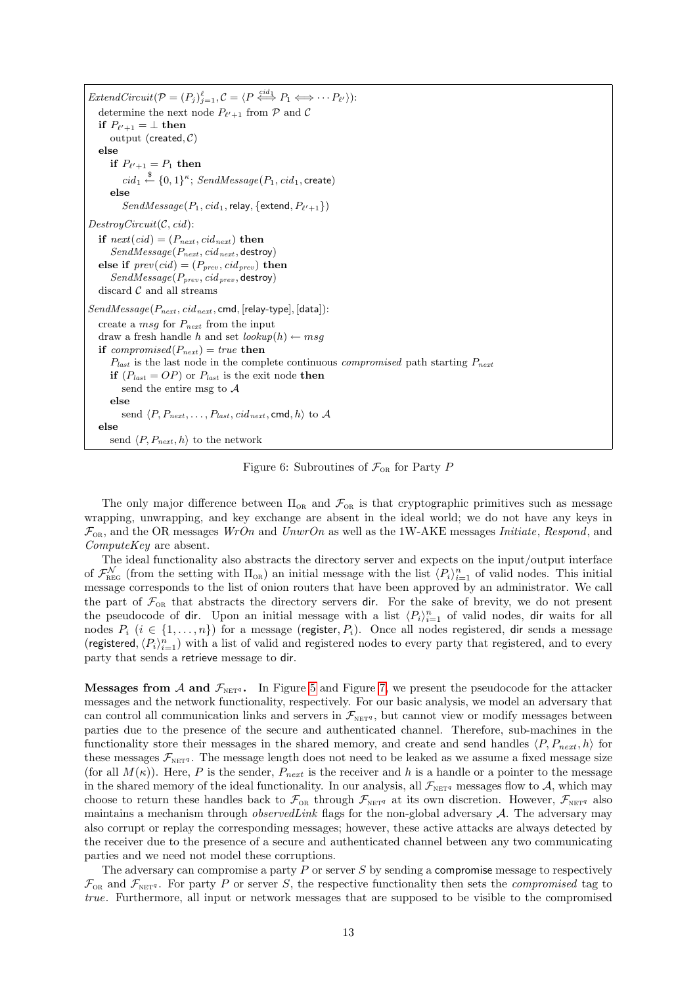$ExtendCircuit(\mathcal{P}=(P_j)_{j=1}^{\ell}, \mathcal{C}=\langle P \stackrel{cid_1}{\iff} P_1 \Longleftrightarrow \cdots P_{\ell'} \rangle).$ determine the next node  $P_{\ell'+1}$  from  $P$  and  $C$ if  $P_{\ell'+1} = \bot$  then output (created,  $C$ ) else if  $P_{\ell'+1} = P_1$  then  $cid_1 \stackrel{\$}{\leftarrow} \{0,1\}^{\kappa};\ SendMessage(P_1, cid_1, \textsf{create})$ else  $SendMessage(P_1, cid_1,$ relay,  $\{\textsf{extend},P_{\ell'+1}\})$  $DestroyCircuit(C, cid):$ if  $next(cid) = (P_{next}, cid_{next})$  then  $SendMessage(P_{next}, cid_{next},$  destroy) else if  $prev(cid) = (P_{prev}, cid_{prev})$  then  $SendMessage(P_{prev}, cid_{prev}, \text{destroy})$ discard  $\mathcal C$  and all streams  $SendMessage(P_{next},cid_{next}, \text{cmd}, [\text{relay-type}], [\text{data}]).$ create a msg for  $P_{next}$  from the input draw a fresh handle h and set  $\text{lookup}(h) \leftarrow msg$ if compromised( $P_{next}$ ) = true then  $P_{last}$  is the last node in the complete continuous *compromised* path starting  $P_{next}$ if  $(P_{last} = OP)$  or  $P_{last}$  is the exit node then send the entire msg to  $A$ else send  $\langle P, P_{next}, \ldots, P_{last}, cid_{next}, \text{cmd}, h \rangle$  to A else send  $\langle P, P_{next}, h \rangle$  to the network

<span id="page-12-0"></span>Figure 6: Subroutines of  $\mathcal{F}_{OR}$  for Party P

The only major difference between  $\Pi_{OR}$  and  $\mathcal{F}_{OR}$  is that cryptographic primitives such as message wrapping, unwrapping, and key exchange are absent in the ideal world; we do not have any keys in  $\mathcal{F}_{OR}$ , and the OR messages WrOn and UnwrOn as well as the 1W-AKE messages Initiate, Respond, and ComputeKey are absent.

The ideal functionality also abstracts the directory server and expects on the input/output interface of  $\mathcal{F}_{\text{REG}}^{\mathcal{N}}$  (from the setting with  $\Pi_{\text{OR}}$ ) an initial message with the list  $\langle P_i \rangle_{i=1}^n$  of valid nodes. This initial message corresponds to the list of onion routers that have been approved by an administrator. We call the part of  $\mathcal{F}_{OR}$  that abstracts the directory servers dir. For the sake of brevity, we do not present the pseudocode of dir. Upon an initial message with a list  $\langle P_i \rangle_{i=1}^n$  of valid nodes, dir waits for all nodes  $P_i$  ( $i \in \{1, \ldots, n\}$ ) for a message (register,  $P_i$ ). Once all nodes registered, dir sends a message (registered,  $\langle P_i \rangle_{i=1}^n$ ) with a list of valid and registered nodes to every party that registered, and to every party that sends a retrieve message to dir.

**Messages from A and**  $\mathcal{F}_{\text{NET}^q}$ **.** In Figure [5](#page-11-0) and Figure [7,](#page-13-1) we present the pseudocode for the attacker messages and the network functionality, respectively. For our basic analysis, we model an adversary that can control all communication links and servers in  $\mathcal{F}_{\text{NET}q}$ , but cannot view or modify messages between parties due to the presence of the secure and authenticated channel. Therefore, sub-machines in the functionality store their messages in the shared memory, and create and send handles  $\langle P, P_{next}, h \rangle$  for these messages  $\mathcal{F}_{\text{NET}^q}$ . The message length does not need to be leaked as we assume a fixed message size (for all  $M(\kappa)$ ). Here, P is the sender,  $P_{next}$  is the receiver and h is a handle or a pointer to the message in the shared memory of the ideal functionality. In our analysis, all  $\mathcal{F}_{\text{NET}q}$  messages flow to A, which may choose to return these handles back to  $\mathcal{F}_{OR}$  through  $\mathcal{F}_{NET^q}$  at its own discretion. However,  $\mathcal{F}_{NET^q}$  also maintains a mechanism through *observed Link* flags for the non-global adversary  $\mathcal{A}$ . The adversary may also corrupt or replay the corresponding messages; however, these active attacks are always detected by the receiver due to the presence of a secure and authenticated channel between any two communicating parties and we need not model these corruptions.

The adversary can compromise a party  $P$  or server  $S$  by sending a compromise message to respectively  $\mathcal{F}_{OR}$  and  $\mathcal{F}_{NETq}$ . For party P or server S, the respective functionality then sets the *compromised* tag to true. Furthermore, all input or network messages that are supposed to be visible to the compromised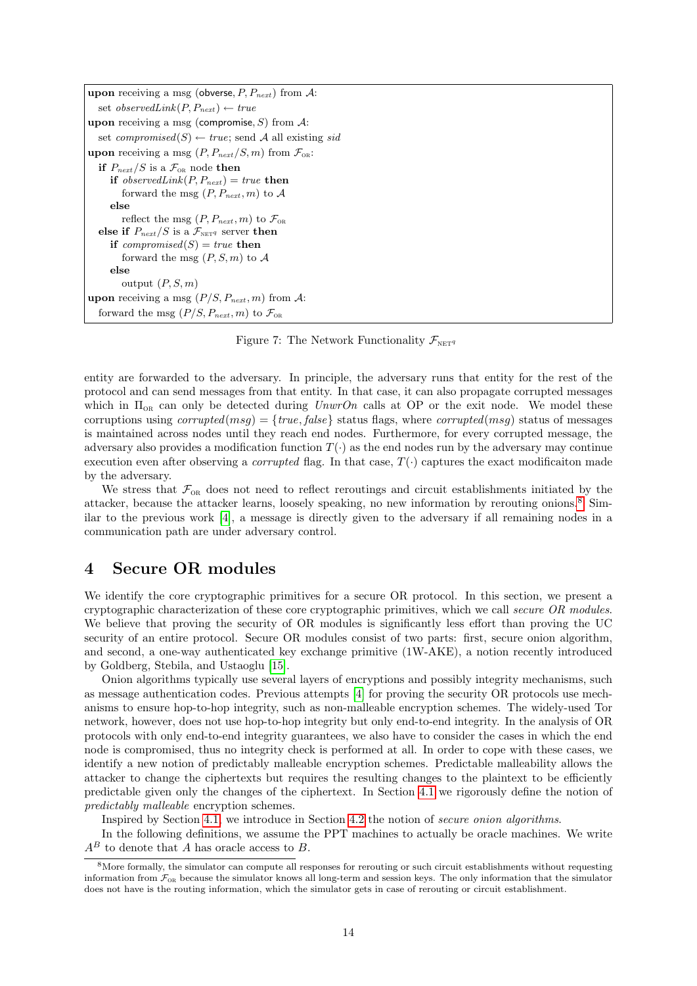| <b>upon</b> receiving a msg (obverse, $P, P_{next}$ ) from $A$ :             |
|------------------------------------------------------------------------------|
| set observed Link $(P, P_{next}) \leftarrow true$                            |
| <b>upon</b> receiving a msg (compromise, S) from $\mathcal{A}$ :             |
| set <i>compromised</i> (S) $\leftarrow$ true; send A all existing <i>sid</i> |
| <b>upon</b> receiving a msg $(P, P_{next}/S, m)$ from $\mathcal{F}_{OR}$ :   |
| if $P_{next}/S$ is a $\mathcal{F}_{OR}$ node then                            |
| <b>if</b> observed Link $(P, P_{next}) = true$ then                          |
| forward the msg $(P, P_{next}, m)$ to A                                      |
| else                                                                         |
| reflect the msg $(P, P_{next}, m)$ to $\mathcal{F}_{OR}$                     |
| else if $P_{next}/S$ is a $\mathcal{F}_{\text{NET}q}$ server then            |
| if compromised(S) = true then                                                |
| forward the msg $(P, S, m)$ to A                                             |
| else                                                                         |
| output $(P, S, m)$                                                           |
| <b>upon</b> receiving a msg $(P/S, P_{next}, m)$ from A:                     |
| forward the msg $(P/S, P_{next}, m)$ to $\mathcal{F}_{OR}$                   |

<span id="page-13-1"></span>Figure 7: The Network Functionality  $\mathcal{F}_{\text{NET}q}$ 

entity are forwarded to the adversary. In principle, the adversary runs that entity for the rest of the protocol and can send messages from that entity. In that case, it can also propagate corrupted messages which in  $\Pi_{OR}$  can only be detected during UnwrOn calls at OP or the exit node. We model these corruptions using  $corrupted(msq) = \{true, false\}$  status flags, where  $corrupted(msq)$  status of messages is maintained across nodes until they reach end nodes. Furthermore, for every corrupted message, the adversary also provides a modification function  $T(\cdot)$  as the end nodes run by the adversary may continue execution even after observing a *corrupted* flag. In that case,  $T(\cdot)$  captures the exact modificaiton made by the adversary.

We stress that  $\mathcal{F}_{OR}$  does not need to reflect reroutings and circuit establishments initiated by the attacker, because the attacker learns, loosely speaking, no new information by rerouting onions.[8](#page-13-2) Similar to the previous work [\[4\]](#page-34-1), a message is directly given to the adversary if all remaining nodes in a communication path are under adversary control.

# <span id="page-13-0"></span>4 Secure OR modules

We identify the core cryptographic primitives for a secure OR protocol. In this section, we present a cryptographic characterization of these core cryptographic primitives, which we call secure OR modules. We believe that proving the security of OR modules is significantly less effort than proving the UC security of an entire protocol. Secure OR modules consist of two parts: first, secure onion algorithm, and second, a one-way authenticated key exchange primitive (1W-AKE), a notion recently introduced by Goldberg, Stebila, and Ustaoglu [\[15\]](#page-34-7).

Onion algorithms typically use several layers of encryptions and possibly integrity mechanisms, such as message authentication codes. Previous attempts [\[4\]](#page-34-1) for proving the security OR protocols use mechanisms to ensure hop-to-hop integrity, such as non-malleable encryption schemes. The widely-used Tor network, however, does not use hop-to-hop integrity but only end-to-end integrity. In the analysis of OR protocols with only end-to-end integrity guarantees, we also have to consider the cases in which the end node is compromised, thus no integrity check is performed at all. In order to cope with these cases, we identify a new notion of predictably malleable encryption schemes. Predictable malleability allows the attacker to change the ciphertexts but requires the resulting changes to the plaintext to be efficiently predictable given only the changes of the ciphertext. In Section [4.1](#page-14-0) we rigorously define the notion of predictably malleable encryption schemes.

Inspired by Section [4.1,](#page-14-0) we introduce in Section [4.2](#page-15-0) the notion of secure onion algorithms.

In the following definitions, we assume the PPT machines to actually be oracle machines. We write  $A^B$  to denote that  $A$  has oracle access to  $B.$ 

<span id="page-13-2"></span><sup>&</sup>lt;sup>8</sup>More formally, the simulator can compute all responses for rerouting or such circuit establishments without requesting information from  $\mathcal{F}_{OR}$  because the simulator knows all long-term and session keys. The only information that the simulator does not have is the routing information, which the simulator gets in case of rerouting or circuit establishment.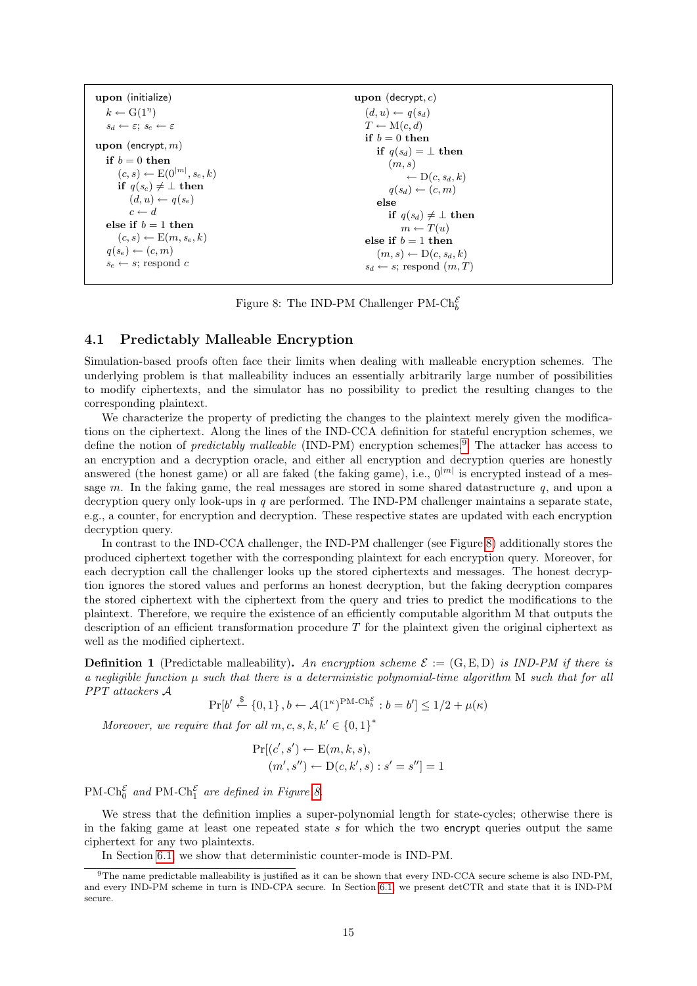| upon (initialize)                                           | upon (decrypt, $c$ )                      |
|-------------------------------------------------------------|-------------------------------------------|
| $k \leftarrow G(1^{\eta})$                                  | $(d, u) \leftarrow q(s_d)$                |
| $s_d \leftarrow \varepsilon$ ; $s_e \leftarrow \varepsilon$ | $T \leftarrow M(c, d)$                    |
| <b>upon</b> (encrypt, $m$ )                                 | if $b=0$ then<br>if $q(s_d) = \perp$ then |
| if $b=0$ then                                               | (m, s)                                    |
| $(c,s) \leftarrow E(0^{ m }, s_e, k)$                       | $\leftarrow D(c, s_d, k)$                 |
| if $q(s_e) \neq \perp$ then                                 | $q(s_d) \leftarrow (c, m)$                |
| $(d, u) \leftarrow q(s_e)$                                  | else                                      |
| $c \leftarrow d$                                            | if $q(s_d) \neq \perp$ then               |
| else if $b=1$ then                                          | $m \leftarrow T(u)$                       |
| $(c, s) \leftarrow E(m, s_e, k)$                            | else if $b=1$ then                        |
| $q(s_e) \leftarrow (c, m)$                                  | $(m, s) \leftarrow D(c, s_d, k)$          |
| $s_e \leftarrow s$ ; respond c                              | $s_d \leftarrow s$ ; respond $(m, T)$     |

<span id="page-14-2"></span>Figure 8: The IND-PM Challenger PM- $\mathrm{Ch}^{\mathcal{E}}_b$ 

# <span id="page-14-0"></span>4.1 Predictably Malleable Encryption

Simulation-based proofs often face their limits when dealing with malleable encryption schemes. The underlying problem is that malleability induces an essentially arbitrarily large number of possibilities to modify ciphertexts, and the simulator has no possibility to predict the resulting changes to the corresponding plaintext.

We characterize the property of predicting the changes to the plaintext merely given the modifications on the ciphertext. Along the lines of the IND-CCA definition for stateful encryption schemes, we define the notion of *predictably malleable* (IND-PM) encryption schemes.<sup>[9](#page-14-1)</sup> The attacker has access to an encryption and a decryption oracle, and either all encryption and decryption queries are honestly answered (the honest game) or all are faked (the faking game), i.e.,  $0^{|m|}$  is encrypted instead of a message m. In the faking game, the real messages are stored in some shared datastructure  $q$ , and upon a decryption query only look-ups in q are performed. The IND-PM challenger maintains a separate state, e.g., a counter, for encryption and decryption. These respective states are updated with each encryption decryption query.

In contrast to the IND-CCA challenger, the IND-PM challenger (see Figure [8\)](#page-14-2) additionally stores the produced ciphertext together with the corresponding plaintext for each encryption query. Moreover, for each decryption call the challenger looks up the stored ciphertexts and messages. The honest decryption ignores the stored values and performs an honest decryption, but the faking decryption compares the stored ciphertext with the ciphertext from the query and tries to predict the modifications to the plaintext. Therefore, we require the existence of an efficiently computable algorithm M that outputs the description of an efficient transformation procedure  $T$  for the plaintext given the original ciphertext as well as the modified ciphertext.

<span id="page-14-3"></span>**Definition 1** (Predictable malleability). An encryption scheme  $\mathcal{E} := (\mathbf{G}, \mathbf{E}, \mathbf{D})$  is IND-PM if there is a negligible function  $\mu$  such that there is a deterministic polynomial-time algorithm M such that for all PPT attackers A

$$
\Pr[b' \stackrel{\$}{\leftarrow} \{0,1\}, b \leftarrow \mathcal{A}(1^{\kappa})^{\text{PM-Ch}_{b}^{\mathcal{E}}}: b = b'] \le 1/2 + \mu(\kappa)
$$

Moreover, we require that for all  $m, c, s, k, k' \in \{0, 1\}^*$ 

$$
Pr[(c', s') \leftarrow E(m, k, s),(m', s'') \leftarrow D(c, k', s) : s' = s''] = 1
$$

PM-Ch<sub>0</sub><sup> $\varepsilon$ </sup> and PM-Ch<sub>1</sub><sup> $\varepsilon$ </sup> are defined in Figure [8.](#page-14-2)

We stress that the definition implies a super-polynomial length for state-cycles; otherwise there is in the faking game at least one repeated state s for which the two encrypt queries output the same ciphertext for any two plaintexts.

<span id="page-14-1"></span>In Section [6.1,](#page-22-0) we show that deterministic counter-mode is IND-PM.

<sup>9</sup>The name predictable malleability is justified as it can be shown that every IND-CCA secure scheme is also IND-PM, and every IND-PM scheme in turn is IND-CPA secure. In Section [6.1,](#page-22-0) we present detCTR and state that it is IND-PM secure.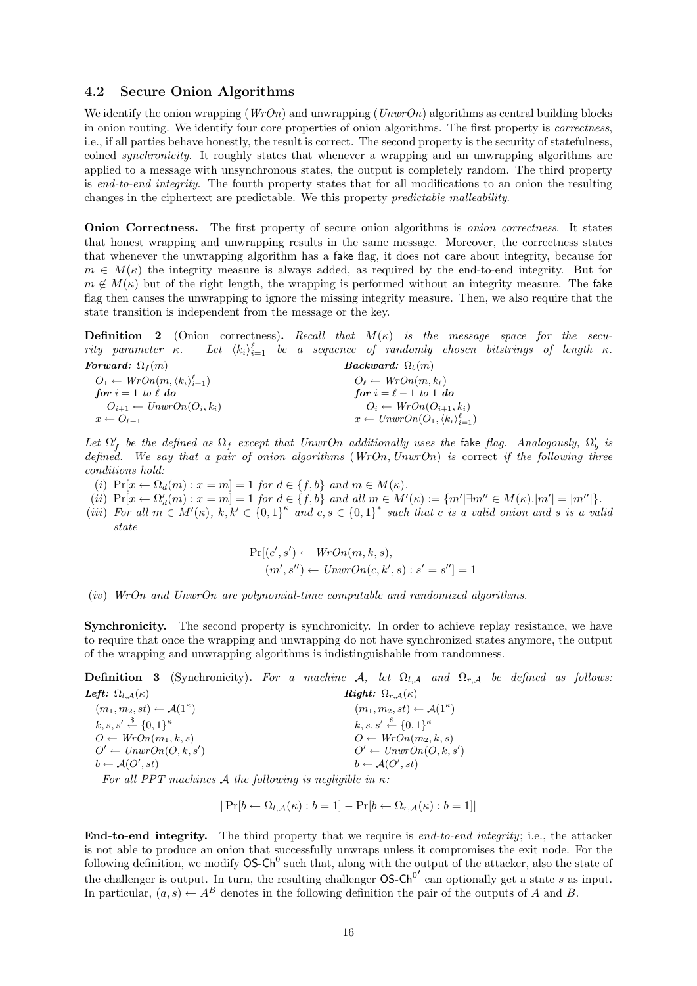## <span id="page-15-0"></span>4.2 Secure Onion Algorithms

We identify the onion wrapping ( $WrOn$ ) and unwrapping ( $UnwrOn$ ) algorithms as central building blocks in onion routing. We identify four core properties of onion algorithms. The first property is correctness, i.e., if all parties behave honestly, the result is correct. The second property is the security of statefulness, coined synchronicity. It roughly states that whenever a wrapping and an unwrapping algorithms are applied to a message with unsynchronous states, the output is completely random. The third property is end-to-end integrity. The fourth property states that for all modifications to an onion the resulting changes in the ciphertext are predictable. We this property predictable malleability.

Onion Correctness. The first property of secure onion algorithms is onion correctness. It states that honest wrapping and unwrapping results in the same message. Moreover, the correctness states that whenever the unwrapping algorithm has a fake flag, it does not care about integrity, because for  $m \in M(\kappa)$  the integrity measure is always added, as required by the end-to-end integrity. But for  $m \notin M(\kappa)$  but of the right length, the wrapping is performed without an integrity measure. The fake flag then causes the unwrapping to ignore the missing integrity measure. Then, we also require that the state transition is independent from the message or the key.

**Definition 2** (Onion correctness). Recall that  $M(\kappa)$  is the message space for the security parameter  $\kappa$ .  $_{i=1}^{\ell}$  be a sequence of randomly chosen bitstrings of length  $\kappa$ .

Forward:  $\Omega_f(m)$  $O_1 \leftarrow WrOn(m,\langle k_i \rangle_{i=1}^{\ell})$ for  $i = 1$  to  $\ell$  do  $O_{i+1} \leftarrow UnwrOn(O_i, k_i)$  $x \leftarrow O_{\ell+1}$ Backward:  $\Omega_b(m)$  $O_\ell \leftarrow WrOn(m, k_\ell)$ for  $i = \ell - 1$  to 1 do  $O_i \leftarrow WrOn(O_{i+1}, k_i)$  $x \leftarrow UnwrOn(O_1, \langle k_i \rangle_{i=1}^{\ell})$ 

Let  $\Omega'_f$  be the defined as  $\Omega_f$  except that UnwrOn additionally uses the fake flag. Analogously,  $\Omega'_b$  is defined. We say that a pair of onion algorithms  $(WrOn, UnwrOn)$  is correct if the following three conditions hold:

- (i)  $Pr[x \leftarrow \Omega_d(m) : x = m] = 1$  for  $d \in \{f, b\}$  and  $m \in M(\kappa)$ .
- (*ii*)  $Pr[x \leftarrow \Omega'_d(m) : x = m] = 1$  for  $d \in \{f, b\}$  and all  $m \in M'(\kappa) := \{m' | \exists m'' \in M(\kappa) \cdot |m'| = |m''| \}.$
- (iii) For all  $m \in M'(\kappa)$ ,  $k, k' \in \{0,1\}^k$  and  $c, s \in \{0,1\}^*$  such that c is a valid onion and s is a valid state

$$
Pr[(c', s') \leftarrow Wron(m, k, s),(m', s'') \leftarrow UnwrOn(c, k', s) : s' = s''] = 1
$$

#### (iv) WrOn and UnwrOn are polynomial-time computable and randomized algorithms.

Synchronicity. The second property is synchronicity. In order to achieve replay resistance, we have to require that once the wrapping and unwrapping do not have synchronized states anymore, the output of the wrapping and unwrapping algorithms is indistinguishable from randomness.

**Definition 3** (Synchronicity). For a machine A, let  $\Omega_{l,A}$  and  $\Omega_{r,A}$  be defined as follows: Left:  $\Omega_{l,A}(\kappa)$ Right:  $\Omega_{r,\mathcal{A}}(\kappa)$ 

 $(m_1, m_2, st) \leftarrow \mathcal{A}(1^{\kappa})$  $k, s, s' \stackrel{\$}{\leftarrow} \{0,1\}^{\kappa}$  $O \leftarrow WrOn(m_1, k, s)$  $O' \leftarrow UnwrOn(O, k, s')$  $b \leftarrow \mathcal{A}(O', st)$  $(m_1, m_2, st) \leftarrow \mathcal{A}(1^{\kappa})$  $k, s, s' \stackrel{\$}{\leftarrow} \{0,1\}^{\kappa}$  $O \leftarrow WrOn(m_2, k, s)$  $O' \leftarrow UnwrOn(O, k, s')$  $b \leftarrow \mathcal{A}(O', st)$ 

For all PPT machines A the following is negligible in  $\kappa$ :

 $|Pr[b \leftarrow \Omega_{l,A}(\kappa) : b = 1] - Pr[b \leftarrow \Omega_{r,A}(\kappa) : b = 1]|$ 

End-to-end integrity. The third property that we require is end-to-end integrity; i.e., the attacker is not able to produce an onion that successfully unwraps unless it compromises the exit node. For the following definition, we modify  $OS-Ch^0$  such that, along with the output of the attacker, also the state of the challenger is output. In turn, the resulting challenger  $OS-Ch^{0'}$  can optionally get a state s as input. In particular,  $(a, s) \leftarrow A^B$  denotes in the following definition the pair of the outputs of A and B.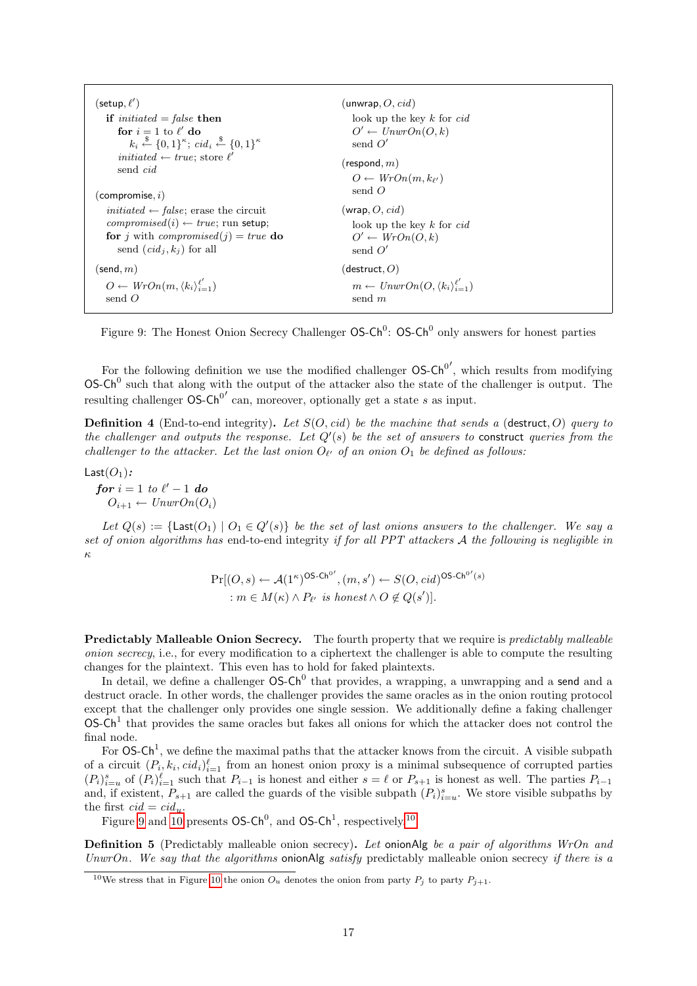| (setup, $\ell'$ )                                                                     | (unwrap, $O$ , $cid$ )                                       |
|---------------------------------------------------------------------------------------|--------------------------------------------------------------|
| if <i>initiated</i> = <i>false</i> then                                               | look up the key $k$ for $cid$                                |
| for $i = 1$ to $\ell'$ do                                                             | $O' \leftarrow UnwrOn(O, k)$                                 |
| $k_i \xleftarrow{\$} \{0,1\}^{\kappa}; \text{cid}_i \xleftarrow{\$} \{0,1\}^{\kappa}$ | send $O'$                                                    |
| <i>initiated</i> $\leftarrow$ <i>true</i> ; store $\ell'$                             | (respond, $m$ )                                              |
| send <i>cid</i>                                                                       | $O \leftarrow WrOn(m, k_{\ell'})$                            |
| $(\mathsf{compare}, i)$                                                               | send $O$                                                     |
| <i>initiated</i> $\leftarrow$ <i>false</i> ; erase the circuit                        | (wrap, O, cid)                                               |
| $compromised(i) \leftarrow true$ ; run setup;                                         | look up the key $k$ for $cid$                                |
| <b>for</b> j with <i>compromised</i> (j) = true <b>do</b>                             | $O' \leftarrow WrOn(O, k)$                                   |
| send $(cid_j, k_j)$ for all                                                           | send $O'$                                                    |
| (send, $m$ )                                                                          | (destruct, $O$ )                                             |
| $O \leftarrow WrOn(m, \langle k_i \rangle_{i=1}^{\ell'})$                             | $m \leftarrow UnwrOn(O, \langle k_i \rangle_{i=1}^{\ell'} )$ |
| send $O$                                                                              | send m                                                       |

<span id="page-16-0"></span>Figure 9: The Honest Onion Secrecy Challenger  $OS-Ch^0$ :  $OS-Ch^0$  only answers for honest parties

For the following definition we use the modified challenger  $OS-Ch^{0'}$ , which results from modifying  $\text{OS-Ch}^0$  such that along with the output of the attacker also the state of the challenger is output. The resulting challenger  $OS-Ch^{0'}$  can, moreover, optionally get a state s as input.

**Definition 4** (End-to-end integrity). Let  $S(O, cd)$  be the machine that sends a (destruct, O) query to the challenger and outputs the response. Let  $Q'(s)$  be the set of answers to construct queries from the challenger to the attacker. Let the last onion  $O_{\ell'}$  of an onion  $O_1$  be defined as follows:

 $Last(O_1):$ 

for  $i = 1$  to  $\ell' - 1$  do  $O_{i+1} \leftarrow UnwrOn(O_i)$ 

Let  $Q(s) := \{\text{Last}(O_1) \mid O_1 \in Q'(s)\}\$  be the set of last onions answers to the challenger. We say a set of onion algorithms has end-to-end integrity if for all PPT attackers A the following is negligible in κ

$$
Pr[(O, s) \leftarrow \mathcal{A}(1^{\kappa})^{\text{OS-Ch}^0'}, (m, s') \leftarrow S(O, cid)^{\text{OS-Ch}^0(s)}
$$
  
 
$$
: m \in M(\kappa) \land P_{\ell'} \text{ is honest} \land O \notin Q(s')].
$$

Predictably Malleable Onion Secrecy. The fourth property that we require is *predictably malleable* onion secrecy, i.e., for every modification to a ciphertext the challenger is able to compute the resulting changes for the plaintext. This even has to hold for faked plaintexts.

In detail, we define a challenger  $OS-Ch^0$  that provides, a wrapping, a unwrapping and a send and a destruct oracle. In other words, the challenger provides the same oracles as in the onion routing protocol except that the challenger only provides one single session. We additionally define a faking challenger  $OS-Ch<sup>1</sup>$  that provides the same oracles but fakes all onions for which the attacker does not control the final node.

For  $OS-Ch^1$ , we define the maximal paths that the attacker knows from the circuit. A visible subpath of a circuit  $(P_i, k_i, cid_i)_{i=1}^{\ell}$  from an honest onion proxy is a minimal subsequence of corrupted parties  $(P_i)_{i=u}^s$  of  $(P_i)_{i=1}^\ell$  such that  $P_{i-1}$  is honest and either  $s = \ell$  or  $P_{s+1}$  is honest as well. The parties  $P_{i-1}$ and, if existent,  $P_{s+1}$  are called the guards of the visible subpath  $(P_i)_{i=u}^s$ . We store visible subpaths by the first  $cid = cid_u$ .

Figure [9](#page-16-0) and [10](#page-17-1) presents  $OS-Ch^0$ , and  $OS-Ch^1$ , respectively.<sup>[10](#page-16-1)</sup>

<span id="page-16-2"></span>**Definition 5** (Predictably malleable onion secrecy). Let onionAlg be a pair of algorithms WrOn and UnwrOn. We say that the algorithms onionAlg satisfy predictably malleable onion secrecy if there is a

<span id="page-16-1"></span><sup>&</sup>lt;sup>10</sup>We stress that in Figure [10](#page-17-1) the onion  $O_u$  denotes the onion from party  $P_j$  to party  $P_{j+1}$ .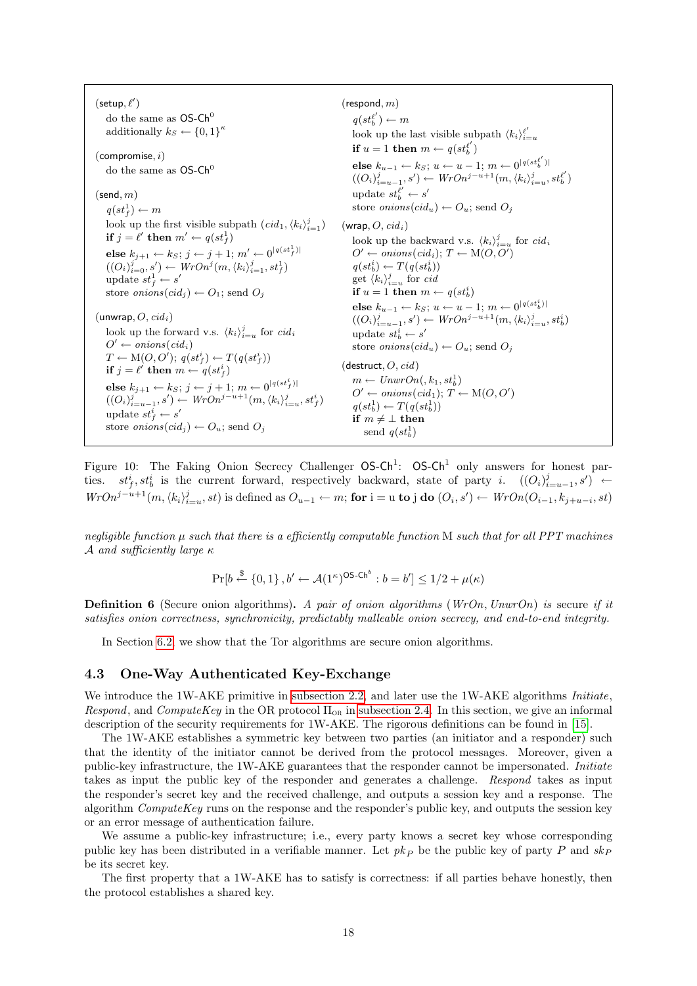$(\mathsf{setup}, \ell')$ do the same as  $OS-Ch^0$ additionally  $k_S \leftarrow \{0,1\}^{\kappa}$  $(compromise, i)$ do the same as  $OS-Ch<sup>0</sup>$  $(\mathsf{send}, m)$  $q(st_f^1) \leftarrow m$ look up the first visible subpath  $\left(\text{cid}_1, \langle k_i \rangle_{i=1}^j\right)$ if  $j = \ell'$  then  $m' \leftarrow q(st_f^1)$ else  $k_{j+1} \leftarrow k_S; \, j \leftarrow j+1; \, m' \leftarrow 0^{\lceil q (st^1_f) \rceil}$  $((O_i)_{i=0}^j, s') \leftarrow WrOn^j(m, \langle k_i \rangle_{i=1}^j, st_f^1)$ update  $st_f^1 \leftarrow s'$ store *onions* $(cid_i) \leftarrow O_1$ ; send  $O_i$  $($ unwrap,  $O,$   $cid<sub>i</sub>$  $)$ look up the forward v.s.  $\langle k_i \rangle_{i=u}^j$  for  $cidi$  $O' \leftarrow \text{onions}(\text{cid}_i)$  $T \leftarrow M(O, O'); q(st_f^i) \leftarrow T(q(st_f^i))$ if  $j = \ell'$  then  $m \leftarrow q(st_f^i)$ else  $k_{j+1} \leftarrow k_S;~j \leftarrow j+1;~m \leftarrow 0^{\lfloor q(st^i_f)\rfloor}$  $((O_i)_{i=u-1}^j, s') \leftarrow WrOn^{j-u+1}(m, \langle k_i \rangle_{i=u}^j, st_f^i)$ update  $st_f^i \leftarrow s'$ store *onions* $(cid_j) \leftarrow O_u$ ; send  $O_j$  $(respond, m)$  $q(st_b^{\ell'}) \leftarrow m$ look up the last visible subpath  $\langle k_i \rangle_{i=u}^{\ell'}$ if  $u = 1$  then  $m \leftarrow q(st_b^{e'})$ else  $k_{u-1}$  ←  $k_S$ ;  $u$  ←  $u-1$ ;  $m$  ←  $0^{|q(st_b^{e'})|}$  $((O_i)_{i=u-1}^j, s') \leftarrow WrOn^{j-u+1}(m, \langle k_i \rangle_{i=u}^j, st_0^{\ell'})$ update  $st_b^{\ell'} \leftarrow s'$ store *onions* $(cid_u) \leftarrow O_u$ ; send  $O_i$  $(wrap, O, cid<sub>i</sub>)$ look up the backward v.s.  $\langle k_i \rangle_{i=u}^j$  for  $cidi_i$  $O' \leftarrow onions(cid_i); T \leftarrow M(O,O')$  $q(st_b^i) \leftarrow T(q(st_b^i))$ get  $\langle k_i \rangle_{i=u}^j$  for cid if  $u = 1$  then  $m \leftarrow q(st_b^i)$ else  $k_{u-1} \leftarrow k_S; u \leftarrow u-1; m \leftarrow 0^{|q(st_b^i)|}$  $((O_i)_{i=u-1}^j, s') \leftarrow WrOn^{j-u+1}(m, \langle k_i \rangle_{i=u}^j, st_b^i)$ update  $st_b^i \leftarrow s'$ store *onions* $(cid_u) \leftarrow O_u$ ; send  $O_i$  $(d$ estruct,  $O, cid)$  $m \leftarrow UnwrOn(, k_1, st_b^1)$  $O' \leftarrow onions(cid_1); T \leftarrow M(O, O')$  $q(st_b^1) \leftarrow T(q(st_b^1))$ if  $m \neq \bot$  then send  $q(st_b^1)$ 

<span id="page-17-1"></span>Figure 10: The Faking Onion Secrecy Challenger  $OS-Ch<sup>1</sup>$ :  $OS-Ch<sup>1</sup>$  only answers for honest parties.  $st_f^i, st_b^i$  is the current forward, respectively backward, state of party i.  $((O_i)_{i=u-1}^j, s') \leftarrow$  $WrOn^{j-u+1}(m,\langle k_i \rangle_{i=u}^j, st)$  is defined as  $O_{u-1} \leftarrow m$ ; for  $i = u$  to j do  $(O_i, s') \leftarrow WrOn(O_{i-1}, k_{j+u-i}, st)$ 

negligible function  $\mu$  such that there is a efficiently computable function M such that for all PPT machines A and sufficiently large  $\kappa$ 

$$
\Pr[b \stackrel{\$}{\leftarrow} \{0,1\}, b' \leftarrow \mathcal{A}(1^{\kappa})^{\text{OS-Ch}^b} : b = b'] \le 1/2 + \mu(\kappa)
$$

<span id="page-17-2"></span>**Definition 6** (Secure onion algorithms). A pair of onion algorithms (WrOn, UnwrOn) is secure if it satisfies onion correctness, synchronicity, predictably malleable onion secrecy, and end-to-end integrity.

In Section [6.2,](#page-23-0) we show that the Tor algorithms are secure onion algorithms.

## <span id="page-17-0"></span>4.3 One-Way Authenticated Key-Exchange

We introduce the 1W-AKE primitive in [subsection 2.2,](#page-4-1) and later use the 1W-AKE algorithms *Initiate*, Respond, and ComputeKey in the OR protocol  $\Pi_{OR}$  in [subsection 2.4.](#page-6-0) In this section, we give an informal description of the security requirements for 1W-AKE. The rigorous definitions can be found in [\[15\]](#page-34-7).

The 1W-AKE establishes a symmetric key between two parties (an initiator and a responder) such that the identity of the initiator cannot be derived from the protocol messages. Moreover, given a public-key infrastructure, the 1W-AKE guarantees that the responder cannot be impersonated. Initiate takes as input the public key of the responder and generates a challenge. Respond takes as input the responder's secret key and the received challenge, and outputs a session key and a response. The algorithm  $ComputeKey$  runs on the response and the responder's public key, and outputs the session key or an error message of authentication failure.

We assume a public-key infrastructure; i.e., every party knows a secret key whose corresponding public key has been distributed in a verifiable manner. Let  $pk<sub>P</sub>$  be the public key of party P and  $sk<sub>P</sub>$ be its secret key.

The first property that a 1W-AKE has to satisfy is correctness: if all parties behave honestly, then the protocol establishes a shared key.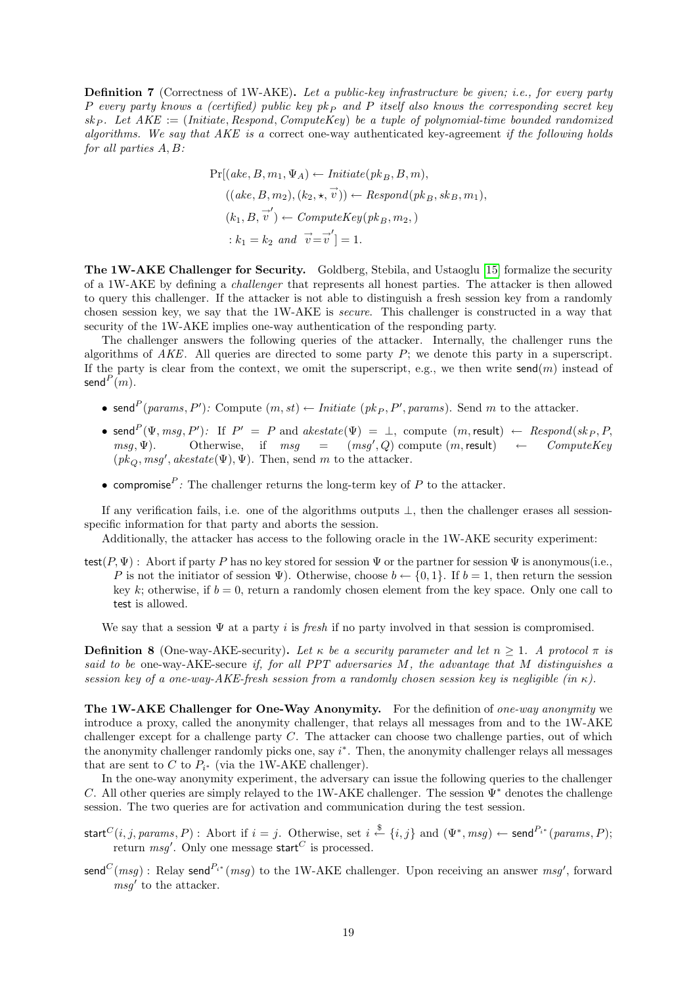<span id="page-18-0"></span>Definition 7 (Correctness of 1W-AKE). Let a public-key infrastructure be given; i.e., for every party P every party knows a (certified) public key pk<sub>P</sub> and P itself also knows the corresponding secret key  $sk_P$ . Let  $AKE := (Initiate, Respond, ComputeKey)$  be a tuple of polynomial-time bounded randomized algorithms. We say that  $AKE$  is a correct one-way authenticated key-agreement if the following holds for all parties A, B:

$$
Pr[(ake, B, m_1, \Psi_A) \leftarrow Initiative(pk_B, B, m),((ake, B, m_2), (k_2, \star, \vec{v})) \leftarrow Respond(pk_B, sk_B, m_1),(k_1, B, \vec{v}') \leftarrow ComputeKey(pk_B, m_2,): k_1 = k_2 and \vec{v} = \vec{v}' \rbrack = 1.
$$

The 1W-AKE Challenger for Security. Goldberg, Stebila, and Ustaoglu [\[15\]](#page-34-7) formalize the security of a 1W-AKE by defining a challenger that represents all honest parties. The attacker is then allowed to query this challenger. If the attacker is not able to distinguish a fresh session key from a randomly chosen session key, we say that the 1W-AKE is secure. This challenger is constructed in a way that security of the 1W-AKE implies one-way authentication of the responding party.

The challenger answers the following queries of the attacker. Internally, the challenger runs the algorithms of  $AKE$ . All queries are directed to some party P; we denote this party in a superscript. If the party is clear from the context, we omit the superscript, e.g., we then write  $\mathsf{send}(m)$  instead of send $^P(m)$ .

- send<sup>P</sup>(params, P'): Compute  $(m, st) \leftarrow \textit{Initiate } (pk_P, P', \textit{params})$ . Send m to the attacker.
- send<sup>P</sup> $(\Psi, msg, P')$ : If  $P' = P$  and  $akestate(\Psi) = \bot$ , compute  $(m, result) \leftarrow Respond(sk_P, P$ ,  $msg, \Psi$ ). Otherwise, if  $msg = (msg', Q)$  compute  $(m, result) \leftarrow$  Compute Key  $(pk_Q, msg', akestate(\Psi), \Psi)$ . Then, send m to the attacker.
- compromise<sup> $P$ </sup>: The challenger returns the long-term key of  $P$  to the attacker.

If any verification fails, i.e. one of the algorithms outputs ⊥, then the challenger erases all sessionspecific information for that party and aborts the session.

Additionally, the attacker has access to the following oracle in the 1W-AKE security experiment:

 $test(P, \Psi)$ : Abort if party P has no key stored for session  $\Psi$  or the partner for session  $\Psi$  is anonymous(i.e., P is not the initiator of session  $\Psi$ ). Otherwise, choose  $b \leftarrow \{0,1\}$ . If  $b = 1$ , then return the session key k; otherwise, if  $b = 0$ , return a randomly chosen element from the key space. Only one call to test is allowed.

We say that a session  $\Psi$  at a party i is fresh if no party involved in that session is compromised.

<span id="page-18-1"></span>**Definition 8** (One-way-AKE-security). Let  $\kappa$  be a security parameter and let  $n \geq 1$ . A protocol  $\pi$  is said to be one-way-AKE-secure if, for all PPT adversaries M, the advantage that M distinguishes a session key of a one-way-AKE-fresh session from a randomly chosen session key is negligible (in  $\kappa$ ).

The 1W-AKE Challenger for One-Way Anonymity. For the definition of one-way anonymity we introduce a proxy, called the anonymity challenger, that relays all messages from and to the 1W-AKE challenger except for a challenge party C. The attacker can choose two challenge parties, out of which the anonymity challenger randomly picks one, say  $i^*$ . Then, the anonymity challenger relays all messages that are sent to C to  $P_{i^*}$  (via the 1W-AKE challenger).

In the one-way anonymity experiment, the adversary can issue the following queries to the challenger C. All other queries are simply relayed to the 1W-AKE challenger. The session  $\Psi^*$  denotes the challenge session. The two queries are for activation and communication during the test session.

- $\textsf{start}^C(i,j,params, P) : \text{ Abort if } i = j. \text{ Otherwise, set } i \stackrel{\$}{\leftarrow} \{i,j\} \text{ and } (\Psi^*, msg) \leftarrow \textsf{send}^{P_{i^*}}(params, P);$ return  $\mathit{msg}'.$  Only one message start $^C$  is processed.
- send<sup>C</sup>(msg): Relay send<sup>P<sub>i\*</sub></sup>(msg) to the 1W-AKE challenger. Upon receiving an answer msg', forward  $msg'$  to the attacker.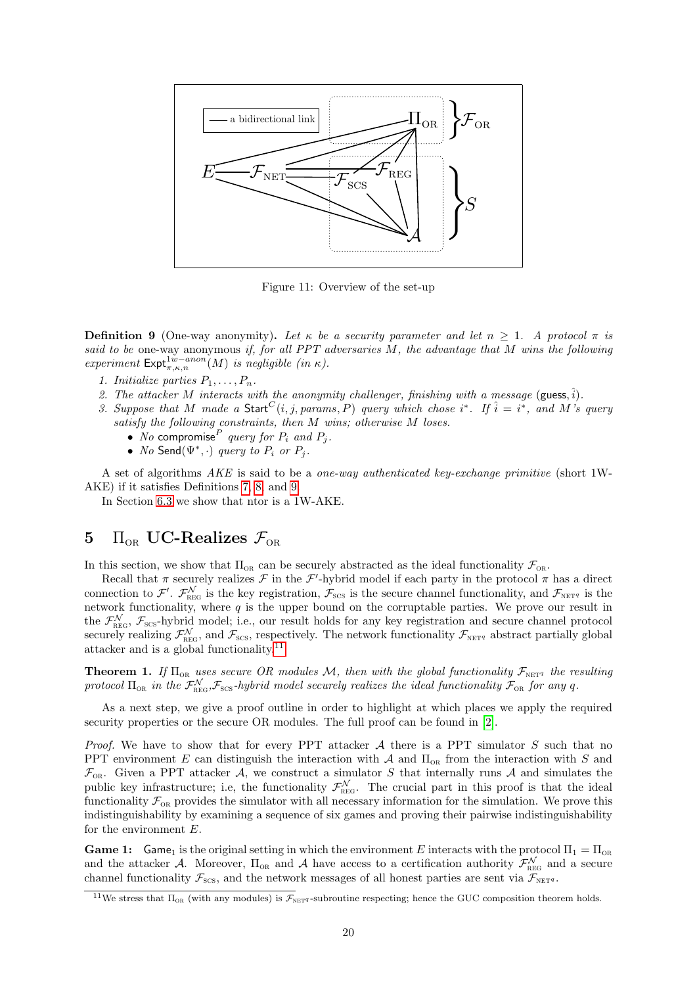

Figure 11: Overview of the set-up

<span id="page-19-1"></span>**Definition 9** (One-way anonymity). Let  $\kappa$  be a security parameter and let  $n \geq 1$ . A protocol  $\pi$  is said to be one-way anonymous if, for all PPT adversaries  $M$ , the advantage that  $M$  wins the following experiment  $\text{Expt}_{\pi,\kappa,n}^{1w-anon}(M)$  is negligible (in  $\kappa$ ).

- 1. Initialize parties  $P_1, \ldots, P_n$ .
- 2. The attacker M interacts with the anonymity challenger, finishing with a message (guess,  $\hat{i}$ ).
- 3. Suppose that M made a Start<sup>C</sup>(i, j, params, P) query which chose i<sup>\*</sup>. If  $\hat{i} = i^*$ , and M's query satisfy the following constraints, then M wins; otherwise M loses.
	- No compromise  $P$  query for  $P_i$  and  $P_j$ .
	- No Send $(\Psi^*, \cdot)$  query to  $P_i$  or  $P_j$ .

A set of algorithms AKE is said to be a one-way authenticated key-exchange primitive (short 1W-AKE) if it satisfies Definitions [7,](#page-18-0) [8,](#page-18-1) and [9.](#page-19-1)

In Section [6.3](#page-24-0) we show that ntor is a 1W-AKE.

# <span id="page-19-0"></span>5  $\Pi_{OR}$  UC-Realizes  $\mathcal{F}_{OR}$

In this section, we show that  $\Pi_{OR}$  can be securely abstracted as the ideal functionality  $\mathcal{F}_{OR}$ .

Recall that  $\pi$  securely realizes  $\mathcal F$  in the  $\mathcal F'$ -hybrid model if each party in the protocol  $\pi$  has a direct connection to  $\mathcal{F}'$ .  $\mathcal{F}_{\text{REG}}^{\mathcal{N}}$  is the key registration,  $\mathcal{F}_{\text{SCS}}$  is the secure channel functionality, and  $\mathcal{F}_{\text{NET}^q}$  is the network functionality, where q is the upper bound on the corruptable parties. We prove our result in the  $\mathcal{F}_{\text{REG}}^{\mathcal{N}}, \mathcal{F}_{\text{SCS}}$ -hybrid model; i.e., our result holds for any key registration and secure channel protocol securely realizing  $\mathcal{F}_{\text{REG}}^{\mathcal{N}}$ , and  $\mathcal{F}_{\text{SCS}}$ , respectively. The network functionality  $\mathcal{F}_{\text{NET}q}$  abstract partially global attacker and is a global functionality.  $^{\rm 11}$  $^{\rm 11}$  $^{\rm 11}$ 

<span id="page-19-3"></span>**Theorem 1.** If  $\Pi_{OR}$  uses secure OR modules M, then with the global functionality  $\mathcal{F}_{NETq}$  the resulting protocol  $\Pi_{OR}$  in the  $\mathcal{F}^{\mathcal{N}}_{REG}$ ,  $\mathcal{F}_{SCS}$ -hybrid model securely realizes the ideal functionality  $\mathcal{F}_{OR}$  for any q.

As a next step, we give a proof outline in order to highlight at which places we apply the required security properties or the secure OR modules. The full proof can be found in [\[2\]](#page-34-9).

*Proof.* We have to show that for every PPT attacker  $A$  there is a PPT simulator  $S$  such that no PPT environment E can distinguish the interaction with  $\mathcal A$  and  $\Pi_{OR}$  from the interaction with S and  $\mathcal{F}_{OR}$ . Given a PPT attacker A, we construct a simulator S that internally runs A and simulates the public key infrastructure; i.e, the functionality  $\mathcal{F}_{\text{REG}}^{\mathcal{N}}$ . The crucial part in this proof is that the ideal functionality  $\mathcal{F}_{OR}$  provides the simulator with all necessary information for the simulation. We prove this indistinguishability by examining a sequence of six games and proving their pairwise indistinguishability for the environment E.

**Game 1:** Game<sub>1</sub> is the original setting in which the environment E interacts with the protocol  $\Pi_1 = \Pi_{OR}$ and the attacker A. Moreover,  $\Pi_{OR}$  and A have access to a certification authority  $\mathcal{F}_{REG}^{\mathcal{N}}$  and a secure channel functionality  $\mathcal{F}_{\text{SCS}}$ , and the network messages of all honest parties are sent via  $\mathcal{F}_{\text{NET}q}$ .

<span id="page-19-2"></span><sup>&</sup>lt;sup>11</sup>We stress that  $\Pi_{OR}$  (with any modules) is  $\mathcal{F}_{NET}$  -subroutine respecting; hence the GUC composition theorem holds.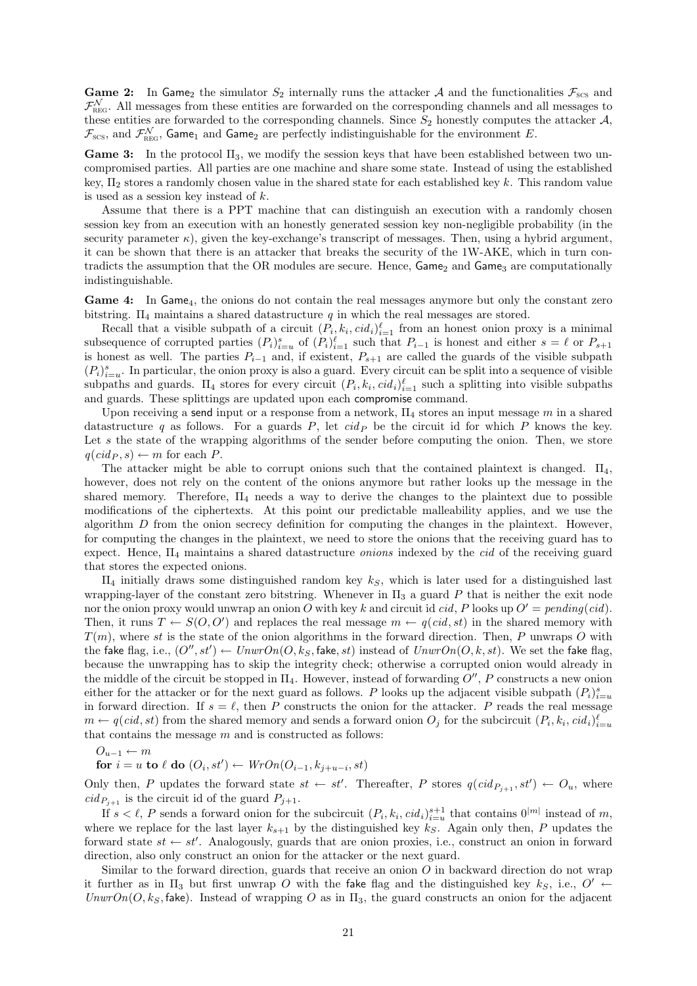**Game 2:** In Game<sub>2</sub> the simulator  $S_2$  internally runs the attacker A and the functionalities  $\mathcal{F}_{SCs}$  and  $\mathcal{F}_{\text{REG}}^{\mathcal{N}}$ . All messages from these entities are forwarded on the corresponding channels and all messages to these entities are forwarded to the corresponding channels. Since  $S_2$  honestly computes the attacker  $A$ ,  $\mathcal{F}_{\rm scs}$ , and  $\mathcal{F}_{\rm REG}^{\mathcal{N}}$ , Game<sub>1</sub> and Game<sub>2</sub> are perfectly indistinguishable for the environment E.

**Game 3:** In the protocol  $\Pi_3$ , we modify the session keys that have been established between two uncompromised parties. All parties are one machine and share some state. Instead of using the established key,  $\Pi_2$  stores a randomly chosen value in the shared state for each established key k. This random value is used as a session key instead of  $k$ .

Assume that there is a PPT machine that can distinguish an execution with a randomly chosen session key from an execution with an honestly generated session key non-negligible probability (in the security parameter  $\kappa$ ), given the key-exchange's transcript of messages. Then, using a hybrid argument, it can be shown that there is an attacker that breaks the security of the 1W-AKE, which in turn contradicts the assumption that the OR modules are secure. Hence,  $Game_2$  and  $Game_3$  are computationally indistinguishable.

Game 4: In Game<sub>4</sub>, the onions do not contain the real messages anymore but only the constant zero bitstring.  $\Pi_4$  maintains a shared datastructure q in which the real messages are stored.

Recall that a visible subpath of a circuit  $(P_i, k_i, cid_i)_{i=1}^{\ell}$  from an honest onion proxy is a minimal subsequence of corrupted parties  $(P_i)_{i=u}^s$  of  $(P_i)_{i=1}^{\ell}$  such that  $P_{i-1}$  is honest and either  $s = \ell$  or  $P_{s+1}$ is honest as well. The parties  $P_{i-1}$  and, if existent,  $P_{s+1}$  are called the guards of the visible subpath  $(P_i)_{i=u}^s$ . In particular, the onion proxy is also a guard. Every circuit can be split into a sequence of visible subpaths and guards.  $\Pi_4$  stores for every circuit  $(P_i, k_i, cid_i)_{i=1}^{\ell}$  such a splitting into visible subpaths and guards. These splittings are updated upon each compromise command.

Upon receiving a send input or a response from a network,  $\Pi_4$  stores an input message m in a shared datastructure q as follows. For a guards  $P$ , let  $cid_P$  be the circuit id for which P knows the key. Let  $s$  the state of the wrapping algorithms of the sender before computing the onion. Then, we store  $q(cid_P, s) \leftarrow m$  for each P.

The attacker might be able to corrupt onions such that the contained plaintext is changed.  $\Pi_4$ , however, does not rely on the content of the onions anymore but rather looks up the message in the shared memory. Therefore,  $\Pi_4$  needs a way to derive the changes to the plaintext due to possible modifications of the ciphertexts. At this point our predictable malleability applies, and we use the algorithm  $D$  from the onion secrecy definition for computing the changes in the plaintext. However, for computing the changes in the plaintext, we need to store the onions that the receiving guard has to expect. Hence,  $\Pi_4$  maintains a shared datastructure *onions* indexed by the *cid* of the receiving guard that stores the expected onions.

 $\Pi_4$  initially draws some distinguished random key  $k<sub>S</sub>$ , which is later used for a distinguished last wrapping-layer of the constant zero bitstring. Whenever in  $\Pi_3$  a guard P that is neither the exit node nor the onion proxy would unwrap an onion O with key k and circuit id cid, P looks up  $O' = pending(cid)$ . Then, it runs  $T \leftarrow S(O, O')$  and replaces the real message  $m \leftarrow q(cid, st)$  in the shared memory with  $T(m)$ , where st is the state of the onion algorithms in the forward direction. Then, P unwraps O with the fake flag, i.e.,  $(O'', st') \leftarrow UnwrOn(O, k_S, \text{fake}, st)$  instead of  $UnwrOn(O, k, st)$ . We set the fake flag, because the unwrapping has to skip the integrity check; otherwise a corrupted onion would already in the middle of the circuit be stopped in  $\Pi_4$ . However, instead of forwarding  $O''$ , P constructs a new onion either for the attacker or for the next guard as follows. P looks up the adjacent visible subpath  $(P_i)_{i=u}^s$ in forward direction. If  $s = \ell$ , then P constructs the onion for the attacker. P reads the real message  $m \leftarrow q(cid, st)$  from the shared memory and sends a forward onion  $O_j$  for the subcircuit  $(P_i, k_i, cid_i)_{i=u}^{\ell}$ that contains the message  $m$  and is constructed as follows:

$$
O_{u-1} \leftarrow m
$$
  
for  $i = u$  to  $\ell$  do  $(O_i, st') \leftarrow WrOn(O_{i-1}, k_{j+u-i}, st)$ 

Only then, P updates the forward state  $st \leftarrow st'$ . Thereafter, P stores  $q(cid_{P_{j+1}}, st') \leftarrow O_u$ , where  $cid_{P_{j+1}}$  is the circuit id of the guard  $P_{j+1}$ .

If  $s < \ell$ , P sends a forward onion for the subcircuit  $(P_i, k_i, cid_i)_{i=u}^{s+1}$  that contains  $0^{|m|}$  instead of m, where we replace for the last layer  $k_{s+1}$  by the distinguished key  $k<sub>S</sub>$ . Again only then, P updates the forward state  $st \leftarrow st'$ . Analogously, guards that are onion proxies, i.e., construct an onion in forward direction, also only construct an onion for the attacker or the next guard.

Similar to the forward direction, guards that receive an onion  $O$  in backward direction do not wrap it further as in  $\Pi_3$  but first unwrap O with the fake flag and the distinguished key  $k_S$ , i.e.,  $O' \leftarrow$  $UnwrOn(O, k<sub>S</sub>, false)$ . Instead of wrapping O as in  $\Pi_3$ , the guard constructs an onion for the adjacent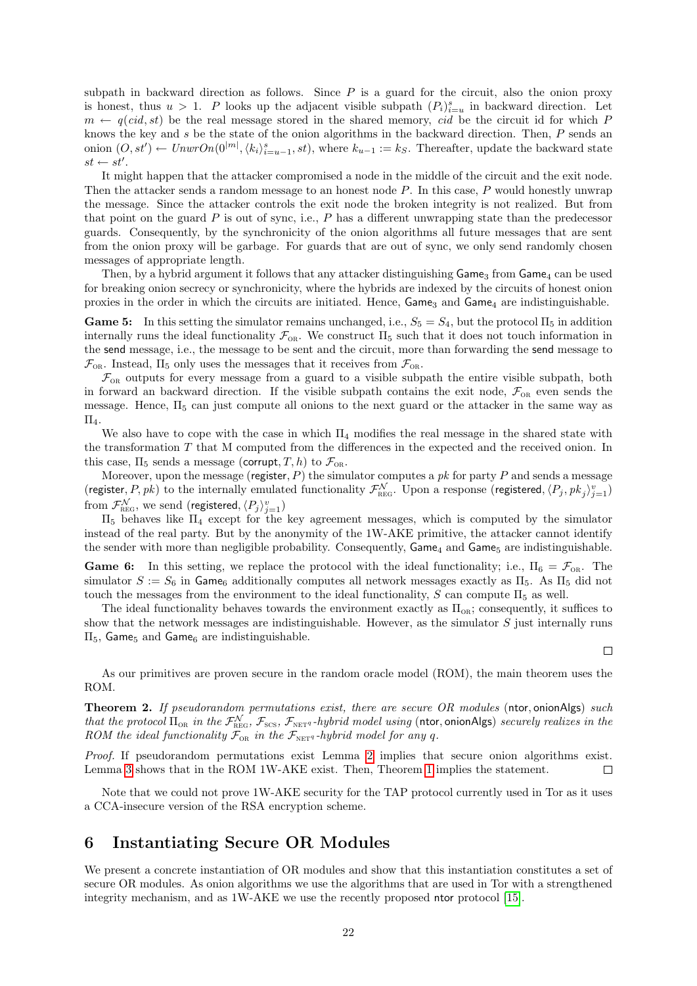subpath in backward direction as follows. Since  $P$  is a guard for the circuit, also the onion proxy is honest, thus  $u > 1$ . P looks up the adjacent visible subpath  $(P_i)_{i=u}^s$  in backward direction. Let  $m \leftarrow q(cid, st)$  be the real message stored in the shared memory, cid be the circuit id for which P knows the key and s be the state of the onion algorithms in the backward direction. Then, P sends an onion  $(O, st') \leftarrow UnwrOn(0^{|m|}, \langle k_i \rangle_{i=u-1}^s, st)$ , where  $k_{u-1} := k_S$ . Thereafter, update the backward state  $st \leftarrow st'.$ 

It might happen that the attacker compromised a node in the middle of the circuit and the exit node. Then the attacker sends a random message to an honest node P. In this case, P would honestly unwrap the message. Since the attacker controls the exit node the broken integrity is not realized. But from that point on the guard  $P$  is out of sync, i.e.,  $P$  has a different unwrapping state than the predecessor guards. Consequently, by the synchronicity of the onion algorithms all future messages that are sent from the onion proxy will be garbage. For guards that are out of sync, we only send randomly chosen messages of appropriate length.

Then, by a hybrid argument it follows that any attacker distinguishing  $\mathsf{Game}_3$  from  $\mathsf{Game}_4$  can be used for breaking onion secrecy or synchronicity, where the hybrids are indexed by the circuits of honest onion proxies in the order in which the circuits are initiated. Hence,  $Game_3$  and  $Game_4$  are indistinguishable.

Game 5: In this setting the simulator remains unchanged, i.e.,  $S_5 = S_4$ , but the protocol  $\Pi_5$  in addition internally runs the ideal functionality  $\mathcal{F}_{OR}$ . We construct  $\Pi_5$  such that it does not touch information in the send message, i.e., the message to be sent and the circuit, more than forwarding the send message to  $\mathcal{F}_{OR}$ . Instead,  $\Pi_5$  only uses the messages that it receives from  $\mathcal{F}_{OR}$ .

 $\mathcal{F}_{OR}$  outputs for every message from a guard to a visible subpath the entire visible subpath, both in forward an backward direction. If the visible subpath contains the exit node,  $\mathcal{F}_{OR}$  even sends the message. Hence,  $\Pi_5$  can just compute all onions to the next guard or the attacker in the same way as  $\Pi_{4}$ .

We also have to cope with the case in which  $\Pi_4$  modifies the real message in the shared state with the transformation T that M computed from the differences in the expected and the received onion. In this case,  $\Pi_5$  sends a message (corrupt, T, h) to  $\mathcal{F}_{OR}$ .

Moreover, upon the message (register,  $P$ ) the simulator computes a pk for party P and sends a message (register, P, pk) to the internally emulated functionality  $\mathcal{F}_{\text{REG}}^{\mathcal{N}}$ . Upon a response (registered,  $\langle P_j, pk_j \rangle_{j=1}^v$ ) from  $\mathcal{F}^{\mathcal{N}}_{\text{\tiny REG}},$  we send (registered,  $\langle P_j\rangle_{j=1}^v)$ 

 $\Pi_5$  behaves like  $\Pi_4$  except for the key agreement messages, which is computed by the simulator instead of the real party. But by the anonymity of the 1W-AKE primitive, the attacker cannot identify the sender with more than negligible probability. Consequently,  $\mathsf{Game}_4$  and  $\mathsf{Game}_5$  are indistinguishable.

**Game 6:** In this setting, we replace the protocol with the ideal functionality; i.e.,  $\Pi_6 = \mathcal{F}_{OR}$ . The simulator  $S := S_6$  in Game<sub>6</sub> additionally computes all network messages exactly as  $\Pi_5$ . As  $\Pi_5$  did not touch the messages from the environment to the ideal functionality,  $S$  can compute  $\Pi_5$  as well.

The ideal functionality behaves towards the environment exactly as  $\Pi_{OR}$ ; consequently, it suffices to show that the network messages are indistinguishable. However, as the simulator  $S$  just internally runs  $\Pi_5$ , Game<sub>5</sub> and Game<sub>6</sub> are indistinguishable.

 $\Box$ 

As our primitives are proven secure in the random oracle model (ROM), the main theorem uses the ROM.

Theorem 2. If pseudorandom permutations exist, there are secure OR modules (ntor, onionAlgs) such that the protocol  $\Pi_{OR}$  in the  $\mathcal{F}_{REG}^{\mathcal{N}}$ ,  $\mathcal{F}_{SCS}$ ,  $\mathcal{F}_{NETq}$ -hybrid model using (ntor, onionAlgs) securely realizes in the ROM the ideal functionality  $\mathcal{F}_{OR}$  in the  $\mathcal{F}_{NETq}$ -hybrid model for any q.

Proof. If pseudorandom permutations exist Lemma [2](#page-23-1) implies that secure onion algorithms exist. Lemma [3](#page-25-3) shows that in the ROM 1W-AKE exist. Then, Theorem [1](#page-19-3) implies the statement.  $\Box$ 

Note that we could not prove 1W-AKE security for the TAP protocol currently used in Tor as it uses a CCA-insecure version of the RSA encryption scheme.

# <span id="page-21-0"></span>6 Instantiating Secure OR Modules

We present a concrete instantiation of OR modules and show that this instantiation constitutes a set of secure OR modules. As onion algorithms we use the algorithms that are used in Tor with a strengthened integrity mechanism, and as 1W-AKE we use the recently proposed ntor protocol [\[15\]](#page-34-7).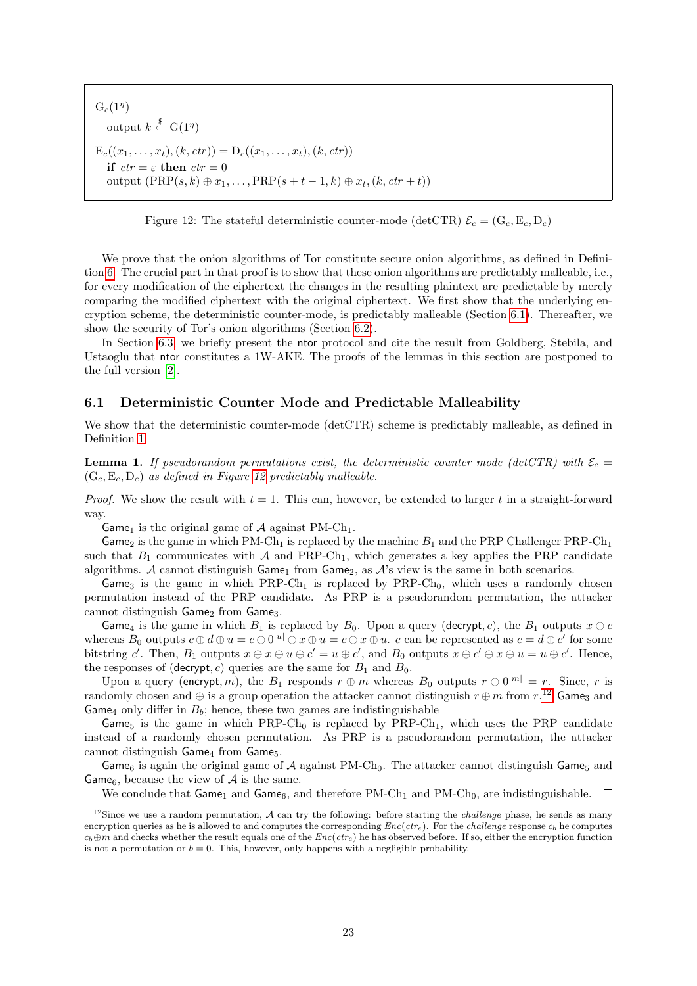$G_c(1^{\eta})$ output  $k \stackrel{\$}{\leftarrow} \mathcal{G}(1^{\eta})$  $E_c((x_1, \ldots, x_t), (k, ctr)) = D_c((x_1, \ldots, x_t), (k, ctr))$ if  $ctr = \varepsilon$  then  $ctr = 0$ output  $(PRP(s, k) \oplus x_1, \ldots, PRP(s + t - 1, k) \oplus x_t, (k, ctr + t))$ 

<span id="page-22-1"></span>Figure 12: The stateful deterministic counter-mode (detCTR)  $\mathcal{E}_c = (G_c, E_c, D_c)$ 

We prove that the onion algorithms of Tor constitute secure onion algorithms, as defined in Definition [6.](#page-17-2) The crucial part in that proof is to show that these onion algorithms are predictably malleable, i.e., for every modification of the ciphertext the changes in the resulting plaintext are predictable by merely comparing the modified ciphertext with the original ciphertext. We first show that the underlying encryption scheme, the deterministic counter-mode, is predictably malleable (Section [6.1\)](#page-22-0). Thereafter, we show the security of Tor's onion algorithms (Section [6.2\)](#page-23-0).

In Section [6.3,](#page-24-0) we briefly present the ntor protocol and cite the result from Goldberg, Stebila, and Ustaoglu that ntor constitutes a 1W-AKE. The proofs of the lemmas in this section are postponed to the full version [\[2\]](#page-34-9).

### <span id="page-22-0"></span>6.1 Deterministic Counter Mode and Predictable Malleability

We show that the deterministic counter-mode (detCTR) scheme is predictably malleable, as defined in Definition [1.](#page-14-3)

**Lemma 1.** If pseudorandom permutations exist, the deterministic counter mode (detCTR) with  $\mathcal{E}_c$  =  $(G_c, E_c, D_c)$  as defined in Figure [12](#page-22-1) predictably malleable.

*Proof.* We show the result with  $t = 1$ . This can, however, be extended to larger t in a straight-forward way.

Game<sub>1</sub> is the original game of A against PM-Ch<sub>1</sub>.

Game<sub>2</sub> is the game in which PM-Ch<sub>1</sub> is replaced by the machine  $B_1$  and the PRP Challenger PRP-Ch<sub>1</sub> such that  $B_1$  communicates with A and PRP-Ch<sub>1</sub>, which generates a key applies the PRP candidate algorithms. A cannot distinguish  $Game_1$  from  $Game_2$ , as A's view is the same in both scenarios.

Game<sub>3</sub> is the game in which  $PRP-Ch_1$  is replaced by  $PRP-Ch_0$ , which uses a randomly chosen permutation instead of the PRP candidate. As PRP is a pseudorandom permutation, the attacker cannot distinguish Game<sub>2</sub> from Game<sub>3</sub>.

Game<sub>4</sub> is the game in which  $B_1$  is replaced by  $B_0$ . Upon a query (decrypt, c), the  $B_1$  outputs  $x \oplus c$ whereas  $B_0$  outputs  $c \oplus d \oplus u = c \oplus 0^{|u|} \oplus x \oplus u = c \oplus x \oplus u$ . c can be represented as  $c = d \oplus c'$  for some bitstring c'. Then,  $B_1$  outputs  $x \oplus x \oplus u \oplus c' = u \oplus c'$ , and  $B_0$  outputs  $x \oplus c' \oplus x \oplus u = u \oplus c'$ . Hence, the responses of (decrypt, c) queries are the same for  $B_1$  and  $B_0$ .

Upon a query (encrypt, m), the  $B_1$  responds  $r \oplus m$  whereas  $B_0$  outputs  $r \oplus 0^{|m|} = r$ . Since, r is randomly chosen and  $\oplus$  is a group operation the attacker cannot distinguish  $r \oplus m$  from  $r$ .<sup>[12](#page-22-2)</sup> Game<sub>3</sub> and Game<sub>4</sub> only differ in  $B_b$ ; hence, these two games are indistinguishable

Game<sub>5</sub> is the game in which PRP-Ch<sub>0</sub> is replaced by PRP-Ch<sub>1</sub>, which uses the PRP candidate instead of a randomly chosen permutation. As PRP is a pseudorandom permutation, the attacker cannot distinguish  $Game_4$  from  $Game_5$ .

Game<sub>6</sub> is again the original game of A against PM-Ch<sub>0</sub>. The attacker cannot distinguish Game<sub>5</sub> and Game<sub>6</sub>, because the view of  $A$  is the same.

<span id="page-22-2"></span>We conclude that Game<sub>1</sub> and Game<sub>6</sub>, and therefore PM-Ch<sub>1</sub> and PM-Ch<sub>0</sub>, are indistinguishable.  $\square$ 

<sup>&</sup>lt;sup>12</sup>Since we use a random permutation, A can try the following: before starting the *challenge* phase, he sends as many encryption queries as he is allowed to and computes the corresponding  $Enc(ctr_e)$ . For the *challenge* response  $c_b$  he computes  $c_b \oplus m$  and checks whether the result equals one of the  $Enc(ctr_e)$  he has observed before. If so, either the encryption function is not a permutation or  $b = 0$ . This, however, only happens with a negligible probability.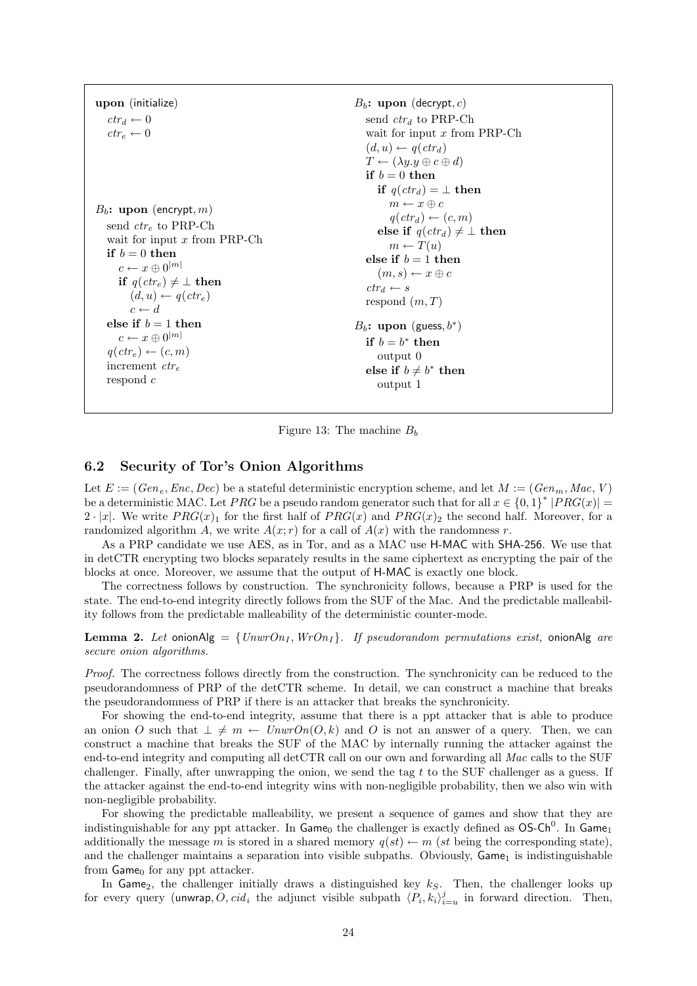| upon (initialize)<br>$ctr_d \leftarrow 0$<br>$ctr_{\circ} \leftarrow 0$<br>$B_b$ : upon (encrypt, m)<br>send $ctr_e$ to PRP-Ch | $B_b$ : upon (decrypt, c)<br>send $ctr_d$ to PRP-Ch<br>wait for input $x$ from PRP-Ch<br>$(d, u) \leftarrow q(ctr_d)$<br>$T \leftarrow (\lambda y \cdot y \oplus c \oplus d)$<br>if $b=0$ then<br>if $q(\text{ctr}_d) = \perp$ then<br>$m \leftarrow x \oplus c$<br>$q(\text{ctr}_d) \leftarrow (c, m)$ |
|--------------------------------------------------------------------------------------------------------------------------------|---------------------------------------------------------------------------------------------------------------------------------------------------------------------------------------------------------------------------------------------------------------------------------------------------------|
| wait for input $x$ from PRP-Ch                                                                                                 | else if $q(\text{ctr}_d) \neq \bot$ then                                                                                                                                                                                                                                                                |
| if $b=0$ then                                                                                                                  | $m \leftarrow T(u)$                                                                                                                                                                                                                                                                                     |
| $c \leftarrow x \oplus 0^{ m }$                                                                                                | else if $b=1$ then                                                                                                                                                                                                                                                                                      |
| if $q(\text{ctr}_e) \neq \bot$ then                                                                                            | $(m, s) \leftarrow x \oplus c$                                                                                                                                                                                                                                                                          |
| $(d, u) \leftarrow q(\text{ctr}_e)$                                                                                            | $ctr_d \leftarrow s$                                                                                                                                                                                                                                                                                    |
| $c \leftarrow d$                                                                                                               | respond $(m, T)$                                                                                                                                                                                                                                                                                        |
| else if $b=1$ then                                                                                                             | $B_b$ : upon (guess, $b^*$ )                                                                                                                                                                                                                                                                            |
| $c \leftarrow x \oplus 0^{ m }$                                                                                                | if $b = b^*$ then                                                                                                                                                                                                                                                                                       |
| $q(\text{ctr}_e) \leftarrow (c, m)$                                                                                            | output 0                                                                                                                                                                                                                                                                                                |
| increment $ctr_e$                                                                                                              | else if $b \neq b^*$ then                                                                                                                                                                                                                                                                               |
| respond $c$                                                                                                                    | output 1                                                                                                                                                                                                                                                                                                |

Figure 13: The machine  $B<sub>b</sub>$ 

## <span id="page-23-0"></span>6.2 Security of Tor's Onion Algorithms

Let  $E := (Gen_e, Enc, Dec)$  be a stateful deterministic encryption scheme, and let  $M := (Gen_m, Mac, V)$ be a deterministic MAC. Let PRG be a pseudo random generator such that for all  $x \in \{0,1\}^*$   $|PRG(x)| =$  $2 \cdot |x|$ . We write  $PRG(x)_1$  for the first half of  $PRG(x)$  and  $PRG(x)_2$  the second half. Moreover, for a randomized algorithm A, we write  $A(x; r)$  for a call of  $A(x)$  with the randomness r.

As a PRP candidate we use AES, as in Tor, and as a MAC use H-MAC with SHA-256. We use that in detCTR encrypting two blocks separately results in the same ciphertext as encrypting the pair of the blocks at once. Moreover, we assume that the output of H-MAC is exactly one block.

The correctness follows by construction. The synchronicity follows, because a PRP is used for the state. The end-to-end integrity directly follows from the SUF of the Mac. And the predictable malleability follows from the predictable malleability of the deterministic counter-mode.

<span id="page-23-1"></span>**Lemma 2.** Let onionAlg =  $\{UnwrOn_I, Wron_I\}$ . If pseudorandom permutations exist, onionAlg are secure onion algorithms.

Proof. The correctness follows directly from the construction. The synchronicity can be reduced to the pseudorandomness of PRP of the detCTR scheme. In detail, we can construct a machine that breaks the pseudorandomness of PRP if there is an attacker that breaks the synchronicity.

For showing the end-to-end integrity, assume that there is a ppt attacker that is able to produce an onion O such that  $\bot \neq m \leftarrow UnwrOn(O, k)$  and O is not an answer of a query. Then, we can construct a machine that breaks the SUF of the MAC by internally running the attacker against the end-to-end integrity and computing all detCTR call on our own and forwarding all Mac calls to the SUF challenger. Finally, after unwrapping the onion, we send the tag  $t$  to the SUF challenger as a guess. If the attacker against the end-to-end integrity wins with non-negligible probability, then we also win with non-negligible probability.

For showing the predictable malleability, we present a sequence of games and show that they are indistinguishable for any ppt attacker. In  $Game_0$  the challenger is exactly defined as  $OS-Ch^0$ . In  $Game_1$ additionally the message m is stored in a shared memory  $q(st) \leftarrow m (st \text{ being the corresponding state}),$ and the challenger maintains a separation into visible subpaths. Obviously,  $\mathsf{Game}_1$  is indistinguishable from  $Game_0$  for any ppt attacker.

In Game<sub>2</sub>, the challenger initially draws a distinguished key  $k<sub>S</sub>$ . Then, the challenger looks up for every query (unwrap,  $\tilde{O}$ ,  $cid_i$  the adjunct visible subpath  $\langle P_i, k_i \rangle_{i=u}^j$  in forward direction. Then,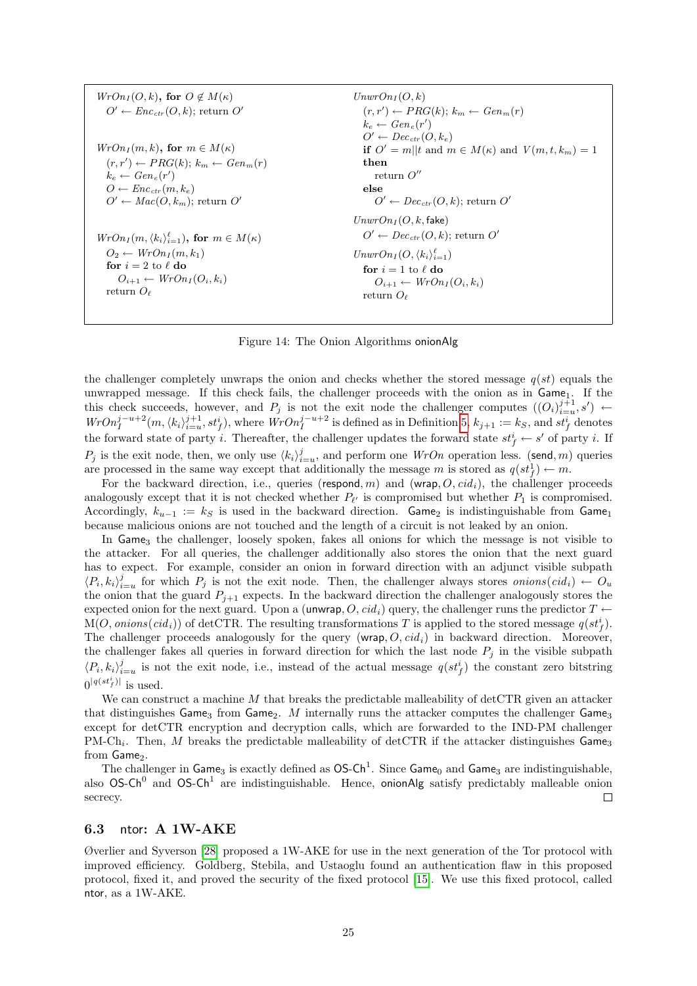| \n $WrOn_I(O,k)$ , for $O \notin M(\kappa)$<br>\n $O' \leftarrow Enc_{ctr}(O,k)$ ; return $O'$<br>\n $krOn_I(m,k)$ , for $m \in M(\kappa)$<br>\n $(r,r') \leftarrow PRG(k)$ ; $k_m \leftarrow Gen_e(r')$<br>\n $VrOn_I(m,k)$ , for $m \in M(\kappa)$<br>\n $(r,r') \leftarrow PRG(k)$ ; $k_m \leftarrow Gen_m(r)$<br>\n $(r,r') \leftarrow PRG(k)$ ; $k_m \leftarrow Gen_m(r)$<br>\n $(r,r') \leftarrow PRG(k)$ ; $k_m \leftarrow Gen_m(r)$<br>\n $(r,r') \leftarrow PRG(k)$ ; $k_m \leftarrow Gen_m(r)$<br>\n $(r,r') \leftarrow PRG(k)$ ; $k_m \leftarrow Gen_m(r)$<br>\n $(r,r') \leftarrow PRG(k)$ ; for $m \in M(\kappa)$<br>\n $(r,r') \leftarrow PRG(k)$ ; for $m \leftarrow Gen_m(r)$<br>\n $(r,r') \leftarrow PEG(k)$ ; for $m \leftarrow Gen_m(r)$<br>\n $(r,r') \leftarrow PEG(k)$ ; for $m \leftarrow Con_m(r)$<br>\n $(r,r') \leftarrow PEG(k)$ ; for $m \leftarrow Con_m(r)$<br>\n $(r,r') \leftarrow PEG(k)$ ; for $m \leftarrow Con_m(r)$<br>\n $(r,r') \leftarrow PEG(k)$ ; for $m \leftarrow Con_m(r)$<br>\n $(r,r') \leftarrow PEG(k)$ ; for $m \leftarrow Con_m(r)$<br>\n $(r,r') \leftarrow PEG(k)$ ; for $m \leftarrow Con_m(r)$<br>\n $(r,r') \leftarrow PEG(k)$ ; for $m \leftarrow Con_m(r)$<br>\n $(r,r') \leftarrow PEG(k)$ ; for $m \leftarrow Con_m(r)$<br>\n $(r,r') \leftarrow PEG(k)$ ; for $m \leftarrow Con_m(r)$<br>\n $(r,r') \leftarrow PEG(k)$ ; for $m \leftarrow Con_m(r)$<br>\n $(r,r') \leftarrow PEG(k)$ ; for $m \leftarrow Con_m(r)$<br>\n $(r,r') \leftarrow PEG(k)$ ; for $m \leftarrow Con_m(r)$ |
|--------------------------------------------------------------------------------------------------------------------------------------------------------------------------------------------------------------------------------------------------------------------------------------------------------------------------------------------------------------------------------------------------------------------------------------------------------------------------------------------------------------------------------------------------------------------------------------------------------------------------------------------------------------------------------------------------------------------------------------------------------------------------------------------------------------------------------------------------------------------------------------------------------------------------------------------------------------------------------------------------------------------------------------------------------------------------------------------------------------------------------------------------------------------------------------------------------------------------------------------------------------------------------------------------------------------------------------------------------------------------------------------------------------------------------------------------------------------------------------------------------------------------------------------------|
|--------------------------------------------------------------------------------------------------------------------------------------------------------------------------------------------------------------------------------------------------------------------------------------------------------------------------------------------------------------------------------------------------------------------------------------------------------------------------------------------------------------------------------------------------------------------------------------------------------------------------------------------------------------------------------------------------------------------------------------------------------------------------------------------------------------------------------------------------------------------------------------------------------------------------------------------------------------------------------------------------------------------------------------------------------------------------------------------------------------------------------------------------------------------------------------------------------------------------------------------------------------------------------------------------------------------------------------------------------------------------------------------------------------------------------------------------------------------------------------------------------------------------------------------------|

Figure 14: The Onion Algorithms onionAlg

the challenger completely unwraps the onion and checks whether the stored message  $q(st)$  equals the unwrapped message. If this check fails, the challenger proceeds with the onion as in Game<sub>1</sub>. If the this check succeeds, however, and  $P_j$  is not the exit node the challenger computes  $((O_i)_{i=u}^{j+1}, s') \leftarrow$  $WrOn_i^{j-u+2}(m, \langle k_i \rangle_{i=u}^{j+1}, st_f^i)$ , where  $WrOn_i^{j-u+2}$  is defined as in Definition [5,](#page-16-2)  $k_{j+1} := k_S$ , and  $st_f^i$  denotes the forward state of party i. Thereafter, the challenger updates the forward state  $st_f^i \leftarrow s'$  of party i. If  $P_j$  is the exit node, then, we only use  $\langle k_i \rangle_{i=u}^j$ , and perform one  $WrOn$  operation less. (send, m) queries are processed in the same way except that additionally the message m is stored as  $q(st_f^1) \leftarrow m$ .

For the backward direction, i.e., queries (respond, m) and (wrap,  $O, cid_i$ ), the challenger proceeds analogously except that it is not checked whether  $P_{\ell'}$  is compromised but whether  $P_1$  is compromised. Accordingly,  $k_{u-1} := k_S$  is used in the backward direction. Game<sub>2</sub> is indistinguishable from Game<sub>1</sub> because malicious onions are not touched and the length of a circuit is not leaked by an onion.

In Game<sub>3</sub> the challenger, loosely spoken, fakes all onions for which the message is not visible to the attacker. For all queries, the challenger additionally also stores the onion that the next guard has to expect. For example, consider an onion in forward direction with an adjunct visible subpath  $\langle P_i, k_i \rangle_{i=u}^j$  for which  $P_j$  is not the exit node. Then, the challenger always stores *onions*(*cid<sub>i</sub>*) ←  $O_u$ the onion that the guard  $P_{i+1}$  expects. In the backward direction the challenger analogously stores the expected onion for the next guard. Upon a (unwrap, O,  $cid_i$ ) query, the challenger runs the predictor  $T \leftarrow$  $M(O, onions(cid_i))$  of detCTR. The resulting transformations T is applied to the stored message  $q(st_f^i)$ . The challenger proceeds analogously for the query (wrap,  $O, c_i d_i$ ) in backward direction. Moreover, the challenger fakes all queries in forward direction for which the last node  $P_j$  in the visible subpath  $\langle P_i, k_i \rangle_{i=u}^j$  is not the exit node, i.e., instead of the actual message  $q(st_f^i)$  the constant zero bitstring  $0^{|q(st_f^i)|}$  is used.

We can construct a machine M that breaks the predictable malleability of detCTR given an attacker that distinguishes Game<sub>3</sub> from Game<sub>2</sub>. M internally runs the attacker computes the challenger Game<sub>3</sub> except for detCTR encryption and decryption calls, which are forwarded to the IND-PM challenger PM-Ch<sub>i</sub>. Then, M breaks the predictable malleability of detCTR if the attacker distinguishes Game<sub>3</sub> from Game<sub>2</sub>.

The challenger in Game<sub>3</sub> is exactly defined as  $OS-Ch^1$ . Since Game<sub>0</sub> and Game<sub>3</sub> are indistinguishable, also  $OS-Ch^0$  and  $OS-Ch^1$  are indistinguishable. Hence, onionAlg satisfy predictably malleable onion secrecy.  $\Box$ 

### <span id="page-24-0"></span>6.3 ntor: A 1W-AKE

Øverlier and Syverson [\[28\]](#page-35-1) proposed a 1W-AKE for use in the next generation of the Tor protocol with improved efficiency. Goldberg, Stebila, and Ustaoglu found an authentication flaw in this proposed protocol, fixed it, and proved the security of the fixed protocol [\[15\]](#page-34-7). We use this fixed protocol, called ntor, as a 1W-AKE.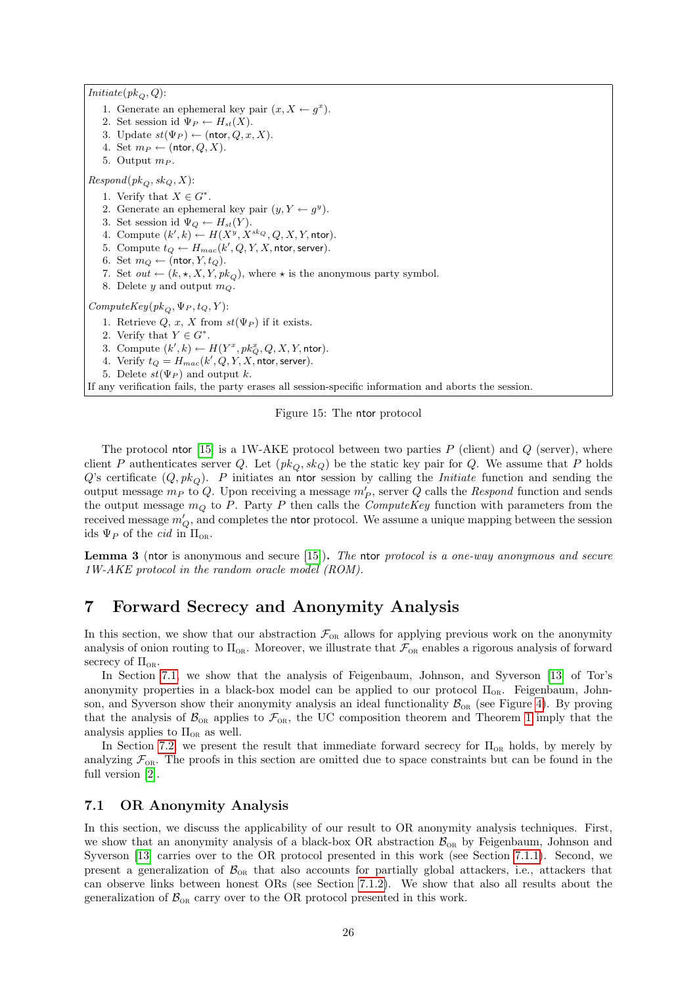$Initiate(pk_Q, Q)$ : 1. Generate an ephemeral key pair  $(x, X \leftarrow g^x)$ . 2. Set session id  $\Psi_P \leftarrow H_{st}(X)$ . 3. Update  $st(\Psi_P) \leftarrow (ntor, Q, x, X)$ . 4. Set  $m_P \leftarrow (\text{ntor}, Q, X)$ . 5. Output  $m_P$ .  $Respond(pk_Q, sk_Q, X)$ : 1. Verify that  $X \in G^*$ . 2. Generate an ephemeral key pair  $(y, Y \leftarrow g^y)$ . 3. Set session id  $\Psi_Q \leftarrow H_{st}(Y)$ . 4. Compute  $(k', k) \leftarrow H(X^y, X^{sk_Q}, Q, X, Y, \text{ntor}).$ 5. Compute  $t_Q \leftarrow H_{mac}(k', Q, Y, X, \text{ntor, server}).$ 6. Set  $m_Q \leftarrow (\text{ntor}, Y, t_Q)$ . 7. Set  $out \leftarrow (k, \star, X, Y, pk_Q)$ , where  $\star$  is the anonymous party symbol. 8. Delete y and output  $m_Q$ .  $ComputeKey(\mathit{pk}_{Q}, \Psi_{P}, t_{Q}, Y) \text{:}$ 1. Retrieve  $Q, x, X$  from  $st(\Psi_P)$  if it exists. 2. Verify that  $Y \in G^*$ . 3. Compute  $(k',k) \leftarrow H(Y^x, pk_Q^x, Q, X, Y, n$ tor). 4. Verify  $t_Q = H_{mac}(k', Q, Y, X, \text{ntor, server}).$ 5. Delete  $st(\Psi_P)$  and output k. If any verification fails, the party erases all session-specific information and aborts the session.

<span id="page-25-2"></span>Figure 15: The ntor protocol

The protocol ntor [\[15\]](#page-34-7) is a 1W-AKE protocol between two parties  $P$  (client) and  $Q$  (server), where client P authenticates server Q. Let  $(pk<sub>O</sub>, sk<sub>Q</sub>)$  be the static key pair for Q. We assume that P holds  $Q$ 's certificate  $(Q, pk<sub>O</sub>)$ . P initiates an ntor session by calling the *Initiate* function and sending the output message  $m_P$  to Q. Upon receiving a message  $m_P'$ , server Q calls the Respond function and sends the output message  $m_Q$  to P. Party P then calls the *ComputeKey* function with parameters from the received message  $m_Q'$ , and completes the ntor protocol. We assume a unique mapping between the session ids  $\Psi_P$  of the *cid* in  $\Pi_{OR}$ .

<span id="page-25-3"></span>Lemma 3 (ntor is anonymous and secure [\[15\]](#page-34-7)). The ntor protocol is a one-way anonymous and secure 1W-AKE protocol in the random oracle model (ROM).

# <span id="page-25-0"></span>7 Forward Secrecy and Anonymity Analysis

In this section, we show that our abstraction  $\mathcal{F}_{OR}$  allows for applying previous work on the anonymity analysis of onion routing to  $\Pi_{OR}$ . Moreover, we illustrate that  $\mathcal{F}_{OR}$  enables a rigorous analysis of forward secrecy of  $\Pi_{OR}$ .

In Section [7.1,](#page-25-1) we show that the analysis of Feigenbaum, Johnson, and Syverson [\[13\]](#page-34-6) of Tor's anonymity properties in a black-box model can be applied to our protocol  $\Pi_{OR}$ . Feigenbaum, Johnson, and Syverson show their anonymity analysis an ideal functionality  $\mathcal{B}_{OR}$  (see Figure [4\)](#page-9-2). By proving that the analysis of  $\mathcal{B}_{OR}$  applies to  $\mathcal{F}_{OR}$ , the UC composition theorem and Theorem [1](#page-19-3) imply that the analysis applies to  $\Pi_{OR}$  as well.

In Section [7.2,](#page-29-0) we present the result that immediate forward secrecy for  $\Pi_{OR}$  holds, by merely by analyzing  $\mathcal{F}_{OR}$ . The proofs in this section are omitted due to space constraints but can be found in the full version [\[2\]](#page-34-9).

# <span id="page-25-1"></span>7.1 OR Anonymity Analysis

In this section, we discuss the applicability of our result to OR anonymity analysis techniques. First, we show that an anonymity analysis of a black-box OR abstraction  $\mathcal{B}_{OR}$  by Feigenbaum, Johnson and Syverson [\[13\]](#page-34-6) carries over to the OR protocol presented in this work (see Section [7.1.1\)](#page-26-0). Second, we present a generalization of  $\mathcal{B}_{OR}$  that also accounts for partially global attackers, i.e., attackers that can observe links between honest ORs (see Section [7.1.2\)](#page-28-0). We show that also all results about the generalization of  $\mathcal{B}_{OR}$  carry over to the OR protocol presented in this work.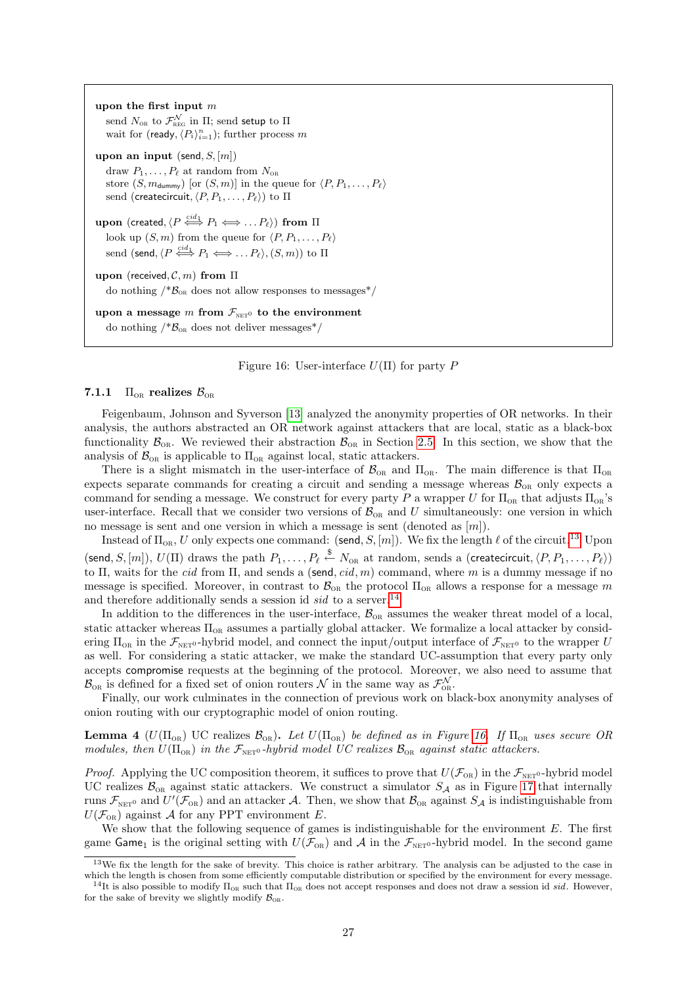upon the first input m send  $N_{\text{\tiny OR}}$  to  $\mathcal{F}^{\mathcal{N}}_{\text{\tiny REG}}$  in  $\Pi;$  send setup to  $\Pi$ wait for (ready,  $\langle P_i \rangle_{i=1}^n$ ); further process m upon an input (send,  $S$ ,  $|m|$ ) draw  $P_1, \ldots, P_\ell$  at random from  $N_{OR}$ store  $(S, m_{\text{dummy}})$  [or  $(S, m)$ ] in the queue for  $\langle P, P_1, \ldots, P_\ell \rangle$ send (createcircuit,  $\langle P, P_1, \ldots, P_\ell \rangle$ ) to  $\Pi$  $\textbf{upon} \,\,(\textsf{created},\langle P \stackrel{cid}_1 \Longleftrightarrow P_1 \Longleftrightarrow \dots P_\ell \rangle) \,\, \textbf{from} \,\, \Pi$ look up  $(S, m)$  from the queue for  $\langle P, P_1, \ldots, P_\ell \rangle$ send (send,  $\langle P\stackrel{cid_1}{\Longleftrightarrow}P_1\Longleftrightarrow\ldots P_\ell\rangle, (S,m))$  to  $\Pi$ upon (received,  $\mathcal{C}, m$ ) from  $\Pi$ do nothing  $/*B_{OR}$  does not allow responses to messages<sup>\*</sup>/ upon a message m from  $\mathcal{F}_{\text{NET}^0}$  to the environment

do nothing  $/*B_{OR}$  does not deliver messages<sup>\*</sup>/

<span id="page-26-3"></span>Figure 16: User-interface  $U(\Pi)$  for party P

#### <span id="page-26-0"></span>7.1.1  $\Pi_{\text{OR}}$  realizes  $\mathcal{B}_{\text{OR}}$

Feigenbaum, Johnson and Syverson [\[13\]](#page-34-6) analyzed the anonymity properties of OR networks. In their analysis, the authors abstracted an OR network against attackers that are local, static as a black-box functionality  $\mathcal{B}_{OR}$ . We reviewed their abstraction  $\mathcal{B}_{OR}$  in Section [2.5.](#page-9-0) In this section, we show that the analysis of  $\mathcal{B}_{OR}$  is applicable to  $\Pi_{OR}$  against local, static attackers.

There is a slight mismatch in the user-interface of  $\mathcal{B}_{OR}$  and  $\Pi_{OR}$ . The main difference is that  $\Pi_{OR}$ expects separate commands for creating a circuit and sending a message whereas  $\mathcal{B}_{OR}$  only expects a command for sending a message. We construct for every party P a wrapper U for  $\Pi_{OR}$  that adjusts  $\Pi_{OR}$ 's user-interface. Recall that we consider two versions of  $\mathcal{B}_{OR}$  and U simultaneously: one version in which no message is sent and one version in which a message is sent (denoted as  $[m]$ ).

Instead of  $\Pi_{OR}$ , U only expects one command: (send, S, [m]). We fix the length  $\ell$  of the circuit.<sup>[13](#page-26-1)</sup> Upon (send, S, [m]),  $U(\Pi)$  draws the path  $P_1, \ldots, P_\ell \stackrel{\$}{\leftarrow} N_{\text{OR}}$  at random, sends a (createcircuit,  $\langle P, P_1, \ldots, P_\ell \rangle$ ) to Π, waits for the *cid* from Π, and sends a (send, *cid*, *m*) command, where *m* is a dummy message if no message is specified. Moreover, in contrast to  $\mathcal{B}_{OR}$  the protocol  $\Pi_{OR}$  allows a response for a message m and therefore additionally sends a session id  $sid$  to a server.<sup>[14](#page-26-2)</sup>

In addition to the differences in the user-interface,  $\mathcal{B}_{OR}$  assumes the weaker threat model of a local, static attacker whereas  $\Pi_{OR}$  assumes a partially global attacker. We formalize a local attacker by considering  $\Pi_{OR}$  in the  $\mathcal{F}_{NET^0}$ -hybrid model, and connect the input/output interface of  $\mathcal{F}_{NET^0}$  to the wrapper U as well. For considering a static attacker, we make the standard UC-assumption that every party only accepts compromise requests at the beginning of the protocol. Moreover, we also need to assume that  $\mathcal{B}_{\text{OR}}$  is defined for a fixed set of onion routers  $\mathcal{N}$  in the same way as  $\mathcal{F}_{\text{OR}}^{\mathcal{N}}$ .

Finally, our work culminates in the connection of previous work on black-box anonymity analyses of onion routing with our cryptographic model of onion routing.

<span id="page-26-4"></span>**Lemma 4** ( $U(\Pi_{OR})$ ) UC realizes  $\mathcal{B}_{OR}$ ). Let  $U(\Pi_{OR})$  be defined as in Figure [16.](#page-26-3) If  $\Pi_{OR}$  uses secure OR modules, then  $U(\Pi_{OR})$  in the  $\mathcal{F}_{NET^0}$ -hybrid model UC realizes  $\mathcal{B}_{OR}$  against static attackers.

*Proof.* Applying the UC composition theorem, it suffices to prove that  $U(\mathcal{F}_{OR})$  in the  $\mathcal{F}_{NET0}$ -hybrid model UC realizes  $\mathcal{B}_{OR}$  against static attackers. We construct a simulator  $S_A$  as in Figure [17](#page-27-0) that internally runs  $\mathcal{F}_{\text{NET}^0}$  and  $U'(\mathcal{F}_{\text{OR}})$  and an attacker A. Then, we show that  $\mathcal{B}_{\text{OR}}$  against  $S_{\mathcal{A}}$  is indistinguishable from  $U(\mathcal{F}_{OR})$  against A for any PPT environment E.

We show that the following sequence of games is indistinguishable for the environment  $E$ . The first game Game<sub>1</sub> is the original setting with  $U(\mathcal{F}_{OR})$  and A in the  $\mathcal{F}_{NET0}$ -hybrid model. In the second game

<span id="page-26-1"></span> $13\,\text{We fix the length for the sake of brevity. This choice is rather arbitrary. The analysis can be adjusted to the case in$ which the length is chosen from some efficiently computable distribution or specified by the environment for every message.

<span id="page-26-2"></span><sup>&</sup>lt;sup>14</sup>It is also possible to modify  $\Pi_{OR}$  such that  $\Pi_{OR}$  does not accept responses and does not draw a session id sid. However, for the sake of brevity we slightly modify  $\mathcal{B}_{OR}$ .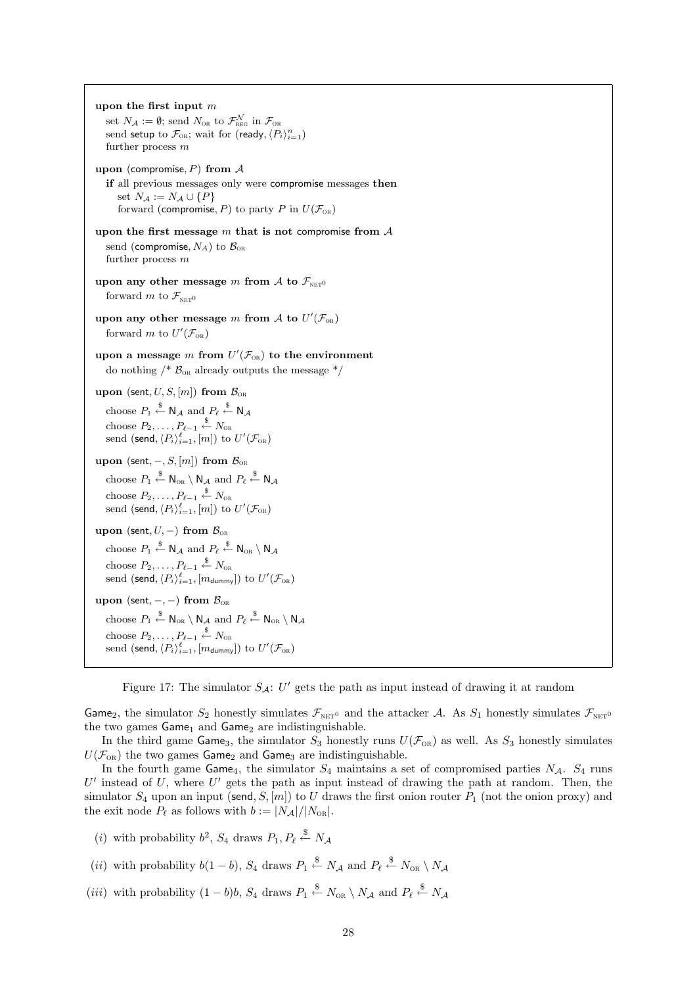upon the first input m set  $N_A := \emptyset$ ; send  $N_{\text{OR}}$  to  $\mathcal{F}_{\text{REG}}^{\mathcal{N}}$  in  $\mathcal{F}_{\text{OR}}$ send setup to  $\mathcal{F}_{OR}$ ; wait for (ready,  $\langle P_i \rangle_{i=1}^n$ ) further process  $m$ upon (compromise,  $P$ ) from  $A$ if all previous messages only were compromise messages then set  $N_A := N_A \cup \{P\}$ forward (compromise, P) to party P in  $U(\mathcal{F}_{OR})$ upon the first message  $m$  that is not compromise from  $A$ send (compromise,  $N_A$ ) to  $\mathcal{B}_{OR}$ further process  $m$ upon any other message m from A to  $\mathcal{F}_{\text{NET}}$ <sup>0</sup> forward m to  $\mathcal{F}_{\textsc{net}}$ upon any other message m from A to  $U'(\mathcal{F}_{OR})$ forward m to  $U'(\mathcal{F}_{OR})$ upon a message m from  $U'(\mathcal{F}_{OR})$  to the environment do nothing  $/*$   $\mathcal{B}_{OR}$  already outputs the message  $*/$ upon (sent,  $U, S, [m]$ ) from  $\mathcal{B}_{OR}$ choose  $P_1 \overset{\$}{\leftarrow} \mathsf{N}_{\mathcal{A}}$  and  $P_\ell \overset{\$}{\leftarrow} \mathsf{N}_{\mathcal{A}}$ choose  $P_2, \ldots, P_{\ell-1} \overset{\$}{\leftarrow} N_{\text{OR}}$ send (send,  $\langle P_i \rangle_{i=1}^{\ell}, [m])$  to  $U'(\mathcal{F}_{\text{\tiny OR}})$ upon (sent,  $-, S, [m]$ ) from  $\mathcal{B}_{OR}$ choose  $P_1 \stackrel{\$}{\leftarrow} \mathsf{N}_{\text{OR}} \setminus \mathsf{N}_{\mathcal{A}}$  and  $P_\ell \stackrel{\$}{\leftarrow} \mathsf{N}_{\mathcal{A}}$ choose  $P_2, \ldots, P_{\ell-1} \overset{\$}{\leftarrow} N_{\text{OR}}$ send (send,  $\langle P_i \rangle_{i=1}^{\ell}, [m])$  to  $U'(\mathcal{F}_{\text{\tiny OR}})$ upon (sent,  $U$ , –) from  $\mathcal{B}_{OR}$ choose  $P_1 \stackrel{\$}{\leftarrow} \mathsf{N}_{\mathcal{A}}$  and  $P_\ell \stackrel{\$}{\leftarrow} \mathsf{N}_{\scriptscriptstyle{\mathrm{OR}}} \setminus \mathsf{N}_{\mathcal{A}}$ choose  $P_2, \ldots, P_{\ell-1} \overset{\$}{\leftarrow} N_{\text{OR}}$ send  $(\mathsf{send}, \langle P_i \rangle_{i=1}^\ell, [m_{\mathsf{dummy}}])$  to  $U'(\mathcal{F}_\text{OR})$ upon (sent, –, –) from  $\mathcal{B}_{OR}$ choose  $P_1 \overset{\$}{\leftarrow} \mathsf{N}_{\scriptscriptstyle{\mathrm{OR}}} \setminus \mathsf{N}_{\mathcal{A}}$  and  $P_\ell \overset{\$}{\leftarrow} \mathsf{N}_{\scriptscriptstyle{\mathrm{OR}}} \setminus \mathsf{N}_{\mathcal{A}}$ choose  $P_2, \ldots, P_{\ell-1} \overset{\$}{\leftarrow} N_{\textnormal{or}}$ send  $(\mathsf{send}, \langle P_i \rangle_{i=1}^\ell, [m_{\mathsf{dummy}}])$  to  $U'(\mathcal{F}_{\text{OR}})$ 

<span id="page-27-0"></span>Figure 17: The simulator  $S_A$ : U' gets the path as input instead of drawing it at random

Game<sub>2</sub>, the simulator  $S_2$  honestly simulates  $\mathcal{F}_{\text{NET}}$  and the attacker A. As  $S_1$  honestly simulates  $\mathcal{F}_{\text{NET}}$ the two games  $Game<sub>1</sub>$  and  $Game<sub>2</sub>$  are indistinguishable.

In the third game Game<sub>3</sub>, the simulator  $S_3$  honestly runs  $U(\mathcal{F}_{OR})$  as well. As  $S_3$  honestly simulates  $U(\mathcal{F}_{OR})$  the two games Game<sub>2</sub> and Game<sub>3</sub> are indistinguishable.

In the fourth game Game<sub>4</sub>, the simulator  $S_4$  maintains a set of compromised parties  $N_A$ .  $S_4$  runs  $U'$  instead of  $U$ , where  $U'$  gets the path as input instead of drawing the path at random. Then, the simulator  $S_4$  upon an input (send, S,  $[m]$ ) to U draws the first onion router  $P_1$  (not the onion proxy) and the exit node  $P_\ell$  as follows with  $b := |N_{\mathcal{A}}|/|N_{\text{OR}}|$ .

- (*i*) with probability  $b^2$ ,  $S_4$  draws  $P_1, P_\ell \stackrel{\$}{\leftarrow} N_\mathcal{A}$
- (*ii*) with probability  $b(1-b)$ ,  $S_4$  draws  $P_1 \stackrel{\$}{\leftarrow} N_{\mathcal{A}}$  and  $P_{\ell} \stackrel{\$}{\leftarrow} N_{\text{OR}} \setminus N_{\mathcal{A}}$
- (*iii*) with probability  $(1 b)b$ ,  $S_4$  draws  $P_1 \stackrel{\$}{\leftarrow} N_{OR} \setminus N_{\mathcal{A}}$  and  $P_{\ell} \stackrel{\$}{\leftarrow} N_{\mathcal{A}}$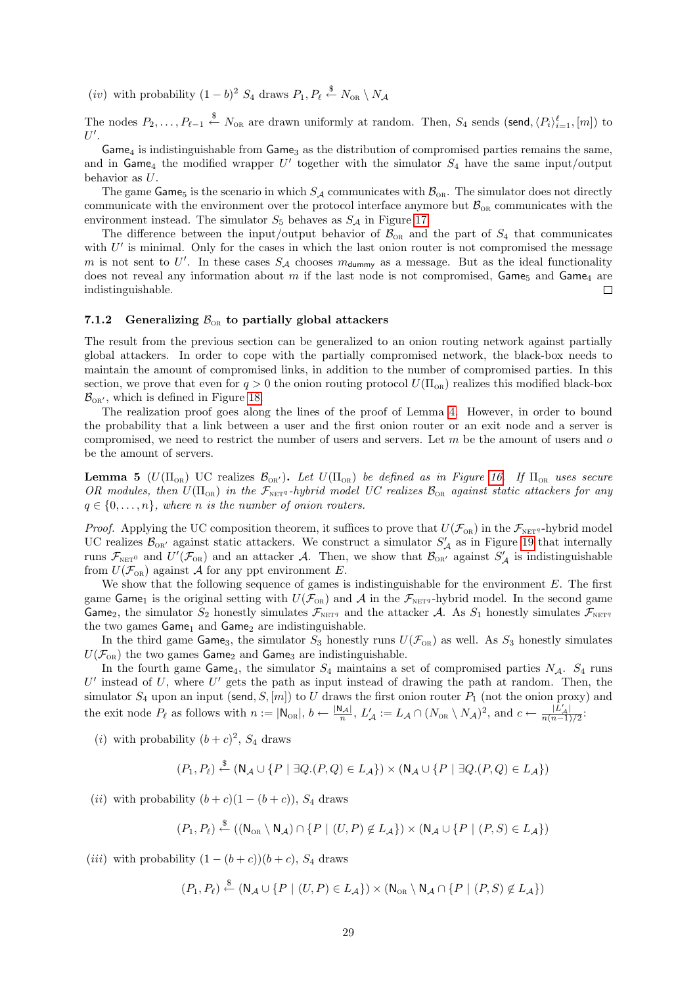(*iv*) with probability  $(1 - b)^2 S_4$  draws  $P_1, P_\ell \stackrel{\$}{\leftarrow} N_{\text{OR}} \setminus N_{\mathcal{A}}$ 

The nodes  $P_2, \ldots, P_{\ell-1} \stackrel{\$}{\leftarrow} N_{\text{OR}}$  are drawn uniformly at random. Then,  $S_4$  sends (send,  $\langle P_i \rangle_{i=1}^{\ell}, [m]$ ) to  $U'.$ 

 $Game<sub>4</sub>$  is indistinguishable from  $Game<sub>3</sub>$  as the distribution of compromised parties remains the same. and in Game<sub>4</sub> the modified wrapper  $U'$  together with the simulator  $S_4$  have the same input/output behavior as U.

The game Game<sub>5</sub> is the scenario in which  $S_A$  communicates with  $\mathcal{B}_{OR}$ . The simulator does not directly communicate with the environment over the protocol interface anymore but  $\mathcal{B}_{OR}$  communicates with the environment instead. The simulator  $S_5$  behaves as  $S_A$  in Figure [17.](#page-27-0)

The difference between the input/output behavior of  $\mathcal{B}_{OR}$  and the part of  $S_4$  that communicates with  $U'$  is minimal. Only for the cases in which the last onion router is not compromised the message m is not sent to U'. In these cases  $S_A$  chooses  $m_{\text{dummy}}$  as a message. But as the ideal functionality does not reveal any information about m if the last node is not compromised, Game<sub>5</sub> and Game<sub>4</sub> are indistinguishable.  $\Box$ 

#### <span id="page-28-0"></span>7.1.2 Generalizing  $\mathcal{B}_{OR}$  to partially global attackers

The result from the previous section can be generalized to an onion routing network against partially global attackers. In order to cope with the partially compromised network, the black-box needs to maintain the amount of compromised links, in addition to the number of compromised parties. In this section, we prove that even for  $q > 0$  the onion routing protocol  $U(\Pi_{OR})$  realizes this modified black-box  $\mathcal{B}_{OR'}$ , which is defined in Figure [18.](#page-29-1)

The realization proof goes along the lines of the proof of Lemma [4.](#page-26-4) However, in order to bound the probability that a link between a user and the first onion router or an exit node and a server is compromised, we need to restrict the number of users and servers. Let  $m$  be the amount of users and  $o$ be the amount of servers.

**Lemma 5** ( $U(\Pi_{OR})$ ) UC realizes  $\mathcal{B}_{OR'}$ ). Let  $U(\Pi_{OR})$  be defined as in Figure [16.](#page-26-3) If  $\Pi_{OR}$  uses secure OR modules, then  $U(\Pi_{OR})$  in the  $\mathcal{F}_{NETq}$ -hybrid model UC realizes  $\mathcal{B}_{OR}$  against static attackers for any  $q \in \{0, \ldots, n\}$ , where n is the number of onion routers.

*Proof.* Applying the UC composition theorem, it suffices to prove that  $U(\mathcal{F}_{OR})$  in the  $\mathcal{F}_{NET}$ -hybrid model UC realizes  $\mathcal{B}_{OR'}$  against static attackers. We construct a simulator  $S'_{\mathcal{A}}$  as in Figure [19](#page-30-0) that internally runs  $\mathcal{F}_{\text{NET}^0}$  and  $U'(\mathcal{F}_{\text{OR}})$  and an attacker A. Then, we show that  $\mathcal{B}_{\text{OR}}$  against  $S'_\mathcal{A}$  is indistinguishable from  $U(\mathcal{F}_{OR})$  against A for any ppt environment E.

We show that the following sequence of games is indistinguishable for the environment  $E$ . The first game Game<sub>1</sub> is the original setting with  $U(\mathcal{F}_{OR})$  and A in the  $\mathcal{F}_{NET^q}$ -hybrid model. In the second game Game<sub>2</sub>, the simulator  $S_2$  honestly simulates  $\mathcal{F}_{\text{NET}q}$  and the attacker A. As  $S_1$  honestly simulates  $\mathcal{F}_{\text{NET}q}$ the two games  $Game<sub>1</sub>$  and  $Game<sub>2</sub>$  are indistinguishable.

In the third game Game<sub>3</sub>, the simulator  $S_3$  honestly runs  $U(\mathcal{F}_{OR})$  as well. As  $S_3$  honestly simulates  $U(\mathcal{F}_{OR})$  the two games Game<sub>2</sub> and Game<sub>3</sub> are indistinguishable.

In the fourth game Game<sub>4</sub>, the simulator  $S_4$  maintains a set of compromised parties  $N_A$ .  $S_4$  runs  $U'$  instead of  $U$ , where  $U'$  gets the path as input instead of drawing the path at random. Then, the simulator  $S_4$  upon an input (send,  $S$ , [m]) to U draws the first onion router  $P_1$  (not the onion proxy) and the exit node  $P_\ell$  as follows with  $n := |\mathsf{N}_{OR}|, b \leftarrow \frac{|\mathsf{N}_{\mathcal{A}}|}{n}, L'_{\mathcal{A}} := L_{\mathcal{A}} \cap (N_{OR} \setminus N_{\mathcal{A}})^2$ , and  $c \leftarrow \frac{|L'_{\mathcal{A}}|}{n(n-1)/2}$ .

(*i*) with probability  $(b+c)^2$ ,  $S_4$  draws

$$
(P_1, P_\ell) \xleftarrow{\$} (\mathsf{N}_{\mathcal{A}} \cup \{ P \mid \exists Q.(P, Q) \in L_{\mathcal{A}} \}) \times (\mathsf{N}_{\mathcal{A}} \cup \{ P \mid \exists Q.(P, Q) \in L_{\mathcal{A}} \})
$$

(ii) with probability  $(b+c)(1-(b+c))$ , S<sub>4</sub> draws

$$
(P_1, P_\ell) \xleftarrow{\$} ((\mathsf{N}_{\mathsf{OR}} \setminus \mathsf{N}_{\mathcal{A}}) \cap \{P \mid (U, P) \notin L_{\mathcal{A}}\}) \times (\mathsf{N}_{\mathcal{A}} \cup \{P \mid (P, S) \in L_{\mathcal{A}}\})
$$

(iii) with probability  $(1 - (b + c))(b + c)$ ,  $S_4$  draws

 $(P_1, P_\ell) \stackrel{\$}{\leftarrow} (\mathsf{N}_{\mathcal{A}} \cup \{P \mid (U, P) \in L_{\mathcal{A}}\}) \times (\mathsf{N}_{\scriptscriptstyle{\mathrm{OR}}} \setminus \mathsf{N}_{\mathcal{A}} \cap \{P \mid (P, S) \notin L_{\mathcal{A}}\})$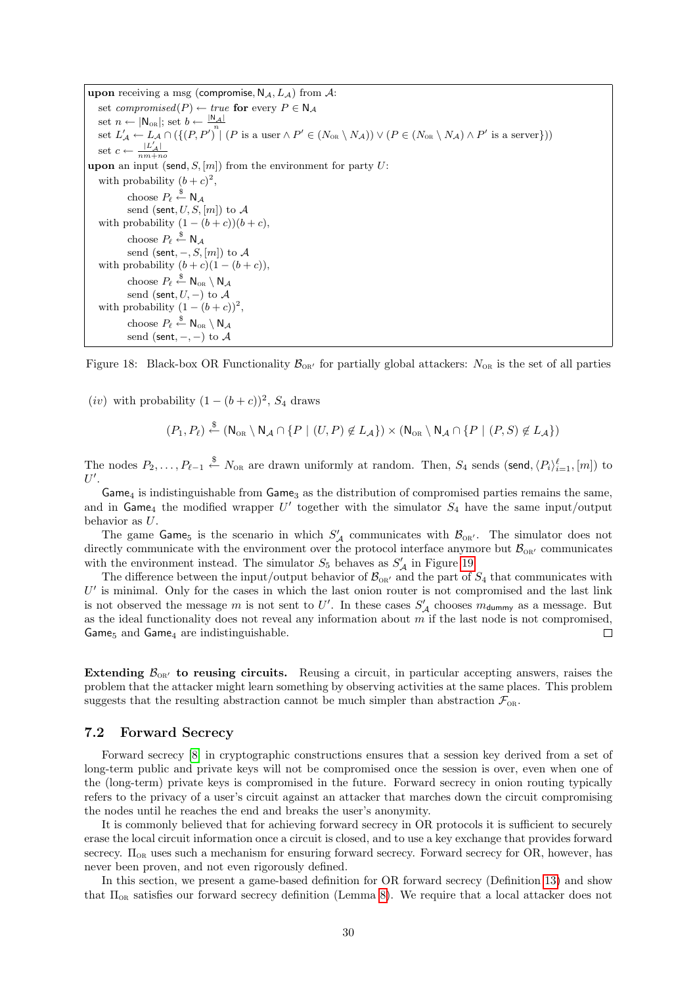upon receiving a msg (compromise,  $N_A$ ,  $L_A$ ) from  $A$ : set *compromised*( $P$ )  $\leftarrow$  *true* for every  $P \in N_A$ set  $n \leftarrow |N_{OR}|$ ; set  $b \leftarrow \frac{|N_A|}{n}$ set  $L'_{\mathcal{A}} \leftarrow L_{\mathcal{A}} \cap (\{(P, P')^n | (P \text{ is a user } \land P' \in (N_{\text{OR}} \setminus N_{\mathcal{A}})) \lor (P \in (N_{\text{OR}} \setminus N_{\mathcal{A}}) \land P' \text{ is a server}\}))$ set  $c \leftarrow$  $|L'_{\mathcal{A}}|$  $\frac{1}{nm+no}$ upon an input (send,  $S$ ,  $[m]$ ) from the environment for party U: with probability  $(b+c)^2$ , choose  $P_{\ell} \overset{\$}{\leftarrow} \mathsf{N}_{\mathcal{A}}$ send (sent,  $U, S, [m]$ ) to  $A$ with probability  $(1 - (b + c))(b + c)$ , choose  $P_{\ell} \overset{\$}{\leftarrow} \mathsf{N}_{\mathcal{A}}$ send (sent,  $-, S, [m]$ ) to  $A$ with probability  $(b + c)(1 - (b + c))$ , choose  $P_{\ell} \overset{\$}{\leftarrow} \mathsf{N}_{\scriptscriptstyle{\mathrm{OR}}} \setminus \mathsf{N}_{\mathcal{A}}$ send (sent,  $U$ , –) to  $\mathcal A$ with probability  $(1-(b+c))^2$ , choose  $P_{\ell} \overset{\$}{\leftarrow} \mathsf{N}_{\scriptscriptstyle{\mathrm{OR}}} \setminus \mathsf{N}_{\mathcal{A}}$ send (sent,  $-$ ,  $-$ ) to A

<span id="page-29-1"></span>Figure 18: Black-box OR Functionality  $\mathcal{B}_{OR'}$  for partially global attackers:  $N_{OR}$  is the set of all parties

(*iv*) with probability  $(1 - (b + c))^2$ ,  $S_4$  draws

$$
(P_1, P_\ell) \stackrel{\$}{\leftarrow} (\mathsf{N}_{\scriptscriptstyle{\mathrm{OR}}} \setminus \mathsf{N}_{\mathcal{A}} \cap \{P \mid (U, P) \notin L_{\mathcal{A}}\}) \times (\mathsf{N}_{\scriptscriptstyle{\mathrm{OR}}} \setminus \mathsf{N}_{\mathcal{A}} \cap \{P \mid (P, S) \notin L_{\mathcal{A}}\})
$$

The nodes  $P_2, \ldots, P_{\ell-1} \stackrel{\$}{\leftarrow} N_{\text{OR}}$  are drawn uniformly at random. Then,  $S_4$  sends (send,  $\langle P_i \rangle_{i=1}^{\ell}, [m]$ ) to  $U'.$ 

 $Game<sub>4</sub>$  is indistinguishable from  $Game<sub>3</sub>$  as the distribution of compromised parties remains the same, and in Game<sub>4</sub> the modified wrapper  $U'$  together with the simulator  $S_4$  have the same input/output behavior as U.

The game Game<sub>5</sub> is the scenario in which  $S'_{\mathcal{A}}$  communicates with  $\mathcal{B}_{\text{OR'}}$ . The simulator does not directly communicate with the environment over the protocol interface anymore but  $\mathcal{B}_{OR'}$  communicates with the environment instead. The simulator  $S_5$  behaves as  $S'_{\mathcal{A}}$  in Figure [19.](#page-30-0)

The difference between the input/output behavior of  $\mathcal{B}_{\text{OR'}}$  and the part of  $S_4$  that communicates with  $U'$  is minimal. Only for the cases in which the last onion router is not compromised and the last link is not observed the message m is not sent to U'. In these cases  $S'_{\mathcal{A}}$  chooses  $m_{\text{dummy}}$  as a message. But as the ideal functionality does not reveal any information about  $m$  if the last node is not compromised, Game $<sub>5</sub>$  and Game<sub>4</sub> are indistinguishable.</sub>  $\Box$ 

Extending  $\mathcal{B}_{\text{OR}}$  to reusing circuits. Reusing a circuit, in particular accepting answers, raises the problem that the attacker might learn something by observing activities at the same places. This problem suggests that the resulting abstraction cannot be much simpler than abstraction  $\mathcal{F}_{\text{OR}}$ .

### <span id="page-29-0"></span>7.2 Forward Secrecy

Forward secrecy [\[8\]](#page-34-3) in cryptographic constructions ensures that a session key derived from a set of long-term public and private keys will not be compromised once the session is over, even when one of the (long-term) private keys is compromised in the future. Forward secrecy in onion routing typically refers to the privacy of a user's circuit against an attacker that marches down the circuit compromising the nodes until he reaches the end and breaks the user's anonymity.

It is commonly believed that for achieving forward secrecy in OR protocols it is sufficient to securely erase the local circuit information once a circuit is closed, and to use a key exchange that provides forward secrecy.  $\Pi_{OR}$  uses such a mechanism for ensuring forward secrecy. Forward secrecy for OR, however, has never been proven, and not even rigorously defined.

In this section, we present a game-based definition for OR forward secrecy (Definition [13\)](#page-32-1) and show that Πor satisfies our forward secrecy definition (Lemma [8\)](#page-32-2). We require that a local attacker does not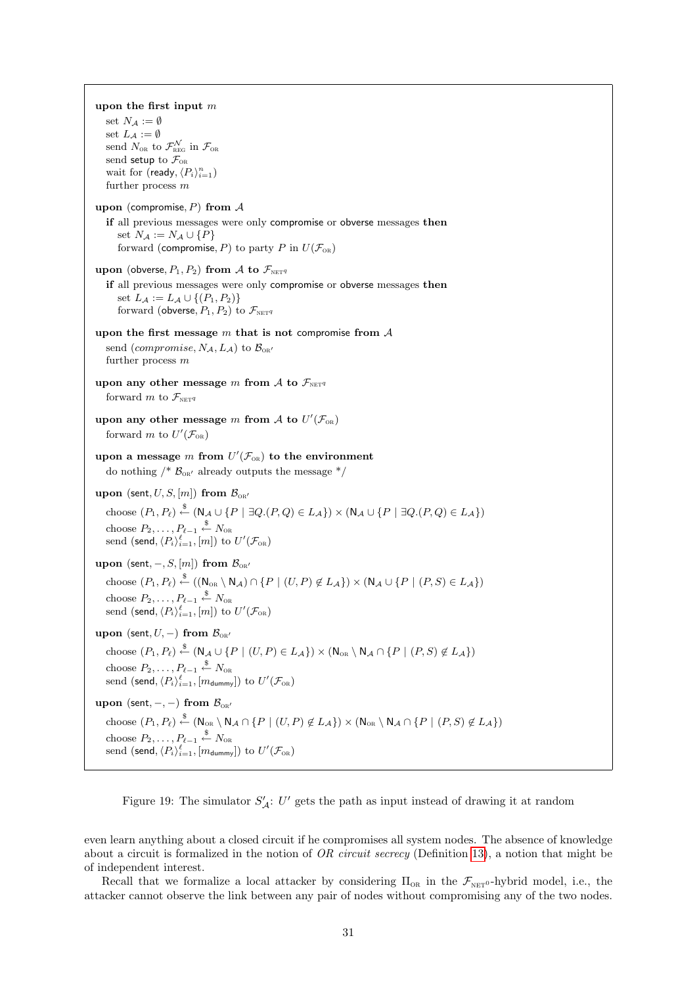upon the first input m set  $N_A := \emptyset$ set  $L_{\mathcal{A}} := \emptyset$ send  $N_{\text{OR}}$  to  $\mathcal{F}^{\mathcal{N}}_{\text{REG}}$  in  $\mathcal{F}_{\text{OR}}$ send setup to  $\mathcal{F}_{OR}$ wait for (ready,  $\langle P_i \rangle_{i=1}^n$ ) further process  $m$ upon (compromise,  $P$ ) from  $A$ if all previous messages were only compromise or obverse messages then set  $N_A := N_A \cup \{P\}$ forward (compromise, P) to party P in  $U(\mathcal{F}_{OR})$ upon (obverse,  $P_1, P_2$ ) from A to  $\mathcal{F}_{\text{NET}q}$ if all previous messages were only compromise or obverse messages then set  $L_A := L_A \cup \{(P_1, P_2)\}\$ forward (obverse,  $P_1, P_2$ ) to  $\mathcal{F}_{\text{NET}q}$ upon the first message  $m$  that is not compromise from  $A$ send (*compromise*,  $N_A$ ,  $L_A$ ) to  $\mathcal{B}_{\text{OR}}$ further process m upon any other message m from A to  $\mathcal{F}_{\text{NET}q}$ forward m to  $\mathcal{F}_{\text{NET}q}$ upon any other message m from  $\mathcal A$  to  $U'(\mathcal F_{\text{OR}})$ forward m to  $U'(\mathcal{F}_{OR})$ upon a message m from  $U'(\mathcal{F}_{OR})$  to the environment do nothing  $/* B_{OR'}$  already outputs the message  $*/$ upon (sent,  $U, S, [m]$ ) from  $\mathcal{B}_{OR'}$ choose  $(P_1, P_\ell) \stackrel{\$}{\leftarrow} (\mathsf{N}_{\mathcal{A}} \cup \{P \mid \exists Q.(P,Q) \in L_{\mathcal{A}}\}) \times (\mathsf{N}_{\mathcal{A}} \cup \{P \mid \exists Q.(P,Q) \in L_{\mathcal{A}}\})$ choose  $P_2, \ldots, P_{\ell-1} \overset{\$}{\leftarrow} N_{\textnormal{or}}$ send (send,  $\langle P_i \rangle_{i=1}^{\ell}, [m])$  to  $U'(\mathcal{F}_{\text{\tiny OR}})$ upon (sent,  $-. S, [m]$ ) from  $\mathcal{B}_{\infty}$ choose  $(P_1, P_\ell) \stackrel{\$}{\leftarrow} ((\mathsf{N}_{\scriptscriptstyle{\mathrm{OR}}} \setminus \mathsf{N}_{\mathcal{A}}) \cap \{P \mid (U, P) \notin L_{\mathcal{A}}\}) \times (\mathsf{N}_{\mathcal{A}} \cup \{P \mid (P, S) \in L_{\mathcal{A}}\})$ choose  $P_2, \ldots, P_{\ell-1} \overset{\$}{\leftarrow} N_{\textnormal{OR}}$ send (send,  $\langle P_i \rangle_{i=1}^{\ell}, [m])$  to  $U'(\mathcal{F}_{\text{\tiny OR}})$ upon (sent,  $U$ , –) from  $\mathcal{B}_{\text{OR}}$ choose  $(P_1, P_\ell) \stackrel{\$}{\leftarrow} (\mathsf{N}_{\mathcal{A}} \cup \{P \mid (U, P) \in L_{\mathcal{A}}\}) \times (\mathsf{N}_{\scriptscriptstyle{\mathrm{OR}}} \setminus \mathsf{N}_{\mathcal{A}} \cap \{P \mid (P, S) \notin L_{\mathcal{A}}\})$ choose  $P_2, \ldots, P_{\ell-1} \overset{\$}{\leftarrow} N_{\text{OR}}$ send  $(\mathsf{send}, \langle P_i \rangle_{i=1}^\ell, [m_{\mathsf{dummy}}])$  to  $U'(\mathcal{F}_{\text{OR}})$ upon (sent, –, –) from  $\mathcal{B}_{\text{OR}}$ choose  $(P_1, P_\ell) \stackrel{\$}{\leftarrow} (\mathsf{N}_{\scriptscriptstyle{\mathrm{OR}}} \setminus \mathsf{N}_{\mathcal{A}} \cap \{P \mid (U, P) \notin L_{\mathcal{A}}\}) \times (\mathsf{N}_{\scriptscriptstyle{\mathrm{OR}}} \setminus \mathsf{N}_{\mathcal{A}} \cap \{P \mid (P, S) \notin L_{\mathcal{A}}\})$ choose  $P_2, \ldots, P_{\ell-1} \overset{\$}{\leftarrow} N_{\text{OR}}$ send  $(\mathsf{send}, \langle P_i \rangle_{i=1}^\ell, [m_{\mathsf{dummy}}])$  to  $U'(\mathcal{F}_{\text{OR}})$ 

<span id="page-30-0"></span>Figure 19: The simulator  $S'_{\mathcal{A}}$ : U' gets the path as input instead of drawing it at random

even learn anything about a closed circuit if he compromises all system nodes. The absence of knowledge about a circuit is formalized in the notion of  $OR$  circuit secrecy (Definition [13\)](#page-32-1), a notion that might be of independent interest.

Recall that we formalize a local attacker by considering  $\Pi_{OR}$  in the  $\mathcal{F}_{NFT^0}$ -hybrid model, i.e., the attacker cannot observe the link between any pair of nodes without compromising any of the two nodes.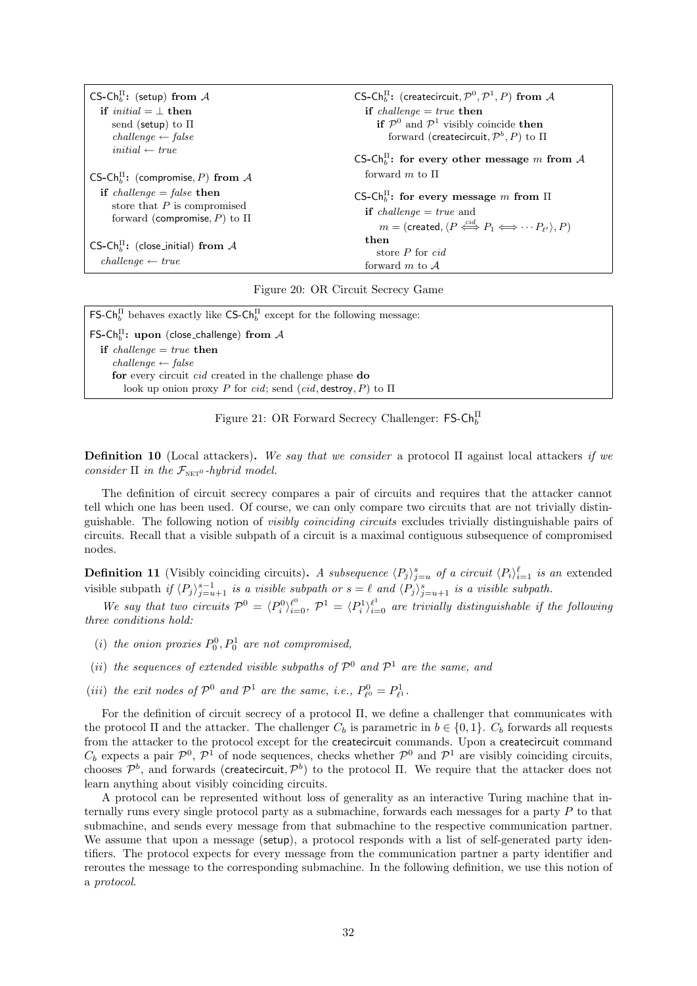| CS-Ch <sub>h</sub> <sup>I</sup> : (setup) from A                             | CS-Ch <sub>h</sub> <sup>I</sup> : (createcircuit, $\mathcal{P}^0$ , $\mathcal{P}^1$ , P) from A     |
|------------------------------------------------------------------------------|-----------------------------------------------------------------------------------------------------|
| if <i>initial</i> $=$ $\perp$ then                                           | if <i>challenge</i> = $true$ then                                                                   |
| send (setup) to $\Pi$                                                        | if $\mathcal{P}^0$ and $\mathcal{P}^1$ visibly coincide then                                        |
| $challenge \leftarrow false$                                                 | forward (createcircuit, $\mathcal{P}^b$ , P) to $\Pi$                                               |
| $initial \leftarrow true$                                                    | CS-Ch <sub>h</sub> <sup>11</sup> : for every other message m from A                                 |
| CS-Ch <sub>b</sub> : (compromise, P) from A                                  | forward m to $\Pi$                                                                                  |
| if <i>challenge</i> = <i>false</i> then                                      | CS-Ch <sub>h</sub> <sup>I</sup> : for every message m from $\Pi$                                    |
| store that $P$ is compromised                                                | <b>if</b> <i>challenge</i> = <i>true</i> and                                                        |
| forward (compromise, P) to $\Pi$                                             | $m = (created, \langle P \stackrel{cid}{\iff} P_1 \Longleftrightarrow \cdots P_{\ell'} \rangle, P)$ |
| CS-Ch <sub>h</sub> : (close_initial) from $A$<br>$challenge \leftarrow true$ | then<br>store $P$ for $cid$<br>forward m to $A$                                                     |

<span id="page-31-0"></span>Figure 20: OR Circuit Secrecy Game

FS-Ch<sub>b</sub><sup>II</sup> behaves exactly like CS-Ch<sub>b</sub><sup>II</sup> except for the following message: FS-Ch<sup>II</sup>: upon (close\_challenge) from  $A$ if  $challenge = true$  then  $challenge \leftarrow false$ for every circuit cid created in the challenge phase do look up onion proxy P for cid; send (cid, destroy, P) to  $\Pi$ 

<span id="page-31-1"></span>Figure 21: OR Forward Secrecy Challenger:  $\mathsf{FS}\text{-}\mathsf{Ch}^{\Pi}_{b}$ 

**Definition 10** (Local attackers). We say that we consider a protocol  $\Pi$  against local attackers if we consider  $\Pi$  in the  $\mathcal{F}_{\text{NET}}$ <sup>0</sup>-hybrid model.

The definition of circuit secrecy compares a pair of circuits and requires that the attacker cannot tell which one has been used. Of course, we can only compare two circuits that are not trivially distinguishable. The following notion of visibly coinciding circuits excludes trivially distinguishable pairs of circuits. Recall that a visible subpath of a circuit is a maximal contiguous subsequence of compromised nodes.

**Definition 11** (Visibly coinciding circuits). A subsequence  $\langle P_j \rangle_{j=u}^s$  of a circuit  $\langle P_i \rangle_{i=1}^{\ell}$  is an extended  $j = u$ visible subpath if  $\langle P_j \rangle_{j=u+1}^{s-1}$  is a visible subpath or  $s = \ell$  and  $\langle P_j \rangle_{j=u+1}^s$  is a visible subpath.

We say that two circuits  $\mathcal{P}^0 = \langle P_i^0 \rangle_{i=0}^{\ell^0}, \mathcal{P}^1 = \langle P_i^1 \rangle_{i=0}^{\ell^1}$  are trivially distinguishable if the following three conditions hold:

- (i) the onion proxies  $P_0^0, P_0^1$  are not compromised,
- (ii) the sequences of extended visible subpaths of  $\mathcal{P}^0$  and  $\mathcal{P}^1$  are the same, and
- (*iii*) the exit nodes of  $\mathcal{P}^0$  and  $\mathcal{P}^1$  are the same, *i.e.*,  $P^0_{\ell^0} = P^1_{\ell^1}$ .

For the definition of circuit secrecy of a protocol Π, we define a challenger that communicates with the protocol  $\Pi$  and the attacker. The challenger  $C_b$  is parametric in  $b \in \{0, 1\}$ .  $C_b$  forwards all requests from the attacker to the protocol except for the createcircuit commands. Upon a createcircuit command  $C_b$  expects a pair  $\mathcal{P}^0$ ,  $\mathcal{P}^1$  of node sequences, checks whether  $\mathcal{P}^0$  and  $\mathcal{P}^1$  are visibly coinciding circuits, chooses  $\mathcal{P}^b$ , and forwards (createcircuit,  $\mathcal{P}^b$ ) to the protocol Π. We require that the attacker does not learn anything about visibly coinciding circuits.

A protocol can be represented without loss of generality as an interactive Turing machine that internally runs every single protocol party as a submachine, forwards each messages for a party P to that submachine, and sends every message from that submachine to the respective communication partner. We assume that upon a message (setup), a protocol responds with a list of self-generated party identifiers. The protocol expects for every message from the communication partner a party identifier and reroutes the message to the corresponding submachine. In the following definition, we use this notion of a protocol.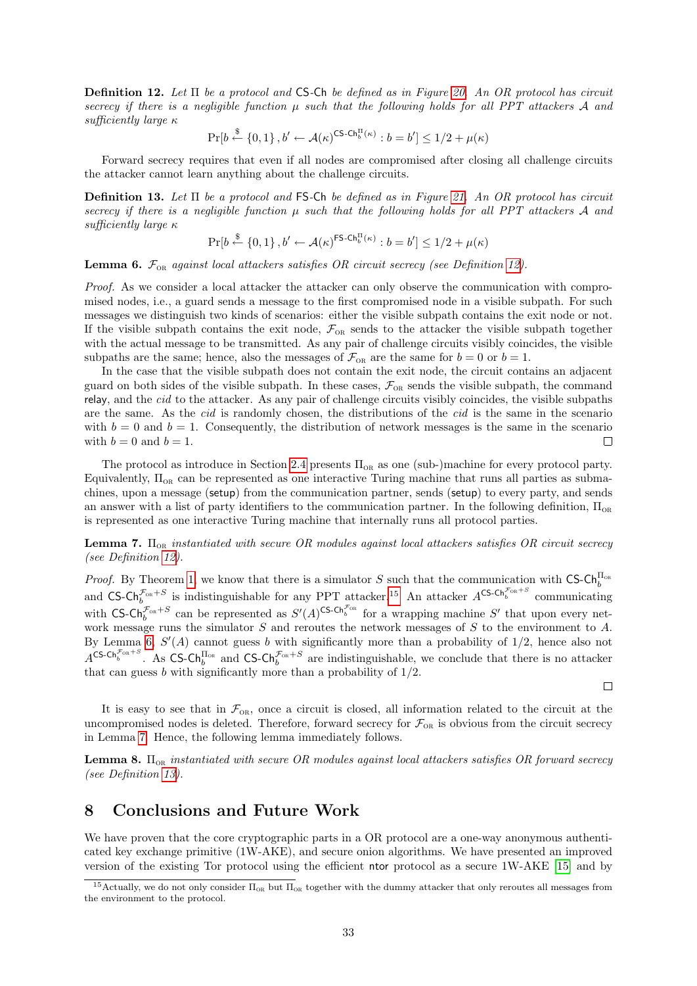<span id="page-32-3"></span>**Definition 12.** Let  $\Pi$  be a protocol and CS-Ch be defined as in Figure [20.](#page-31-0) An OR protocol has circuit secrecy if there is a negligible function  $\mu$  such that the following holds for all PPT attackers A and sufficiently large κ

 $\Pr[b \stackrel{\$}{\leftarrow} \{0,1\}, b' \leftarrow \mathcal{A}(\kappa)^{\text{CS-Ch}_{b}^{\text{H}}(\kappa)} : b = b'] \leq 1/2 + \mu(\kappa)$ 

Forward secrecy requires that even if all nodes are compromised after closing all challenge circuits the attacker cannot learn anything about the challenge circuits.

<span id="page-32-1"></span>**Definition 13.** Let  $\Pi$  be a protocol and FS-Ch be defined as in Figure [21.](#page-31-1) An OR protocol has circuit secrecy if there is a negligible function  $\mu$  such that the following holds for all PPT attackers A and sufficiently large κ

$$
\Pr[b \stackrel{\$}{\leftarrow} \{0,1\}, b' \leftarrow \mathcal{A}(\kappa)^{\mathsf{FS}\text{-}\mathsf{Ch}_b^{\Pi}(\kappa)} : b = b'] \le 1/2 + \mu(\kappa)
$$

<span id="page-32-5"></span>**Lemma 6.**  $\mathcal{F}_{OR}$  against local attackers satisfies OR circuit secrecy (see Definition [12\)](#page-32-3).

Proof. As we consider a local attacker the attacker can only observe the communication with compromised nodes, i.e., a guard sends a message to the first compromised node in a visible subpath. For such messages we distinguish two kinds of scenarios: either the visible subpath contains the exit node or not. If the visible subpath contains the exit node,  $\mathcal{F}_{OR}$  sends to the attacker the visible subpath together with the actual message to be transmitted. As any pair of challenge circuits visibly coincides, the visible subpaths are the same; hence, also the messages of  $\mathcal{F}_{OR}$  are the same for  $b = 0$  or  $b = 1$ .

In the case that the visible subpath does not contain the exit node, the circuit contains an adjacent guard on both sides of the visible subpath. In these cases,  $\mathcal{F}_{OR}$  sends the visible subpath, the command relay, and the cid to the attacker. As any pair of challenge circuits visibly coincides, the visible subpaths are the same. As the *cid* is randomly chosen, the distributions of the *cid* is the same in the scenario with  $b = 0$  and  $b = 1$ . Consequently, the distribution of network messages is the same in the scenario with  $b = 0$  and  $b = 1$ .  $\Box$ 

The protocol as introduce in Section [2.4](#page-6-0) presents  $\Pi_{OR}$  as one (sub-)machine for every protocol party. Equivalently,  $\Pi_{OR}$  can be represented as one interactive Turing machine that runs all parties as submachines, upon a message (setup) from the communication partner, sends (setup) to every party, and sends an answer with a list of party identifiers to the communication partner. In the following definition,  $\Pi_{OR}$ is represented as one interactive Turing machine that internally runs all protocol parties.

<span id="page-32-6"></span>**Lemma 7.**  $\Pi_{OR}$  instantiated with secure OR modules against local attackers satisfies OR circuit secrecy (see Definition [12\)](#page-32-3).

*Proof.* By Theorem [1,](#page-19-3) we know that there is a simulator S such that the communication with CS-Ch<sub>or</sub><sup>H<sub>or</sub></sub></sup> and CS-Ch<sup> $\mathcal{F}_{\text{on}}+S$ </sup> is indistinguishable for any PPT attacker.<sup>[15](#page-32-4)</sup> An attacker  $A^{\text{CS-Ch}}_{b}^{\mathcal{F}_{\text{on}}+S}$  communicating with CS-Ch<sub>b</sub><sup> $\mathcal{F}_{\text{OR}} + S$ </sup> can be represented as  $S'(A)$ <sup>CS-Ch<sub>b</sub><sup> $\mathcal{F}_{\text{OR}}$ </sup> for a wrapping machine  $S'$  that upon every net-</sup> work message runs the simulator S and reroutes the network messages of S to the environment to A. By Lemma [6,](#page-32-5)  $S'(A)$  cannot guess b with significantly more than a probability of  $1/2$ , hence also not  $A^{\text{CS-Ch}_{b}^{\pi_{\text{OR}}+S}}$ . As CS-Ch<sub>b</sub><sup>T<sub>OR</sub> and CS-Ch<sub>b</sub><sup>T<sub>OR</sub>+S</sup> are indistinguishable, we conclude that there is no attacker</sup> that can guess  $b$  with significantly more than a probability of  $1/2$ .

It is easy to see that in  $\mathcal{F}_{OR}$ , once a circuit is closed, all information related to the circuit at the uncompromised nodes is deleted. Therefore, forward secrecy for  $\mathcal{F}_{OR}$  is obvious from the circuit secrecy in Lemma [7.](#page-32-6) Hence, the following lemma immediately follows.

 $\Box$ 

<span id="page-32-2"></span>**Lemma 8.**  $\Pi_{OR}$  instantiated with secure OR modules against local attackers satisfies OR forward secrecy (see Definition [13\)](#page-32-1).

# <span id="page-32-0"></span>8 Conclusions and Future Work

We have proven that the core cryptographic parts in a OR protocol are a one-way anonymous authenticated key exchange primitive (1W-AKE), and secure onion algorithms. We have presented an improved version of the existing Tor protocol using the efficient ntor protocol as a secure 1W-AKE [\[15\]](#page-34-7) and by

<span id="page-32-4"></span><sup>&</sup>lt;sup>15</sup>Actually, we do not only consider  $\Pi_{OR}$  but  $\Pi_{OR}$  together with the dummy attacker that only reroutes all messages from the environment to the protocol.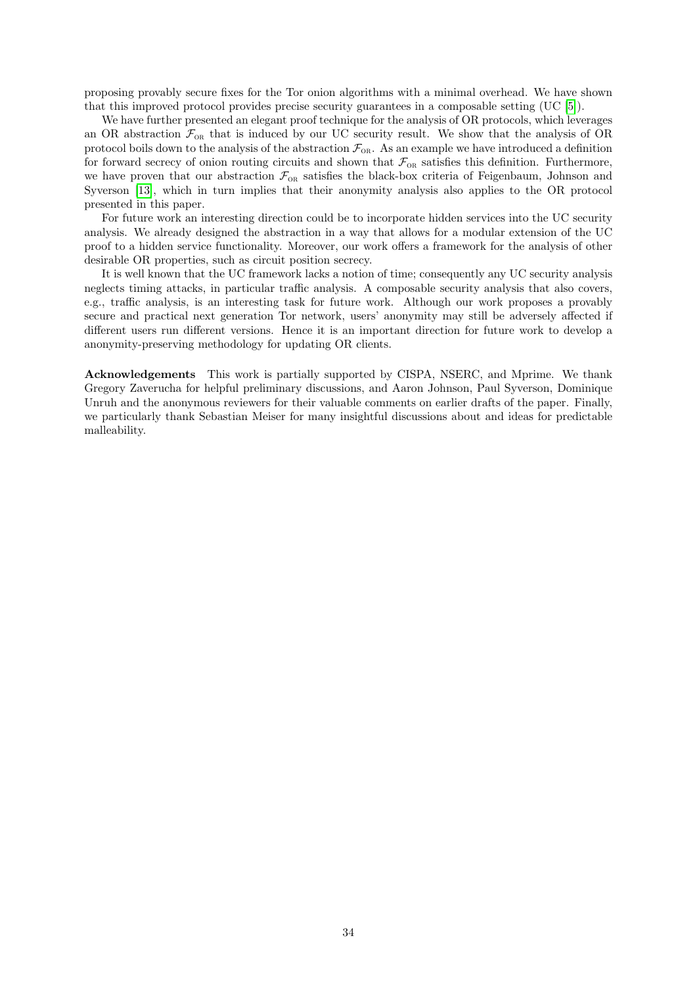proposing provably secure fixes for the Tor onion algorithms with a minimal overhead. We have shown that this improved protocol provides precise security guarantees in a composable setting (UC [\[5\]](#page-34-16)).

We have further presented an elegant proof technique for the analysis of OR protocols, which leverages an OR abstraction  $\mathcal{F}_{OR}$  that is induced by our UC security result. We show that the analysis of OR protocol boils down to the analysis of the abstraction  $\mathcal{F}_{OR}$ . As an example we have introduced a definition for forward secrecy of onion routing circuits and shown that  $\mathcal{F}_{OR}$  satisfies this definition. Furthermore, we have proven that our abstraction  $\mathcal{F}_{OR}$  satisfies the black-box criteria of Feigenbaum, Johnson and Syverson [\[13\]](#page-34-6), which in turn implies that their anonymity analysis also applies to the OR protocol presented in this paper.

For future work an interesting direction could be to incorporate hidden services into the UC security analysis. We already designed the abstraction in a way that allows for a modular extension of the UC proof to a hidden service functionality. Moreover, our work offers a framework for the analysis of other desirable OR properties, such as circuit position secrecy.

It is well known that the UC framework lacks a notion of time; consequently any UC security analysis neglects timing attacks, in particular traffic analysis. A composable security analysis that also covers, e.g., traffic analysis, is an interesting task for future work. Although our work proposes a provably secure and practical next generation Tor network, users' anonymity may still be adversely affected if different users run different versions. Hence it is an important direction for future work to develop a anonymity-preserving methodology for updating OR clients.

Acknowledgements This work is partially supported by CISPA, NSERC, and Mprime. We thank Gregory Zaverucha for helpful preliminary discussions, and Aaron Johnson, Paul Syverson, Dominique Unruh and the anonymous reviewers for their valuable comments on earlier drafts of the paper. Finally, we particularly thank Sebastian Meiser for many insightful discussions about and ideas for predictable malleability.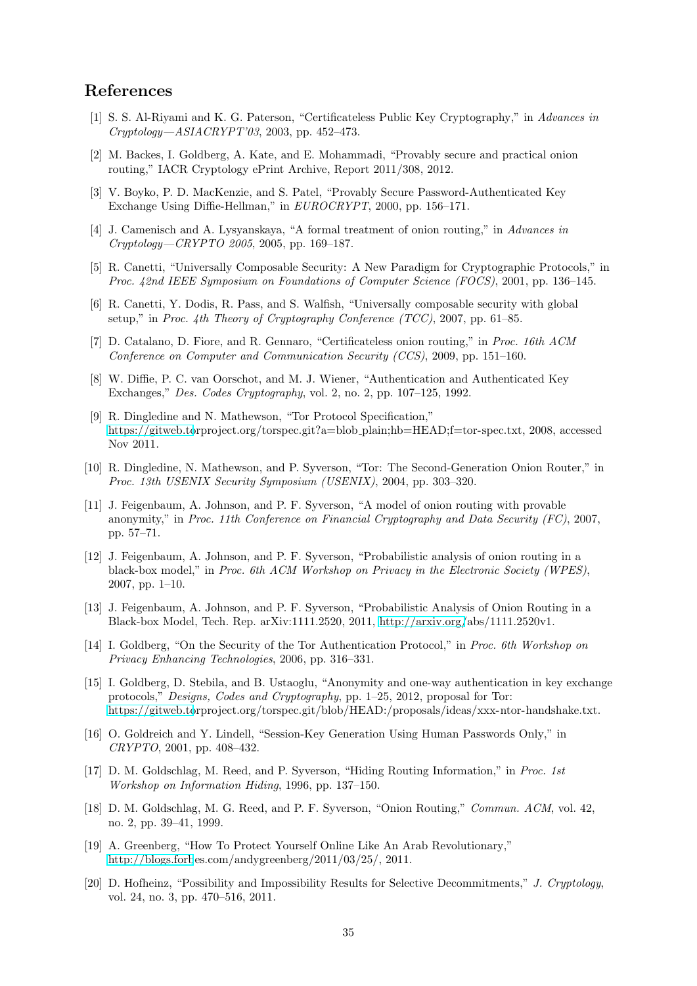# References

- <span id="page-34-13"></span>[1] S. S. Al-Riyami and K. G. Paterson, "Certificateless Public Key Cryptography," in Advances in Cryptology—ASIACRYPT'03, 2003, pp. 452–473.
- <span id="page-34-9"></span>[2] M. Backes, I. Goldberg, A. Kate, and E. Mohammadi, "Provably secure and practical onion routing," IACR Cryptology ePrint Archive, Report 2011/308, 2012.
- <span id="page-34-18"></span>[3] V. Boyko, P. D. MacKenzie, and S. Patel, "Provably Secure Password-Authenticated Key Exchange Using Diffie-Hellman," in EUROCRYPT, 2000, pp. 156–171.
- <span id="page-34-1"></span>[4] J. Camenisch and A. Lysyanskaya, "A formal treatment of onion routing," in Advances in Cryptology—CRYPTO 2005, 2005, pp. 169–187.
- <span id="page-34-16"></span>[5] R. Canetti, "Universally Composable Security: A New Paradigm for Cryptographic Protocols," in Proc. 42nd IEEE Symposium on Foundations of Computer Science (FOCS), 2001, pp. 136–145.
- <span id="page-34-14"></span>[6] R. Canetti, Y. Dodis, R. Pass, and S. Walfish, "Universally composable security with global setup," in Proc. 4th Theory of Cryptography Conference (TCC), 2007, pp. 61–85.
- <span id="page-34-12"></span>[7] D. Catalano, D. Fiore, and R. Gennaro, "Certificateless onion routing," in Proc. 16th ACM Conference on Computer and Communication Security (CCS), 2009, pp. 151–160.
- <span id="page-34-3"></span>[8] W. Diffie, P. C. van Oorschot, and M. J. Wiener, "Authentication and Authenticated Key Exchanges," Des. Codes Cryptography, vol. 2, no. 2, pp. 107–125, 1992.
- <span id="page-34-15"></span>[9] R. Dingledine and N. Mathewson, "Tor Protocol Specification," [https://gitweb.to](https://gitweb.torproject.org/torspec.git?a=blob_plain;hb=HEAD;f=tor-spec.txt)rproject.org/torspec.git?a=blob plain;hb=HEAD;f=tor-spec.txt, 2008, accessed Nov 2011.
- <span id="page-34-4"></span>[10] R. Dingledine, N. Mathewson, and P. Syverson, "Tor: The Second-Generation Onion Router," in Proc. 13th USENIX Security Symposium (USENIX), 2004, pp. 303–320.
- <span id="page-34-8"></span>[11] J. Feigenbaum, A. Johnson, and P. F. Syverson, "A model of onion routing with provable anonymity," in Proc. 11th Conference on Financial Cryptography and Data Security (FC), 2007, pp. 57–71.
- <span id="page-34-2"></span>[12] J. Feigenbaum, A. Johnson, and P. F. Syverson, "Probabilistic analysis of onion routing in a black-box model," in Proc. 6th ACM Workshop on Privacy in the Electronic Society (WPES), 2007, pp. 1–10.
- <span id="page-34-6"></span>[13] J. Feigenbaum, A. Johnson, and P. F. Syverson, "Probabilistic Analysis of Onion Routing in a Black-box Model, Tech. Rep. arXiv:1111.2520, 2011, [http://arxiv.org/](http://arxiv.org/abs/1111.2520v1)abs/1111.2520v1.
- <span id="page-34-5"></span>[14] I. Goldberg, "On the Security of the Tor Authentication Protocol," in Proc. 6th Workshop on Privacy Enhancing Technologies, 2006, pp. 316–331.
- <span id="page-34-7"></span>[15] I. Goldberg, D. Stebila, and B. Ustaoglu, "Anonymity and one-way authentication in key exchange protocols," Designs, Codes and Cryptography, pp. 1–25, 2012, proposal for Tor: [https://gitweb.to](https://gitweb.torproject.org/torspec.git/blob/HEAD:/proposals/ideas/xxx-ntor-handshake.txt)rproject.org/torspec.git/blob/HEAD:/proposals/ideas/xxx-ntor-handshake.txt.
- <span id="page-34-19"></span>[16] O. Goldreich and Y. Lindell, "Session-Key Generation Using Human Passwords Only," in CRYPTO, 2001, pp. 408–432.
- <span id="page-34-10"></span>[17] D. M. Goldschlag, M. Reed, and P. Syverson, "Hiding Routing Information," in Proc. 1st Workshop on Information Hiding, 1996, pp. 137–150.
- <span id="page-34-11"></span>[18] D. M. Goldschlag, M. G. Reed, and P. F. Syverson, "Onion Routing," Commun. ACM, vol. 42, no. 2, pp. 39–41, 1999.
- <span id="page-34-0"></span>[19] A. Greenberg, "How To Protect Yourself Online Like An Arab Revolutionary," [http://blogs.forb](http://blogs.forbes.com/andygreenberg/2011/03/25/)es.com/andygreenberg/2011/03/25/, 2011.
- <span id="page-34-17"></span>[20] D. Hofheinz, "Possibility and Impossibility Results for Selective Decommitments," J. Cryptology, vol. 24, no. 3, pp. 470–516, 2011.